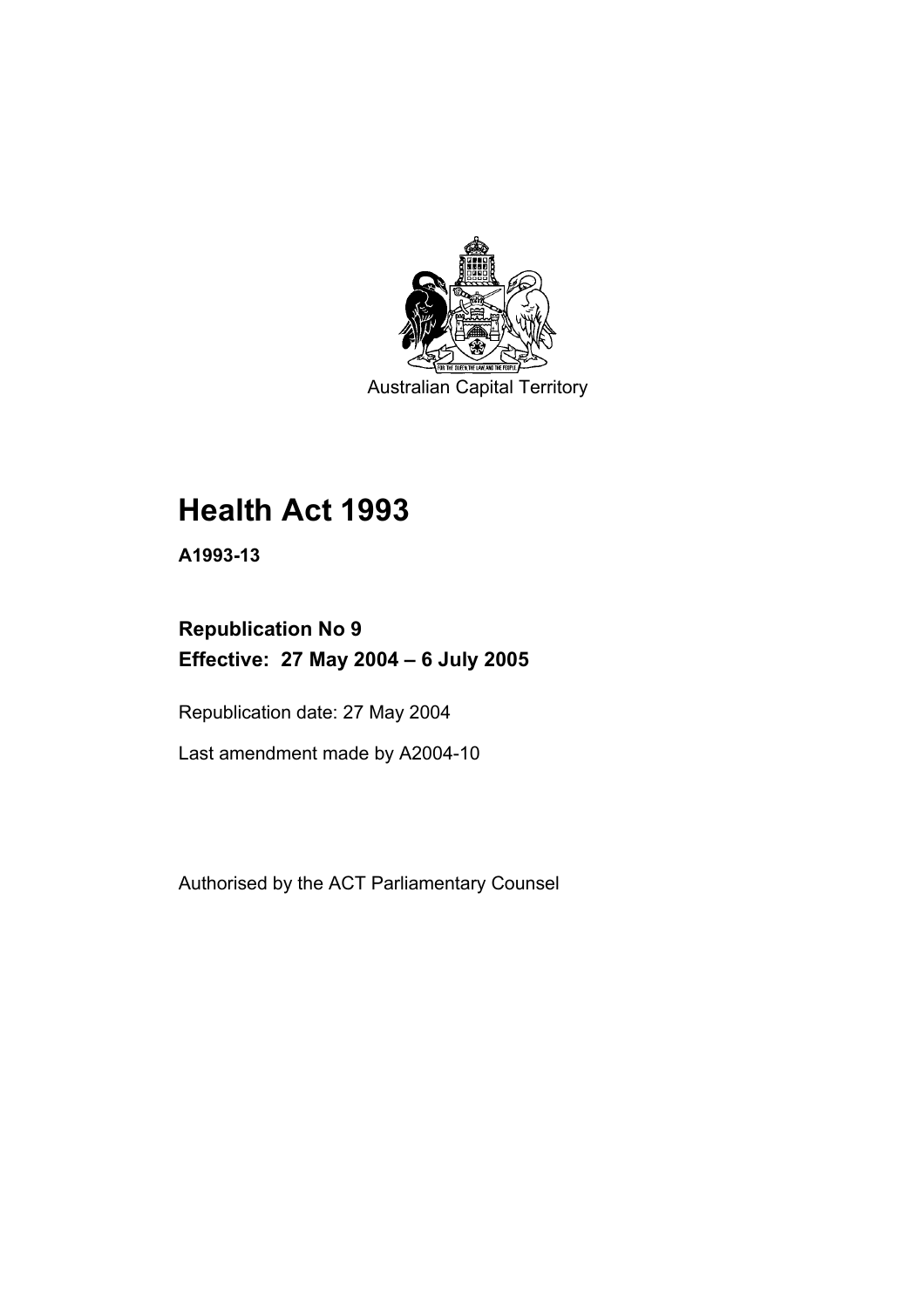

Australian Capital Territory

# **Health Act 1993**

**A1993-13** 

# **Republication No 9 Effective: 27 May 2004 – 6 July 2005**

Republication date: 27 May 2004

Last amendment made by A2004-10

Authorised by the ACT Parliamentary Counsel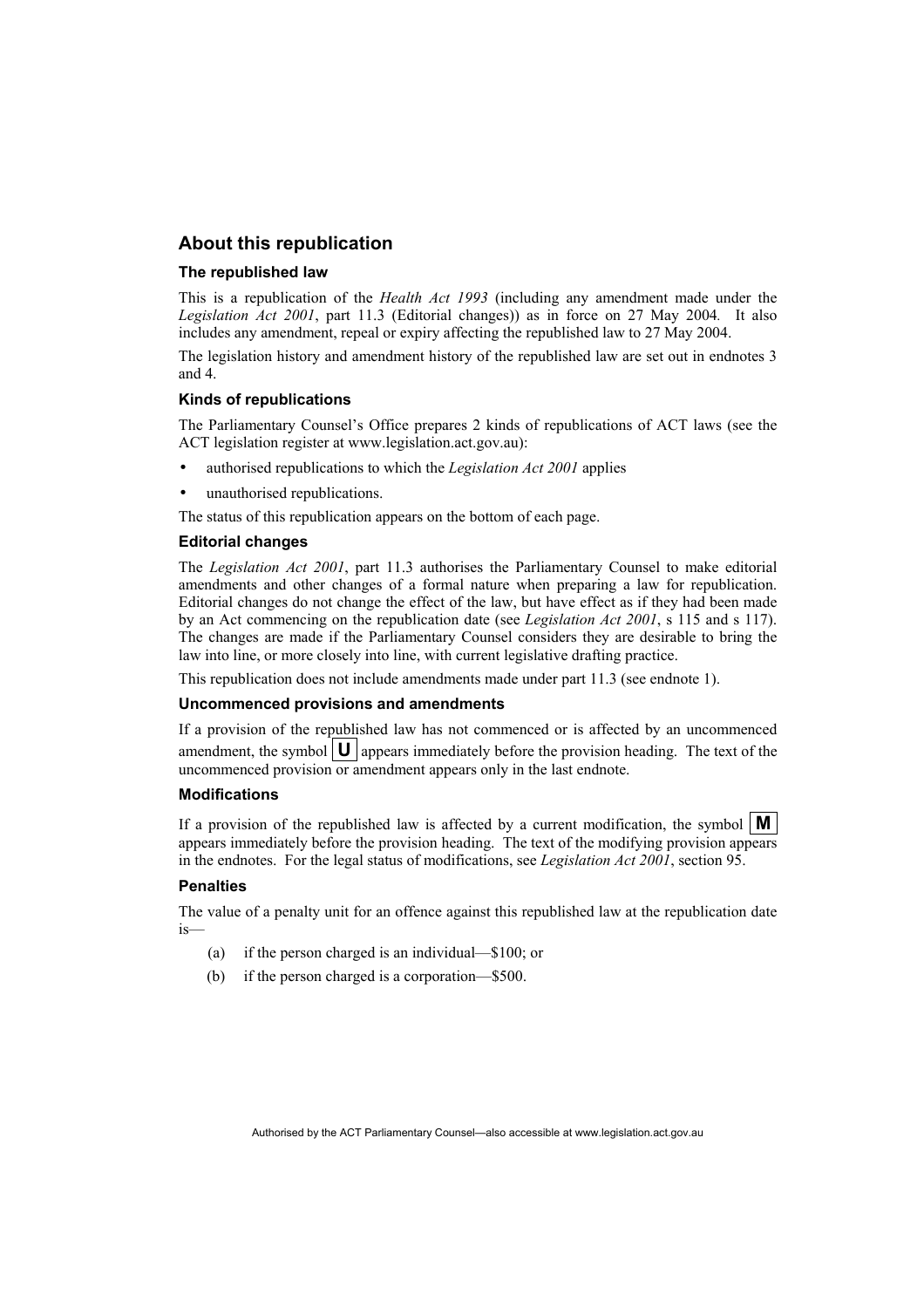### **About this republication**

#### **The republished law**

This is a republication of the *Health Act 1993* (including any amendment made under the *Legislation Act 2001*, part 11.3 (Editorial changes)) as in force on 27 May 2004*.* It also includes any amendment, repeal or expiry affecting the republished law to 27 May 2004.

The legislation history and amendment history of the republished law are set out in endnotes 3 and 4.

#### **Kinds of republications**

The Parliamentary Counsel's Office prepares 2 kinds of republications of ACT laws (see the ACT legislation register at www.legislation.act.gov.au):

- authorised republications to which the *Legislation Act 2001* applies
- unauthorised republications.

The status of this republication appears on the bottom of each page.

#### **Editorial changes**

The *Legislation Act 2001*, part 11.3 authorises the Parliamentary Counsel to make editorial amendments and other changes of a formal nature when preparing a law for republication. Editorial changes do not change the effect of the law, but have effect as if they had been made by an Act commencing on the republication date (see *Legislation Act 2001*, s 115 and s 117). The changes are made if the Parliamentary Counsel considers they are desirable to bring the law into line, or more closely into line, with current legislative drafting practice.

This republication does not include amendments made under part 11.3 (see endnote 1).

#### **Uncommenced provisions and amendments**

If a provision of the republished law has not commenced or is affected by an uncommenced amendment, the symbol  $\vert \mathbf{U} \vert$  appears immediately before the provision heading. The text of the uncommenced provision or amendment appears only in the last endnote.

#### **Modifications**

If a provision of the republished law is affected by a current modification, the symbol  $\mathbf{M}$ appears immediately before the provision heading. The text of the modifying provision appears in the endnotes. For the legal status of modifications, see *Legislation Act 2001*, section 95.

#### **Penalties**

The value of a penalty unit for an offence against this republished law at the republication date is—

- (a) if the person charged is an individual—\$100; or
- (b) if the person charged is a corporation—\$500.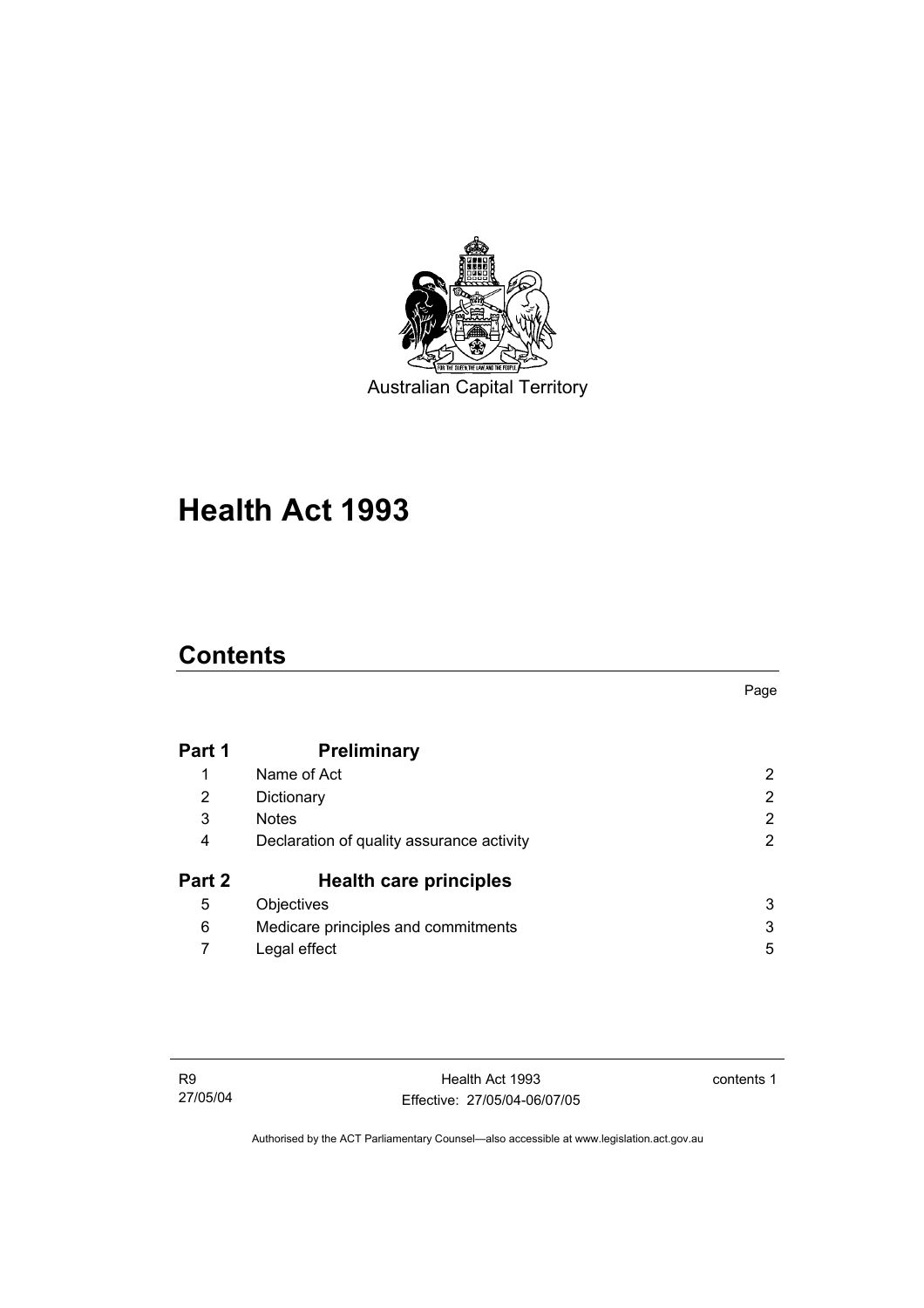

# **Health Act 1993**

# **Contents**

| Part 1 | <b>Preliminary</b>                        |   |
|--------|-------------------------------------------|---|
|        | Name of Act                               | 2 |
| 2      | Dictionary                                | 2 |
| 3      | <b>Notes</b>                              | 2 |
| 4      | Declaration of quality assurance activity | 2 |
| Part 2 | <b>Health care principles</b>             |   |
| 5      | Objectives                                | 3 |
| 6      | Medicare principles and commitments       | 3 |
|        | Legal effect                              | 5 |

contents 1

Page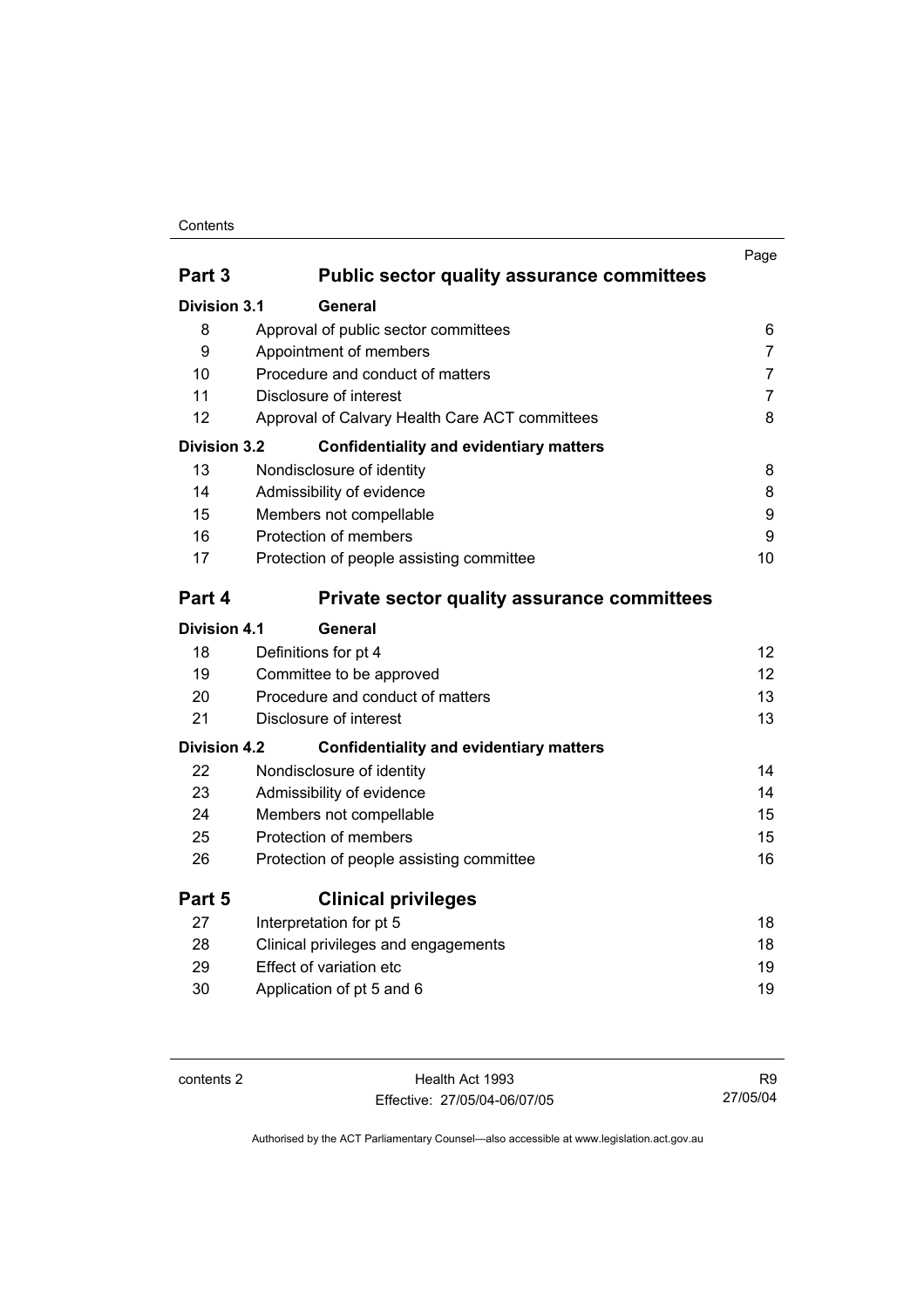#### Contents

|                     |                                                    | Page              |
|---------------------|----------------------------------------------------|-------------------|
| Part <sub>3</sub>   | <b>Public sector quality assurance committees</b>  |                   |
| Division 3.1        | General                                            |                   |
| 8                   | Approval of public sector committees               | 6                 |
| 9                   | Appointment of members                             | $\overline{7}$    |
| 10                  | Procedure and conduct of matters                   | $\overline{7}$    |
| 11                  | Disclosure of interest                             | $\overline{7}$    |
| 12                  | Approval of Calvary Health Care ACT committees     | 8                 |
| <b>Division 3.2</b> | <b>Confidentiality and evidentiary matters</b>     |                   |
| 13                  | Nondisclosure of identity                          | 8                 |
| 14                  | Admissibility of evidence                          | 8                 |
| 15                  | Members not compellable                            | 9                 |
| 16                  | Protection of members                              | 9                 |
| 17                  | Protection of people assisting committee           | 10                |
| Part 4              | <b>Private sector quality assurance committees</b> |                   |
| <b>Division 4.1</b> | General                                            |                   |
| 18                  | Definitions for pt 4                               | 12                |
| 19                  | Committee to be approved                           | $12 \overline{ }$ |
| 20                  | Procedure and conduct of matters                   | 13                |
| 21                  | Disclosure of interest                             | 13                |
| <b>Division 4.2</b> | <b>Confidentiality and evidentiary matters</b>     |                   |
| 22                  | Nondisclosure of identity                          | 14                |
| 23                  | Admissibility of evidence                          | 14                |
| 24                  | Members not compellable                            | 15                |
| 25                  | Protection of members                              | 15                |
| 26                  | Protection of people assisting committee           | 16                |
| Part 5              | <b>Clinical privileges</b>                         |                   |
| 27                  | Interpretation for pt 5                            | 18                |
| 28                  | Clinical privileges and engagements                | 18                |
| 29                  | Effect of variation etc                            | 19                |
| 30                  | Application of pt 5 and 6                          | 19                |
|                     |                                                    |                   |

contents 2 Health Act 1993 Effective: 27/05/04-06/07/05

R9 27/05/04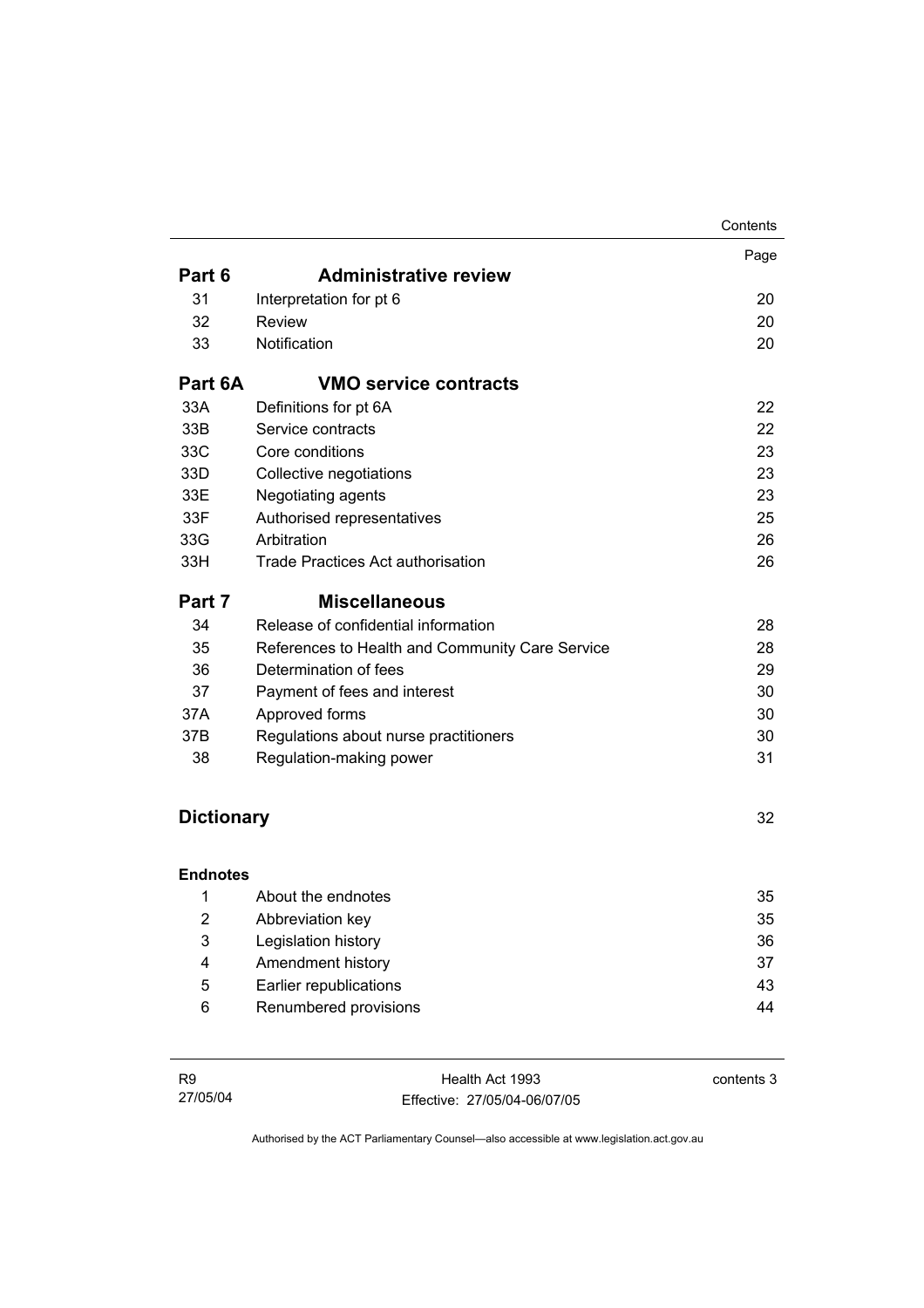|                   |                                                 | Contents |
|-------------------|-------------------------------------------------|----------|
|                   |                                                 | Page     |
| Part 6            | <b>Administrative review</b>                    |          |
| 31                | Interpretation for pt 6                         | 20       |
| 32                | <b>Review</b>                                   | 20       |
| 33                | Notification                                    | 20       |
| Part 6A           | <b>VMO service contracts</b>                    |          |
| 33A               | Definitions for pt 6A                           | 22       |
| 33B               | Service contracts                               | 22       |
| 33C               | Core conditions                                 | 23       |
| 33D               | Collective negotiations                         | 23       |
| 33E               | Negotiating agents                              | 23       |
| 33F               | Authorised representatives                      | 25       |
| 33G               | Arbitration                                     | 26       |
| 33H               | <b>Trade Practices Act authorisation</b>        | 26       |
| Part 7            | <b>Miscellaneous</b>                            |          |
| 34                | Release of confidential information             | 28       |
| 35                | References to Health and Community Care Service | 28       |
| 36                | Determination of fees                           | 29       |
| 37                | Payment of fees and interest                    | 30       |
| 37A               | Approved forms                                  | 30       |
| 37B               | Regulations about nurse practitioners           | 30       |
| 38                | Regulation-making power                         | 31       |
| <b>Dictionary</b> |                                                 | 32       |
|                   |                                                 |          |
| <b>Endnotes</b>   |                                                 |          |
| 1                 | About the endnotes                              | 35       |
| $\overline{2}$    | Abbreviation key                                | 35       |
| 3                 | Legislation history                             | 36       |
| 4                 | Amendment history                               | 37       |
| 5                 | Earlier republications                          | 43       |

6 Renumbered provisions **6** Renumbered provisions

Health Act 1993 Effective: 27/05/04-06/07/05 contents 3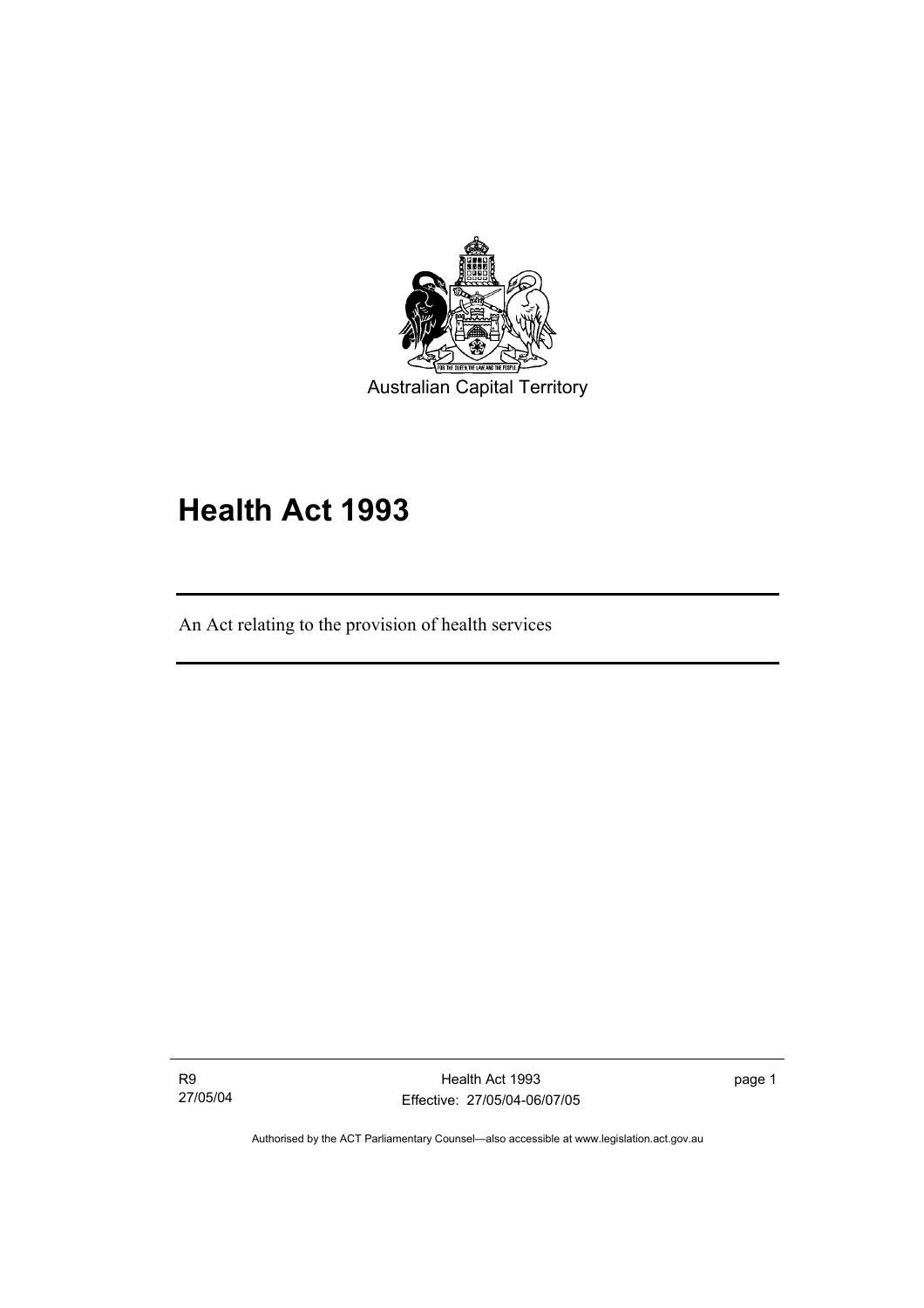

# **Health Act 1993**

An Act relating to the provision of health services

R9 27/05/04

I

Health Act 1993 Effective: 27/05/04-06/07/05 page 1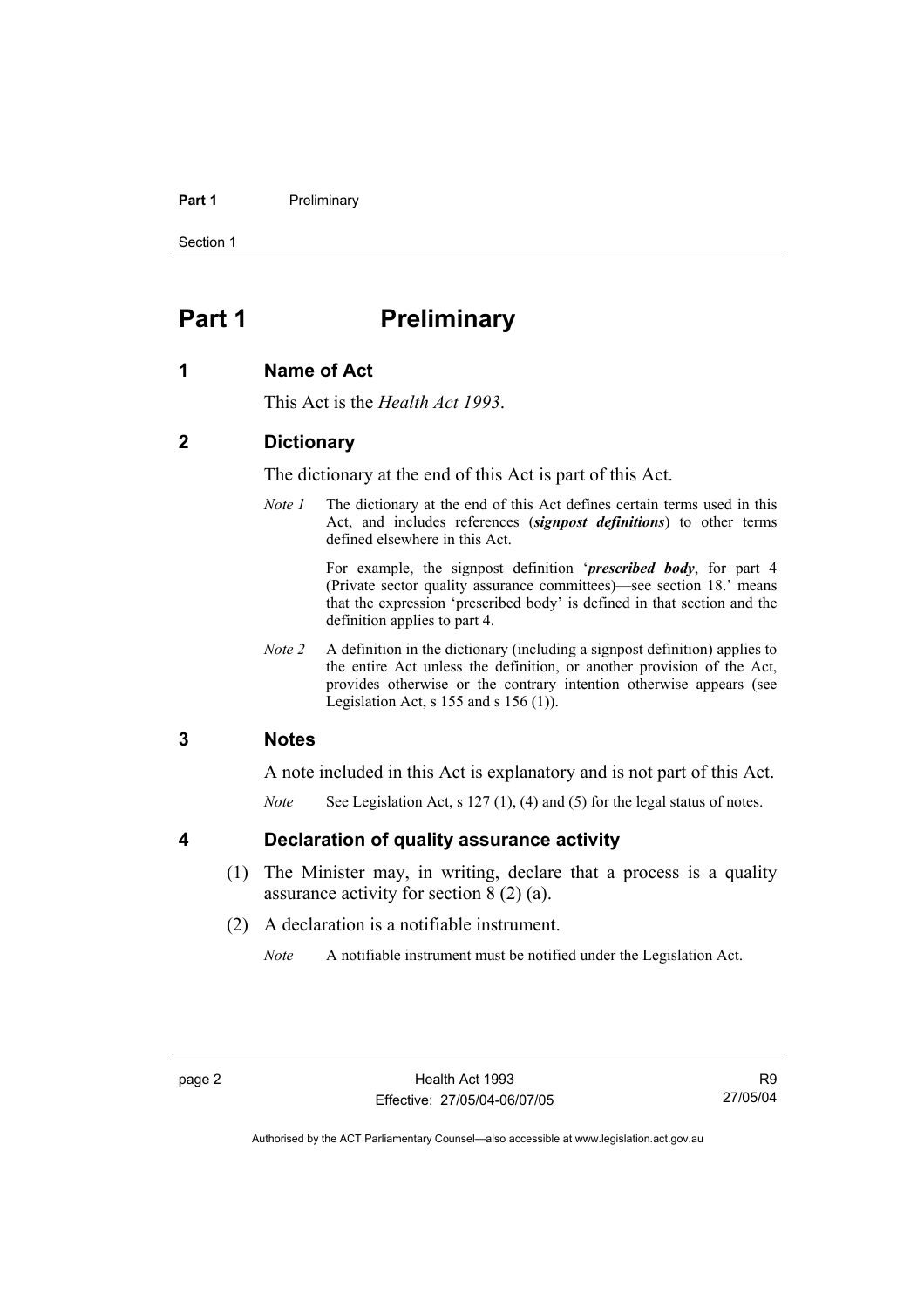#### **Part 1** Preliminary

Section 1

# **Part 1** Preliminary

### **1 Name of Act**

This Act is the *Health Act 1993*.

## **2 Dictionary**

The dictionary at the end of this Act is part of this Act.

*Note 1* The dictionary at the end of this Act defines certain terms used in this Act, and includes references (*signpost definitions*) to other terms defined elsewhere in this Act.

> For example, the signpost definition '*prescribed body*, for part 4 (Private sector quality assurance committees)—see section 18.' means that the expression 'prescribed body' is defined in that section and the definition applies to part 4.

*Note 2* A definition in the dictionary (including a signpost definition) applies to the entire Act unless the definition, or another provision of the Act, provides otherwise or the contrary intention otherwise appears (see Legislation Act,  $s$  155 and  $s$  156 (1)).

## **3 Notes**

A note included in this Act is explanatory and is not part of this Act.

*Note* See Legislation Act, s 127 (1), (4) and (5) for the legal status of notes.

### **4 Declaration of quality assurance activity**

- (1) The Minister may, in writing, declare that a process is a quality assurance activity for section 8 (2) (a).
- (2) A declaration is a notifiable instrument.

*Note* A notifiable instrument must be notified under the Legislation Act.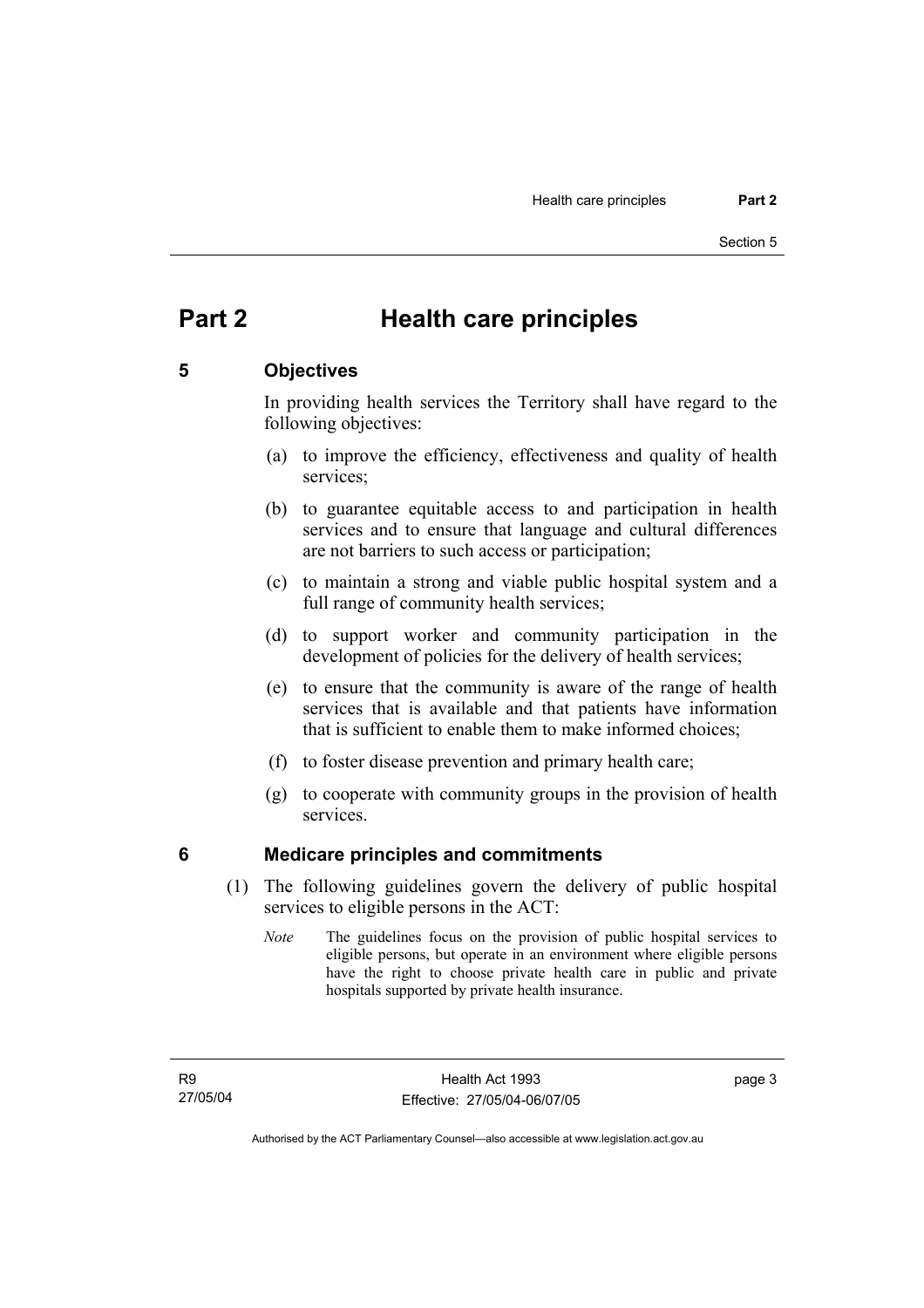# **Part 2 Health care principles**

## **5 Objectives**

In providing health services the Territory shall have regard to the following objectives:

- (a) to improve the efficiency, effectiveness and quality of health services;
- (b) to guarantee equitable access to and participation in health services and to ensure that language and cultural differences are not barriers to such access or participation;
- (c) to maintain a strong and viable public hospital system and a full range of community health services;
- (d) to support worker and community participation in the development of policies for the delivery of health services;
- (e) to ensure that the community is aware of the range of health services that is available and that patients have information that is sufficient to enable them to make informed choices;
- (f) to foster disease prevention and primary health care;
- (g) to cooperate with community groups in the provision of health services.

### **6 Medicare principles and commitments**

- (1) The following guidelines govern the delivery of public hospital services to eligible persons in the ACT:
	- *Note* The guidelines focus on the provision of public hospital services to eligible persons, but operate in an environment where eligible persons have the right to choose private health care in public and private hospitals supported by private health insurance.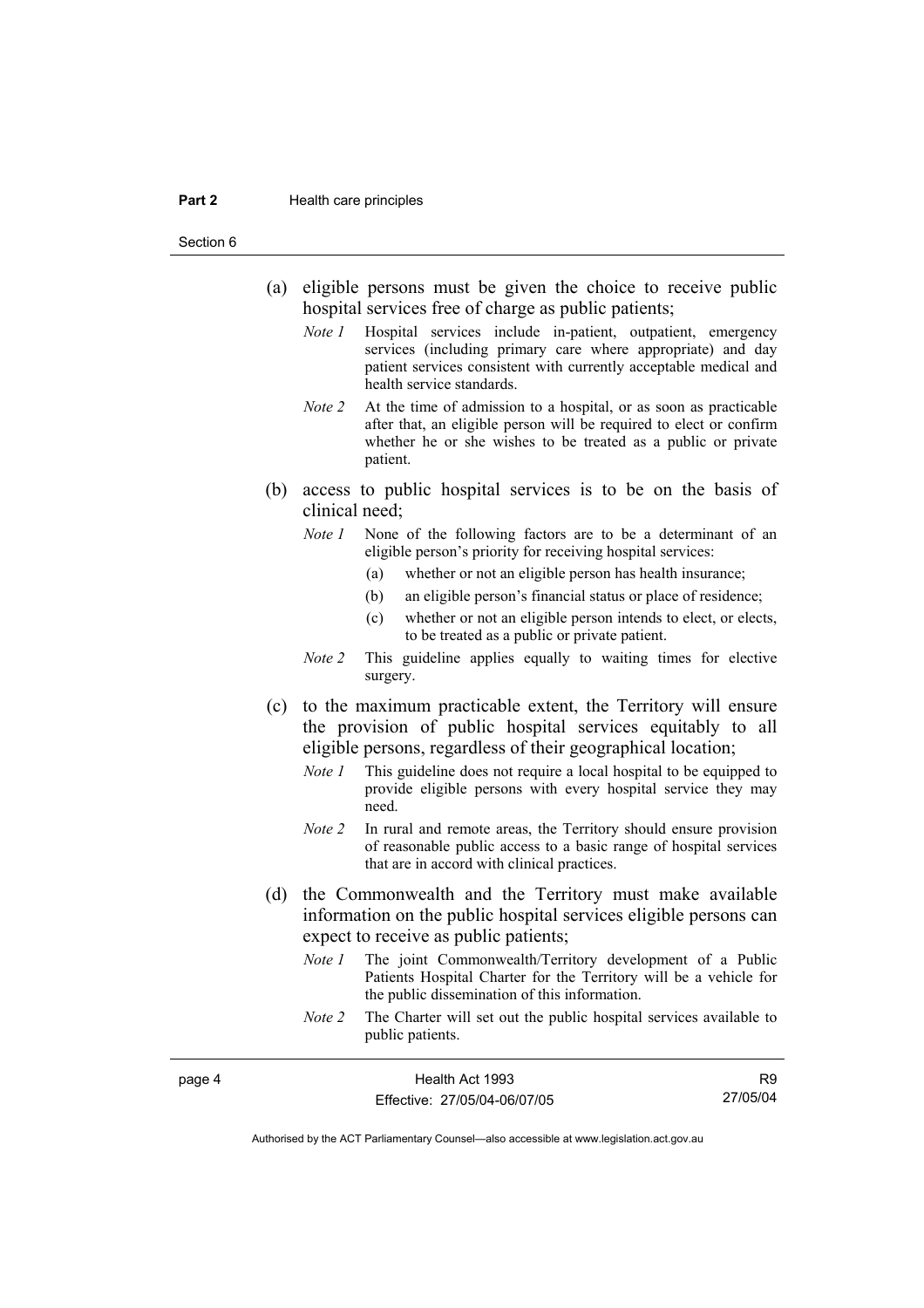#### **Part 2 Health care principles**

Section 6

page 4

- (a) eligible persons must be given the choice to receive public hospital services free of charge as public patients;
	- *Note 1* Hospital services include in-patient, outpatient, emergency services (including primary care where appropriate) and day patient services consistent with currently acceptable medical and health service standards.
	- *Note 2* At the time of admission to a hospital, or as soon as practicable after that, an eligible person will be required to elect or confirm whether he or she wishes to be treated as a public or private patient.
- (b) access to public hospital services is to be on the basis of clinical need;
	- *Note 1* None of the following factors are to be a determinant of an eligible person's priority for receiving hospital services:
		- (a) whether or not an eligible person has health insurance;
		- (b) an eligible person's financial status or place of residence;
		- (c) whether or not an eligible person intends to elect, or elects, to be treated as a public or private patient.
	- *Note 2* This guideline applies equally to waiting times for elective surgery.
- (c) to the maximum practicable extent, the Territory will ensure the provision of public hospital services equitably to all eligible persons, regardless of their geographical location;
	- *Note 1* This guideline does not require a local hospital to be equipped to provide eligible persons with every hospital service they may need.
	- *Note 2* In rural and remote areas, the Territory should ensure provision of reasonable public access to a basic range of hospital services that are in accord with clinical practices.
- (d) the Commonwealth and the Territory must make available information on the public hospital services eligible persons can expect to receive as public patients;
	- *Note 1* The joint Commonwealth/Territory development of a Public Patients Hospital Charter for the Territory will be a vehicle for the public dissemination of this information.
	- *Note 2* The Charter will set out the public hospital services available to public patients.

| Health Act 1993              | R9       |
|------------------------------|----------|
| Effective: 27/05/04-06/07/05 | 27/05/04 |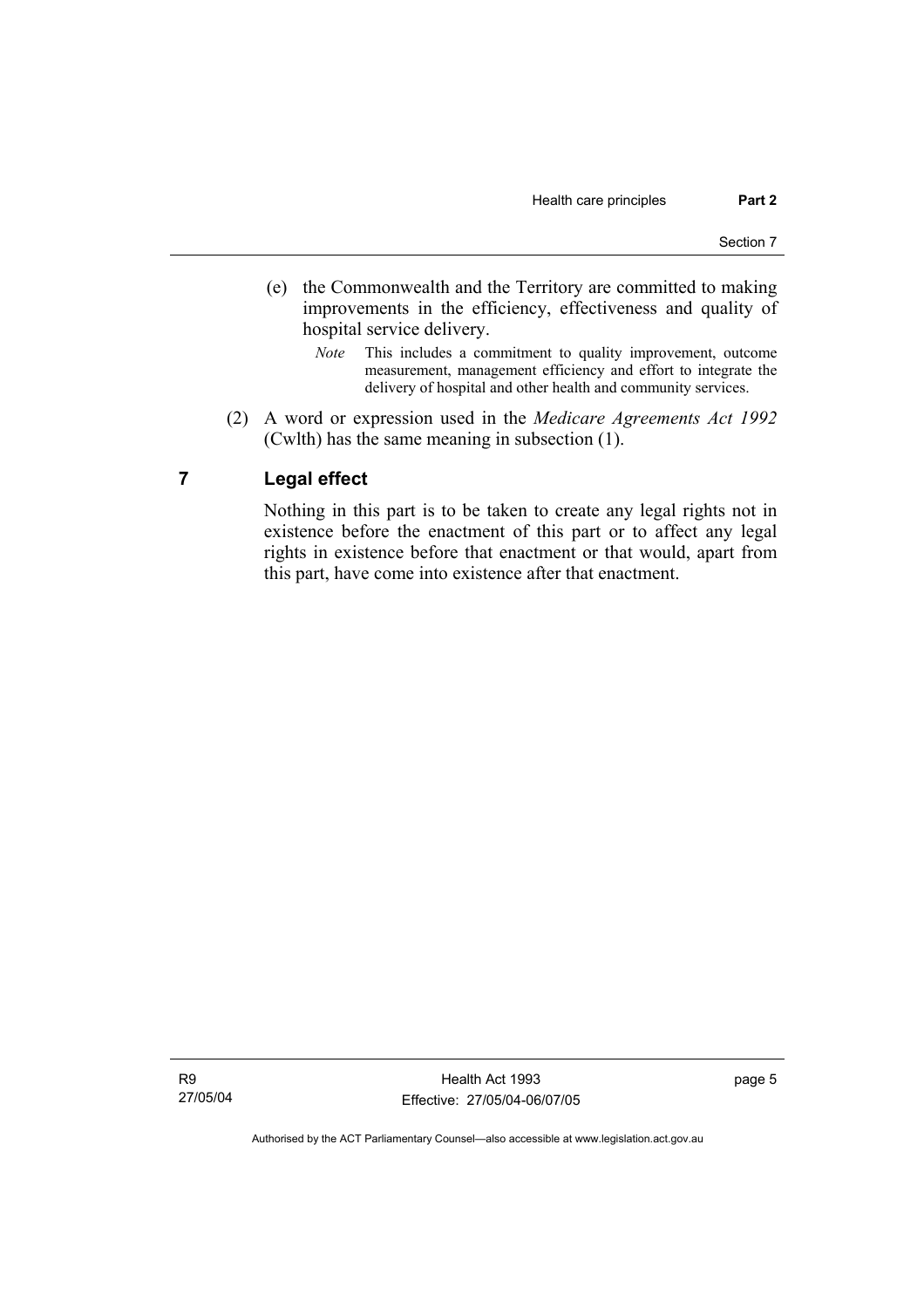- (e) the Commonwealth and the Territory are committed to making improvements in the efficiency, effectiveness and quality of hospital service delivery.
	- *Note* This includes a commitment to quality improvement, outcome measurement, management efficiency and effort to integrate the delivery of hospital and other health and community services.
- (2) A word or expression used in the *Medicare Agreements Act 1992* (Cwlth) has the same meaning in subsection (1).

# **7 Legal effect**

Nothing in this part is to be taken to create any legal rights not in existence before the enactment of this part or to affect any legal rights in existence before that enactment or that would, apart from this part, have come into existence after that enactment.

R9 27/05/04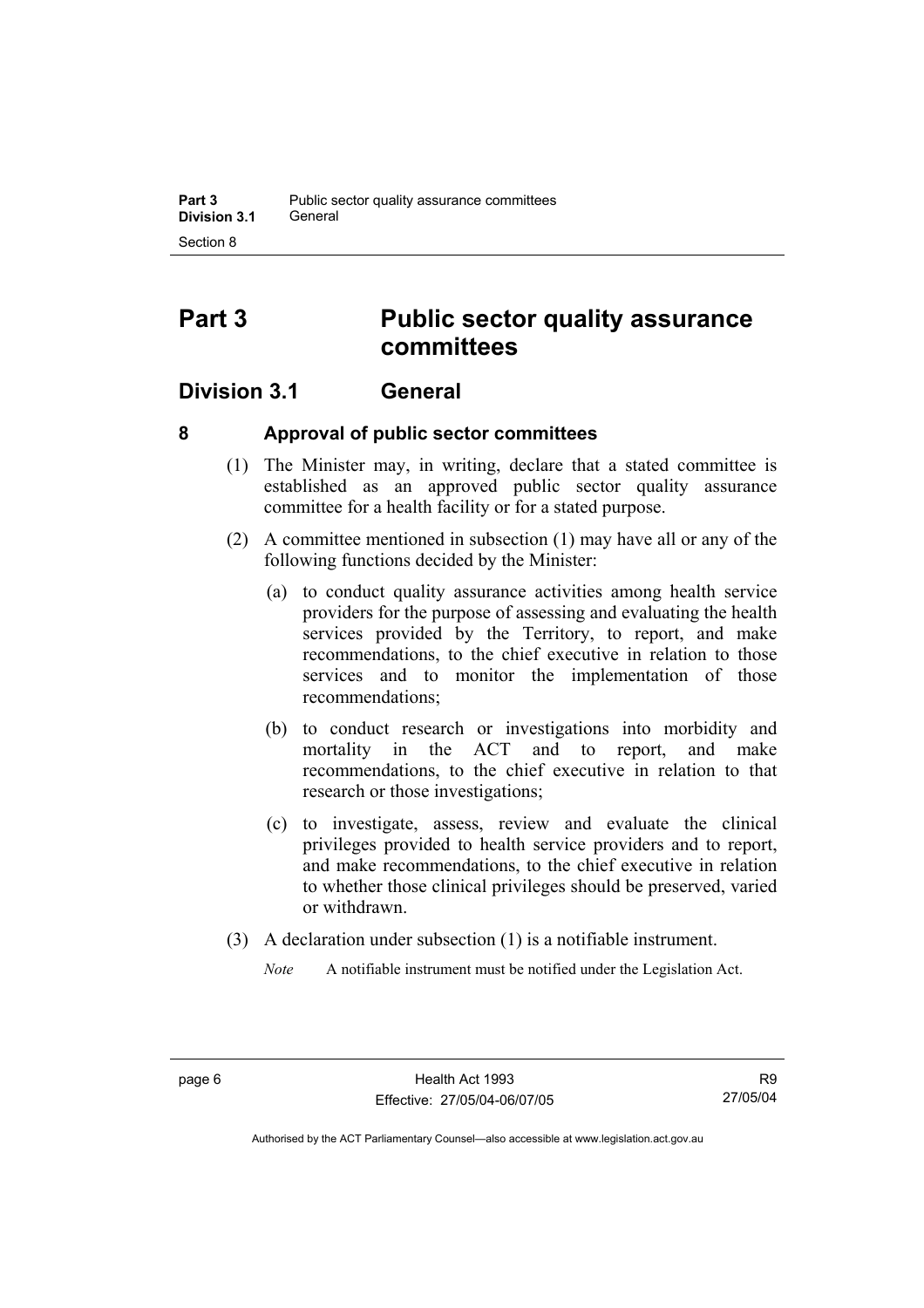# **Part 3 Public sector quality assurance committees**

# **Division 3.1 General**

# **8 Approval of public sector committees**

- (1) The Minister may, in writing, declare that a stated committee is established as an approved public sector quality assurance committee for a health facility or for a stated purpose.
- (2) A committee mentioned in subsection (1) may have all or any of the following functions decided by the Minister:
	- (a) to conduct quality assurance activities among health service providers for the purpose of assessing and evaluating the health services provided by the Territory, to report, and make recommendations, to the chief executive in relation to those services and to monitor the implementation of those recommendations;
	- (b) to conduct research or investigations into morbidity and mortality in the ACT and to report, and make recommendations, to the chief executive in relation to that research or those investigations;
	- (c) to investigate, assess, review and evaluate the clinical privileges provided to health service providers and to report, and make recommendations, to the chief executive in relation to whether those clinical privileges should be preserved, varied or withdrawn.
- (3) A declaration under subsection (1) is a notifiable instrument.
	- *Note* A notifiable instrument must be notified under the Legislation Act.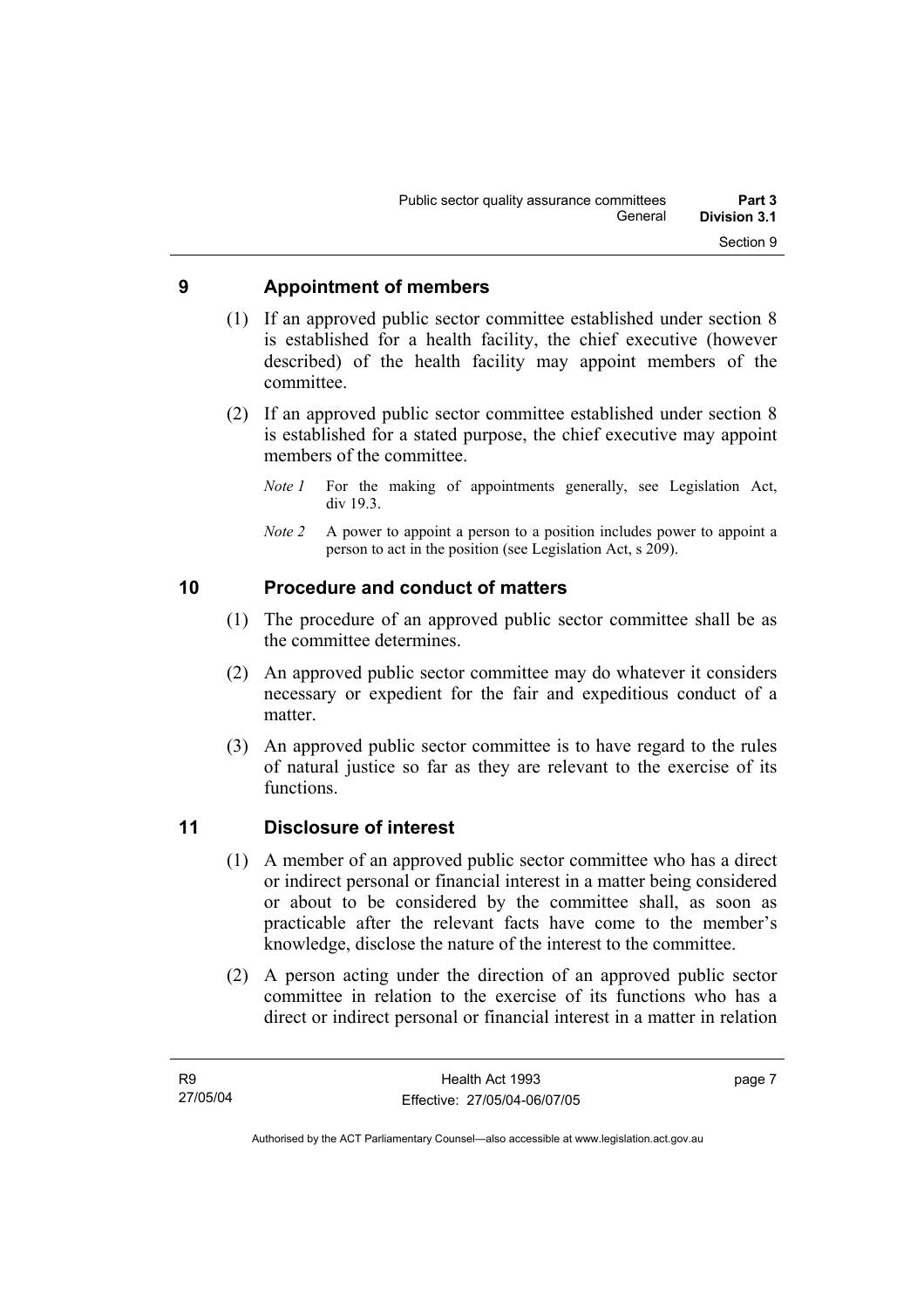## **9 Appointment of members**

- (1) If an approved public sector committee established under section 8 is established for a health facility, the chief executive (however described) of the health facility may appoint members of the committee.
- (2) If an approved public sector committee established under section 8 is established for a stated purpose, the chief executive may appoint members of the committee.
	- *Note 1* For the making of appointments generally, see Legislation Act, div 19.3.
	- *Note 2* A power to appoint a person to a position includes power to appoint a person to act in the position (see Legislation Act, s 209).

# **10 Procedure and conduct of matters**

- (1) The procedure of an approved public sector committee shall be as the committee determines.
- (2) An approved public sector committee may do whatever it considers necessary or expedient for the fair and expeditious conduct of a matter.
- (3) An approved public sector committee is to have regard to the rules of natural justice so far as they are relevant to the exercise of its functions.

# **11 Disclosure of interest**

- (1) A member of an approved public sector committee who has a direct or indirect personal or financial interest in a matter being considered or about to be considered by the committee shall, as soon as practicable after the relevant facts have come to the member's knowledge, disclose the nature of the interest to the committee.
- (2) A person acting under the direction of an approved public sector committee in relation to the exercise of its functions who has a direct or indirect personal or financial interest in a matter in relation

page 7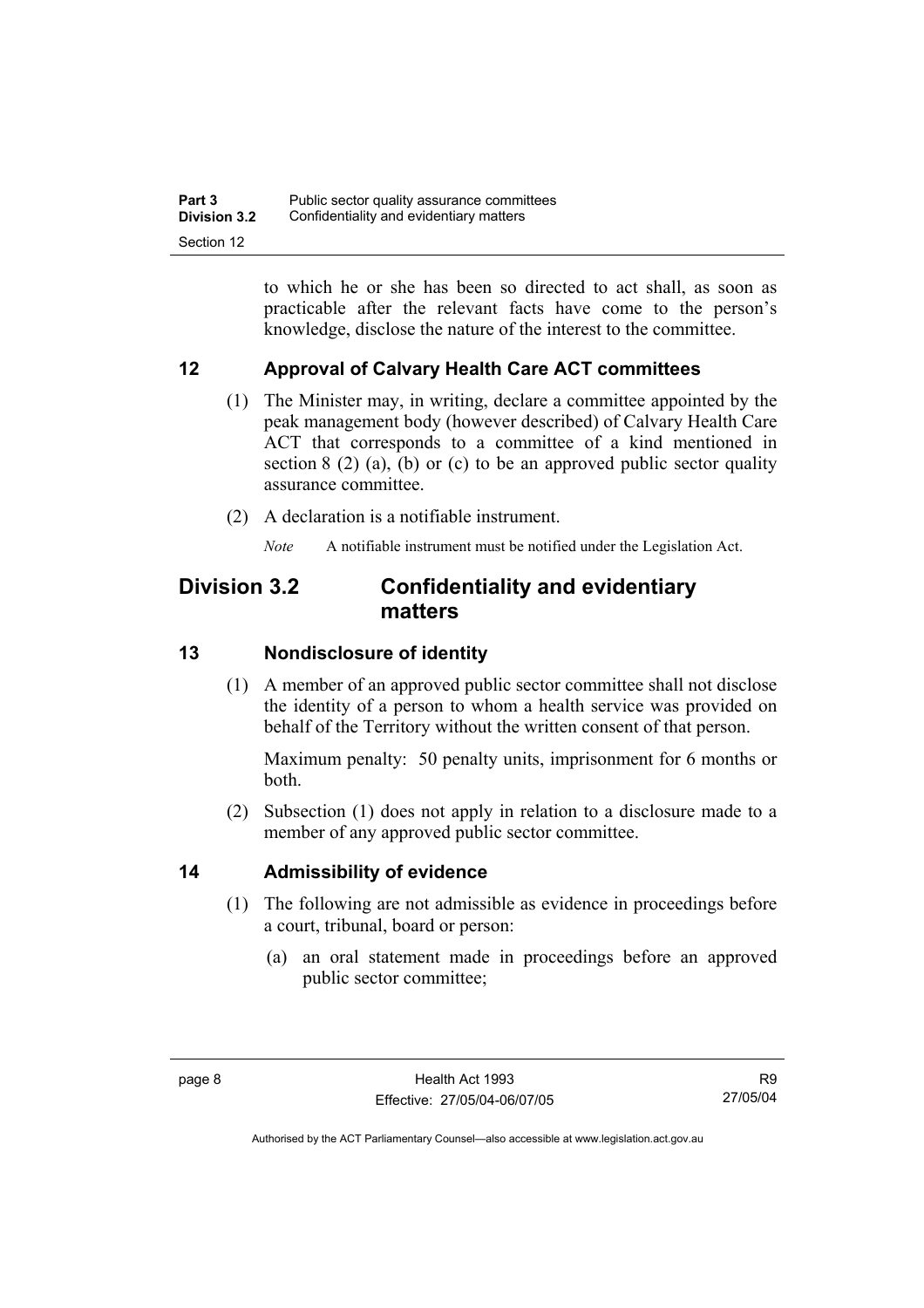to which he or she has been so directed to act shall, as soon as practicable after the relevant facts have come to the person's knowledge, disclose the nature of the interest to the committee.

# **12 Approval of Calvary Health Care ACT committees**

- (1) The Minister may, in writing, declare a committee appointed by the peak management body (however described) of Calvary Health Care ACT that corresponds to a committee of a kind mentioned in section 8 (2) (a), (b) or (c) to be an approved public sector quality assurance committee.
- (2) A declaration is a notifiable instrument.

*Note* A notifiable instrument must be notified under the Legislation Act.

# **Division 3.2 Confidentiality and evidentiary matters**

# **13 Nondisclosure of identity**

 (1) A member of an approved public sector committee shall not disclose the identity of a person to whom a health service was provided on behalf of the Territory without the written consent of that person.

Maximum penalty: 50 penalty units, imprisonment for 6 months or both.

 (2) Subsection (1) does not apply in relation to a disclosure made to a member of any approved public sector committee.

# **14 Admissibility of evidence**

- (1) The following are not admissible as evidence in proceedings before a court, tribunal, board or person:
	- (a) an oral statement made in proceedings before an approved public sector committee;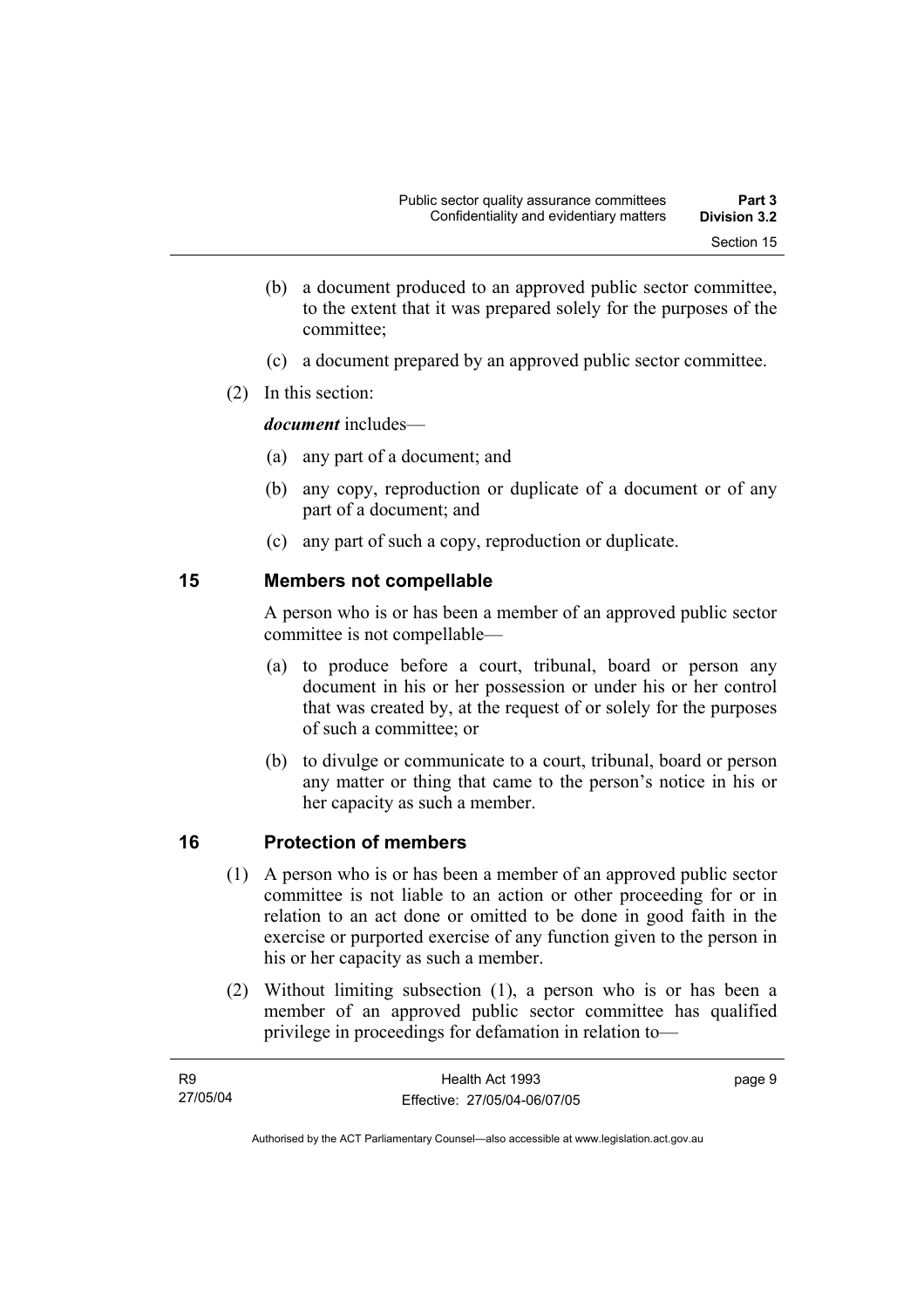- (b) a document produced to an approved public sector committee, to the extent that it was prepared solely for the purposes of the committee;
- (c) a document prepared by an approved public sector committee.
- (2) In this section:

*document* includes—

- (a) any part of a document; and
- (b) any copy, reproduction or duplicate of a document or of any part of a document; and
- (c) any part of such a copy, reproduction or duplicate.

## **15 Members not compellable**

A person who is or has been a member of an approved public sector committee is not compellable—

- (a) to produce before a court, tribunal, board or person any document in his or her possession or under his or her control that was created by, at the request of or solely for the purposes of such a committee; or
- (b) to divulge or communicate to a court, tribunal, board or person any matter or thing that came to the person's notice in his or her capacity as such a member.

# **16 Protection of members**

- (1) A person who is or has been a member of an approved public sector committee is not liable to an action or other proceeding for or in relation to an act done or omitted to be done in good faith in the exercise or purported exercise of any function given to the person in his or her capacity as such a member.
- (2) Without limiting subsection (1), a person who is or has been a member of an approved public sector committee has qualified privilege in proceedings for defamation in relation to—

| <b>R9</b> | Health Act 1993              | page 9 |
|-----------|------------------------------|--------|
| 27/05/04  | Effective: 27/05/04-06/07/05 |        |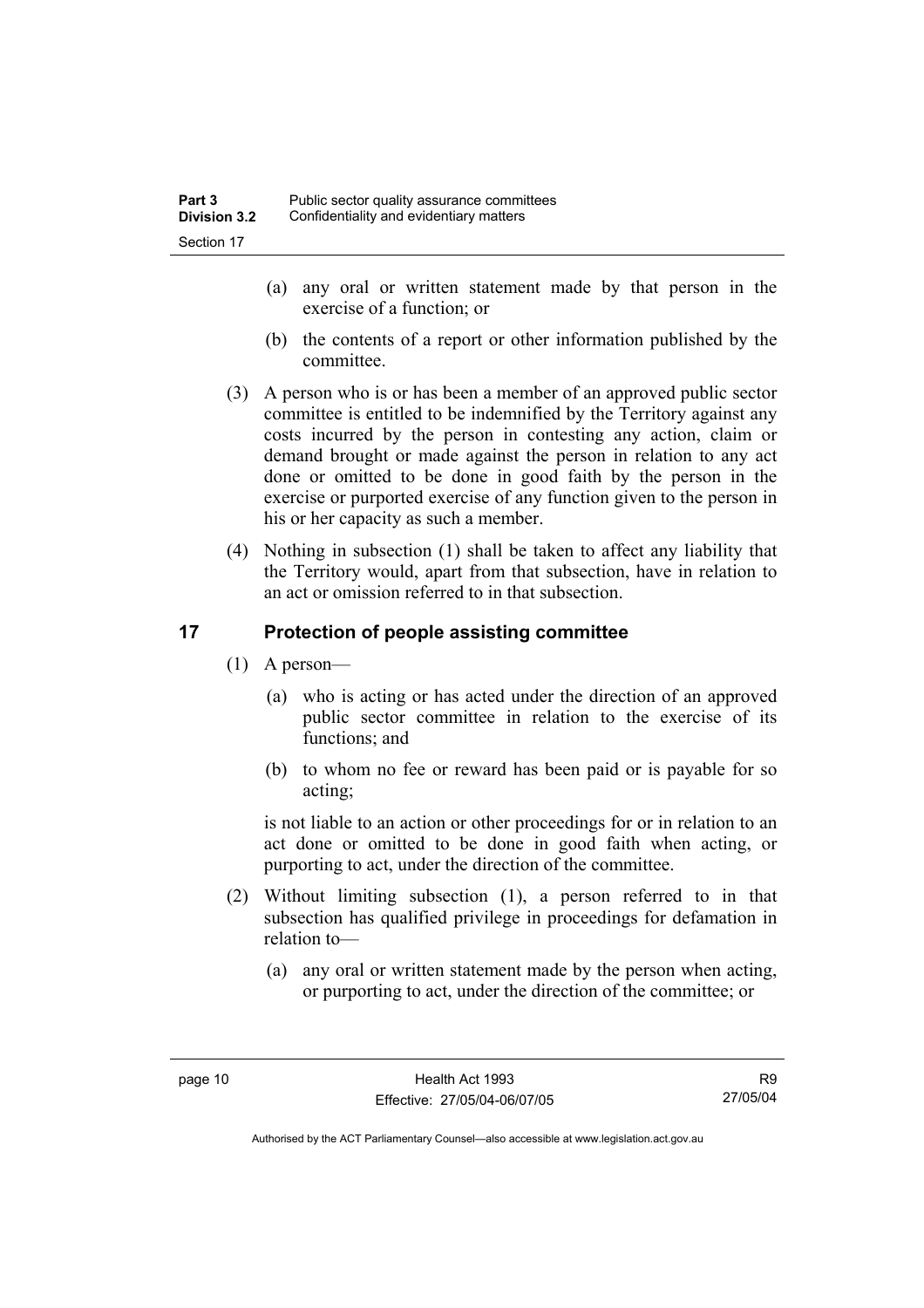- (a) any oral or written statement made by that person in the exercise of a function; or
- (b) the contents of a report or other information published by the committee.
- (3) A person who is or has been a member of an approved public sector committee is entitled to be indemnified by the Territory against any costs incurred by the person in contesting any action, claim or demand brought or made against the person in relation to any act done or omitted to be done in good faith by the person in the exercise or purported exercise of any function given to the person in his or her capacity as such a member.
- (4) Nothing in subsection (1) shall be taken to affect any liability that the Territory would, apart from that subsection, have in relation to an act or omission referred to in that subsection.

## **17 Protection of people assisting committee**

- (1) A person—
	- (a) who is acting or has acted under the direction of an approved public sector committee in relation to the exercise of its functions; and
	- (b) to whom no fee or reward has been paid or is payable for so acting;

is not liable to an action or other proceedings for or in relation to an act done or omitted to be done in good faith when acting, or purporting to act, under the direction of the committee.

- (2) Without limiting subsection (1), a person referred to in that subsection has qualified privilege in proceedings for defamation in relation to—
	- (a) any oral or written statement made by the person when acting, or purporting to act, under the direction of the committee; or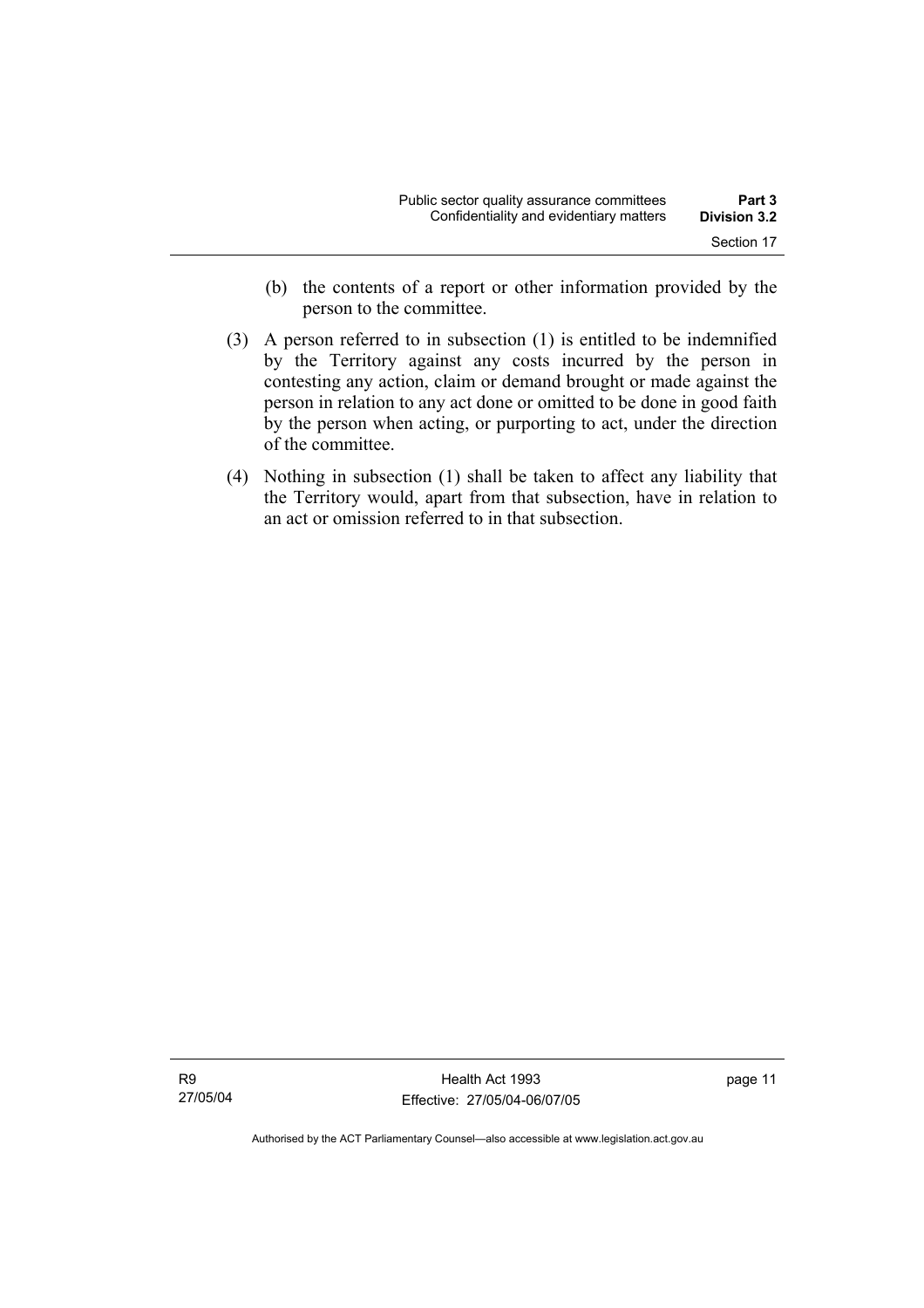- (b) the contents of a report or other information provided by the person to the committee.
- (3) A person referred to in subsection (1) is entitled to be indemnified by the Territory against any costs incurred by the person in contesting any action, claim or demand brought or made against the person in relation to any act done or omitted to be done in good faith by the person when acting, or purporting to act, under the direction of the committee.
- (4) Nothing in subsection (1) shall be taken to affect any liability that the Territory would, apart from that subsection, have in relation to an act or omission referred to in that subsection.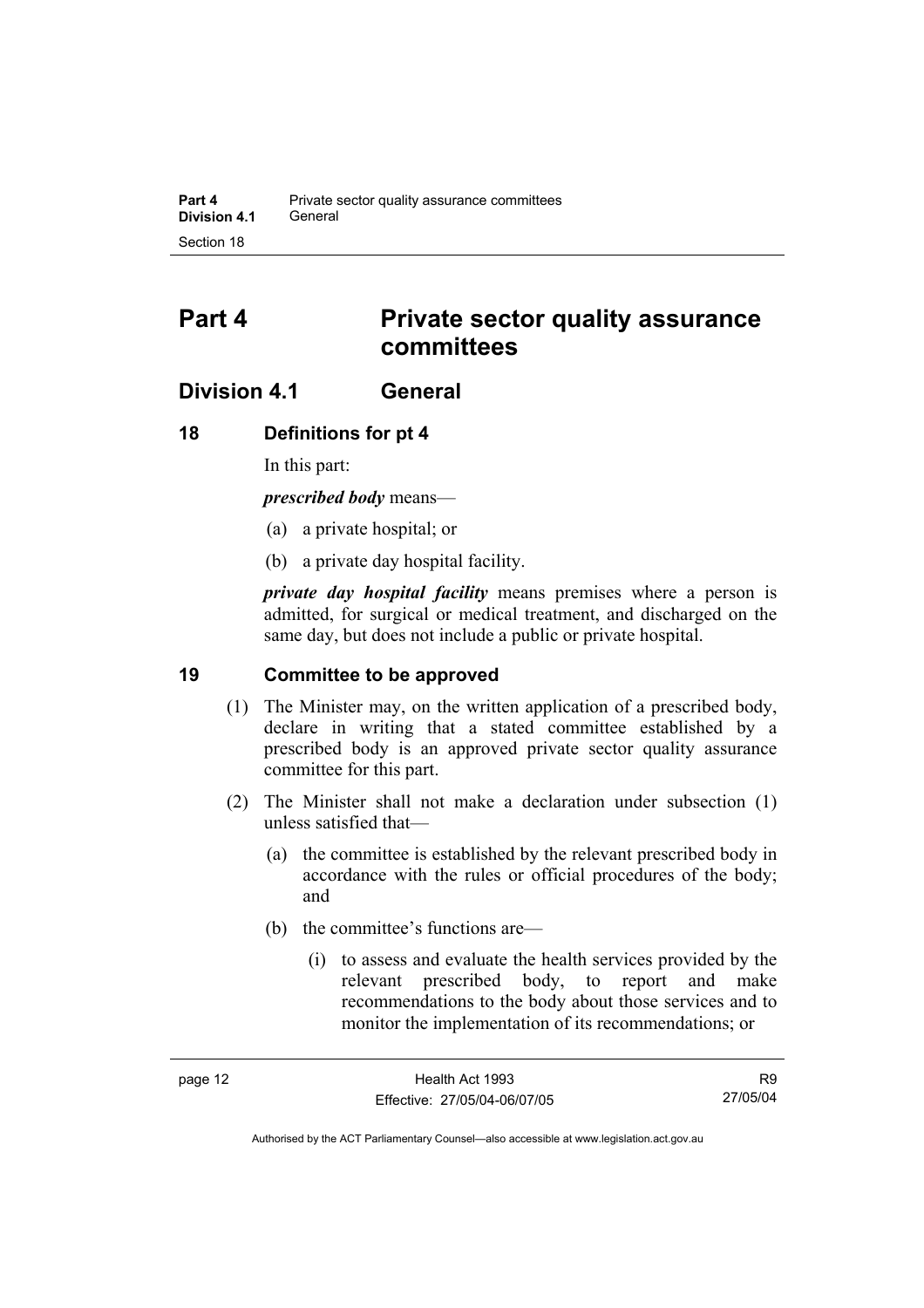# **Part 4 Private sector quality assurance committees**

# **Division 4.1 General**

## **18 Definitions for pt 4**

In this part:

*prescribed body* means—

- (a) a private hospital; or
- (b) a private day hospital facility.

*private day hospital facility* means premises where a person is admitted, for surgical or medical treatment, and discharged on the same day, but does not include a public or private hospital.

## **19 Committee to be approved**

- (1) The Minister may, on the written application of a prescribed body, declare in writing that a stated committee established by a prescribed body is an approved private sector quality assurance committee for this part.
- (2) The Minister shall not make a declaration under subsection (1) unless satisfied that—
	- (a) the committee is established by the relevant prescribed body in accordance with the rules or official procedures of the body; and
	- (b) the committee's functions are—
		- (i) to assess and evaluate the health services provided by the relevant prescribed body, to report and make recommendations to the body about those services and to monitor the implementation of its recommendations; or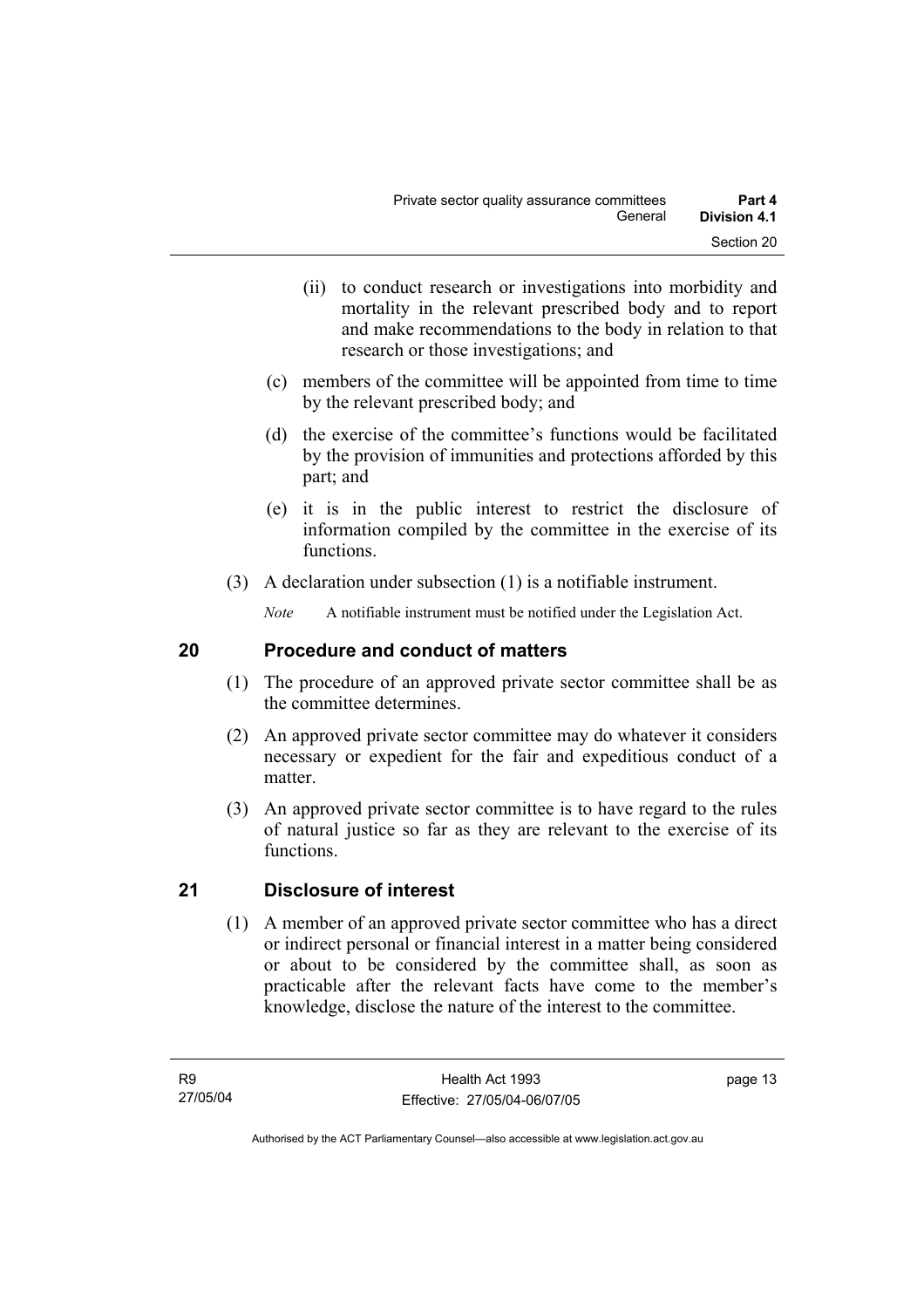- (ii) to conduct research or investigations into morbidity and mortality in the relevant prescribed body and to report and make recommendations to the body in relation to that research or those investigations; and
- (c) members of the committee will be appointed from time to time by the relevant prescribed body; and
- (d) the exercise of the committee's functions would be facilitated by the provision of immunities and protections afforded by this part; and
- (e) it is in the public interest to restrict the disclosure of information compiled by the committee in the exercise of its functions.
- (3) A declaration under subsection (1) is a notifiable instrument.

*Note* A notifiable instrument must be notified under the Legislation Act.

# **20 Procedure and conduct of matters**

- (1) The procedure of an approved private sector committee shall be as the committee determines.
- (2) An approved private sector committee may do whatever it considers necessary or expedient for the fair and expeditious conduct of a matter.
- (3) An approved private sector committee is to have regard to the rules of natural justice so far as they are relevant to the exercise of its functions.

# **21 Disclosure of interest**

 (1) A member of an approved private sector committee who has a direct or indirect personal or financial interest in a matter being considered or about to be considered by the committee shall, as soon as practicable after the relevant facts have come to the member's knowledge, disclose the nature of the interest to the committee.

page 13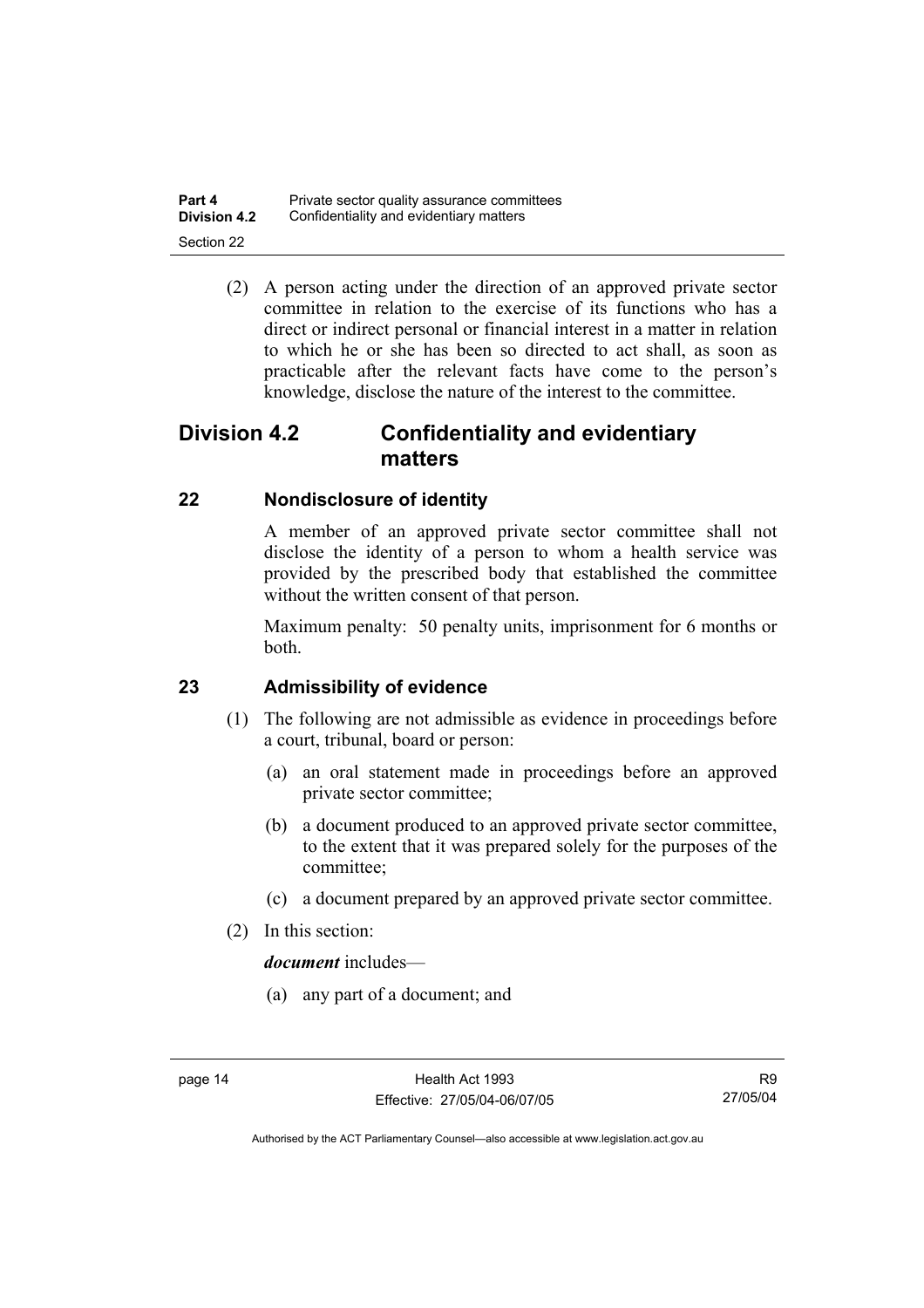| Part 4              | Private sector quality assurance committees |
|---------------------|---------------------------------------------|
| <b>Division 4.2</b> | Confidentiality and evidentiary matters     |
| Section 22          |                                             |

 (2) A person acting under the direction of an approved private sector committee in relation to the exercise of its functions who has a direct or indirect personal or financial interest in a matter in relation to which he or she has been so directed to act shall, as soon as practicable after the relevant facts have come to the person's knowledge, disclose the nature of the interest to the committee.

# **Division 4.2 Confidentiality and evidentiary matters**

# **22 Nondisclosure of identity**

A member of an approved private sector committee shall not disclose the identity of a person to whom a health service was provided by the prescribed body that established the committee without the written consent of that person.

Maximum penalty: 50 penalty units, imprisonment for 6 months or both.

# **23 Admissibility of evidence**

- (1) The following are not admissible as evidence in proceedings before a court, tribunal, board or person:
	- (a) an oral statement made in proceedings before an approved private sector committee;
	- (b) a document produced to an approved private sector committee, to the extent that it was prepared solely for the purposes of the committee;
	- (c) a document prepared by an approved private sector committee.
- (2) In this section:

*document* includes—

(a) any part of a document; and

R9 27/05/04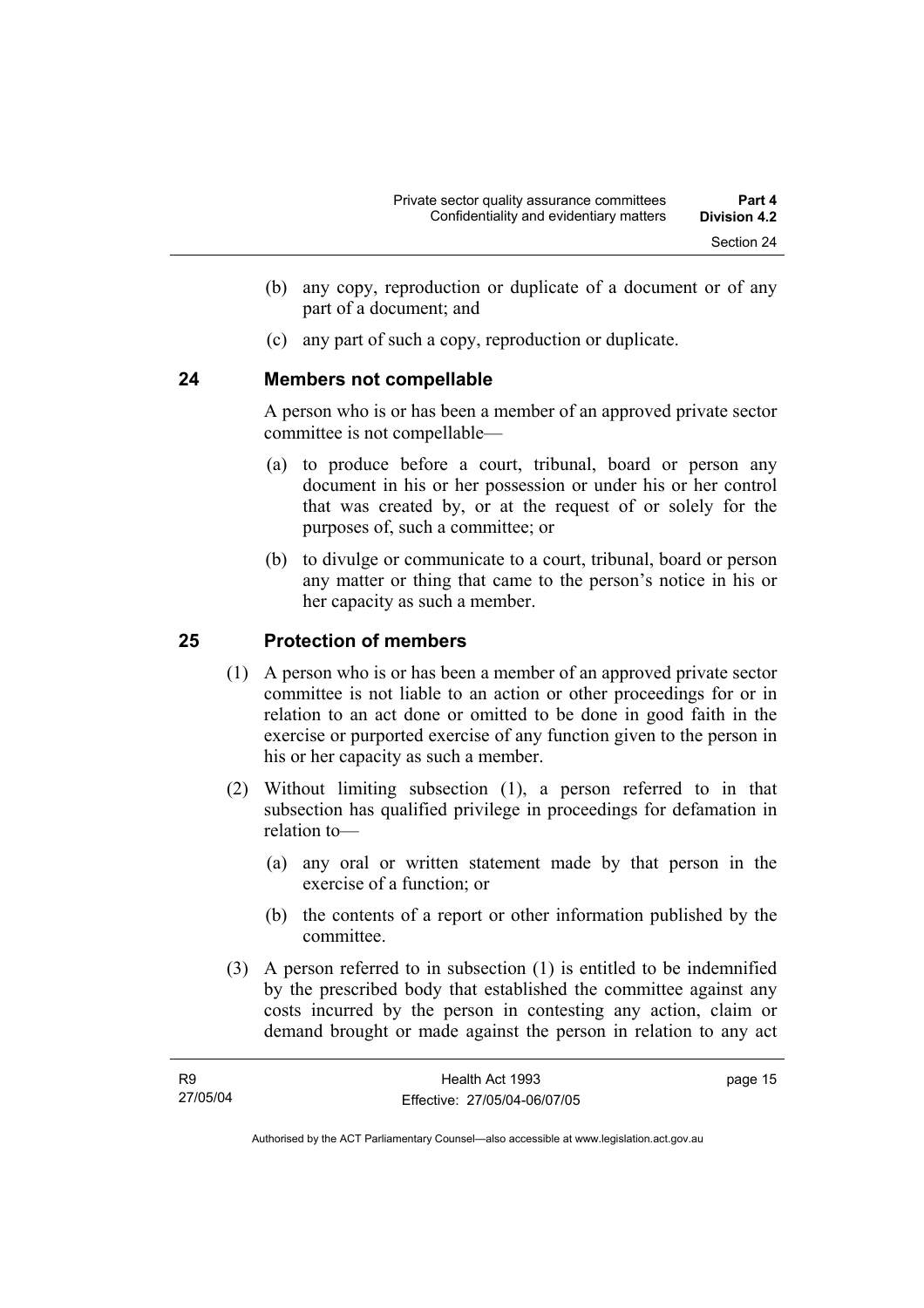- (b) any copy, reproduction or duplicate of a document or of any part of a document; and
- (c) any part of such a copy, reproduction or duplicate.

## **24 Members not compellable**

A person who is or has been a member of an approved private sector committee is not compellable—

- (a) to produce before a court, tribunal, board or person any document in his or her possession or under his or her control that was created by, or at the request of or solely for the purposes of, such a committee; or
- (b) to divulge or communicate to a court, tribunal, board or person any matter or thing that came to the person's notice in his or her capacity as such a member.

# **25 Protection of members**

- (1) A person who is or has been a member of an approved private sector committee is not liable to an action or other proceedings for or in relation to an act done or omitted to be done in good faith in the exercise or purported exercise of any function given to the person in his or her capacity as such a member.
- (2) Without limiting subsection (1), a person referred to in that subsection has qualified privilege in proceedings for defamation in relation to—
	- (a) any oral or written statement made by that person in the exercise of a function; or
	- (b) the contents of a report or other information published by the committee.
- (3) A person referred to in subsection (1) is entitled to be indemnified by the prescribed body that established the committee against any costs incurred by the person in contesting any action, claim or demand brought or made against the person in relation to any act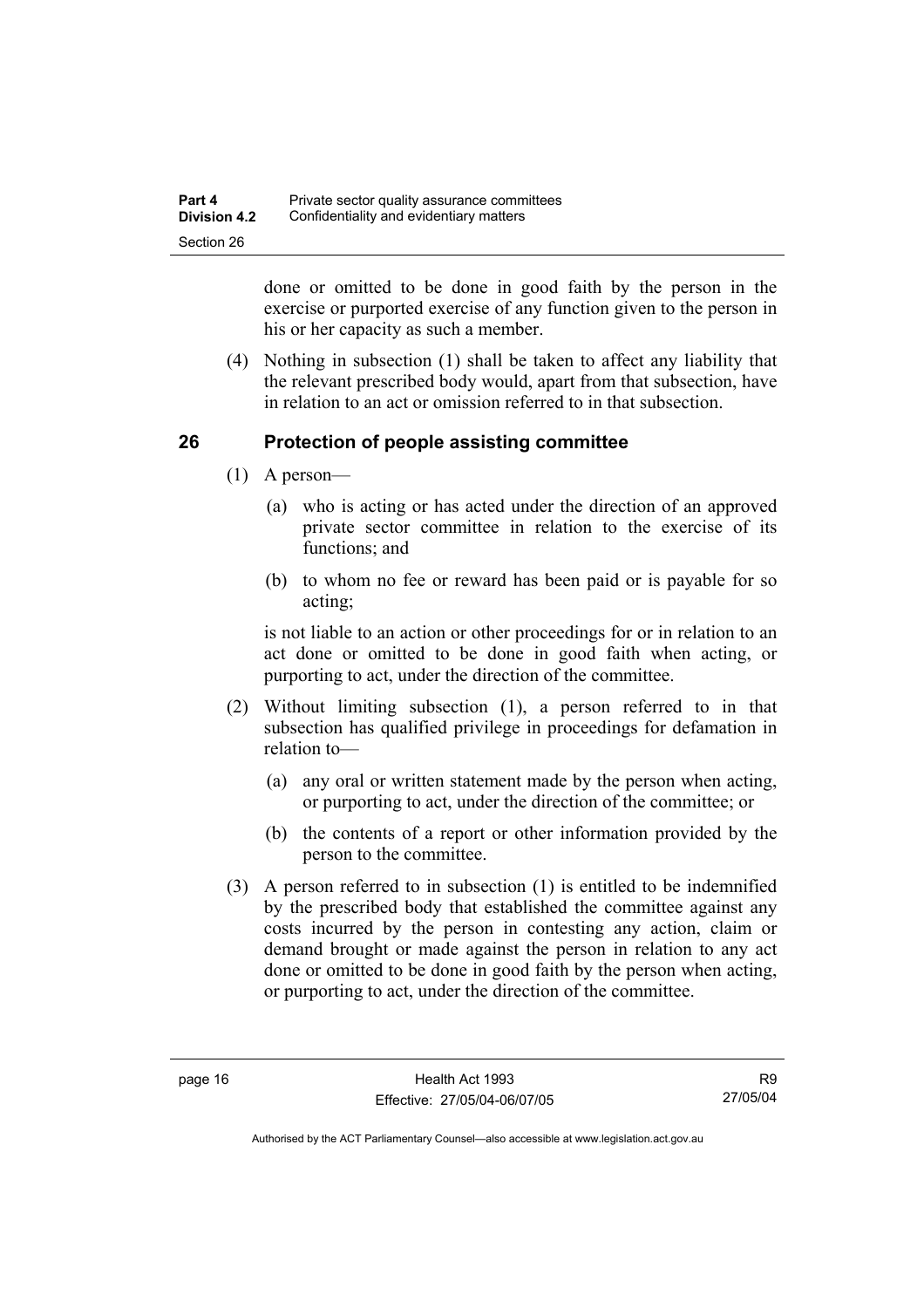| Part 4              | Private sector quality assurance committees |
|---------------------|---------------------------------------------|
| <b>Division 4.2</b> | Confidentiality and evidentiary matters     |
| Section 26          |                                             |

done or omitted to be done in good faith by the person in the exercise or purported exercise of any function given to the person in his or her capacity as such a member.

 (4) Nothing in subsection (1) shall be taken to affect any liability that the relevant prescribed body would, apart from that subsection, have in relation to an act or omission referred to in that subsection.

## **26 Protection of people assisting committee**

- (1) A person—
	- (a) who is acting or has acted under the direction of an approved private sector committee in relation to the exercise of its functions; and
	- (b) to whom no fee or reward has been paid or is payable for so acting;

is not liable to an action or other proceedings for or in relation to an act done or omitted to be done in good faith when acting, or purporting to act, under the direction of the committee.

- (2) Without limiting subsection (1), a person referred to in that subsection has qualified privilege in proceedings for defamation in relation to—
	- (a) any oral or written statement made by the person when acting, or purporting to act, under the direction of the committee; or
	- (b) the contents of a report or other information provided by the person to the committee.
- (3) A person referred to in subsection (1) is entitled to be indemnified by the prescribed body that established the committee against any costs incurred by the person in contesting any action, claim or demand brought or made against the person in relation to any act done or omitted to be done in good faith by the person when acting, or purporting to act, under the direction of the committee.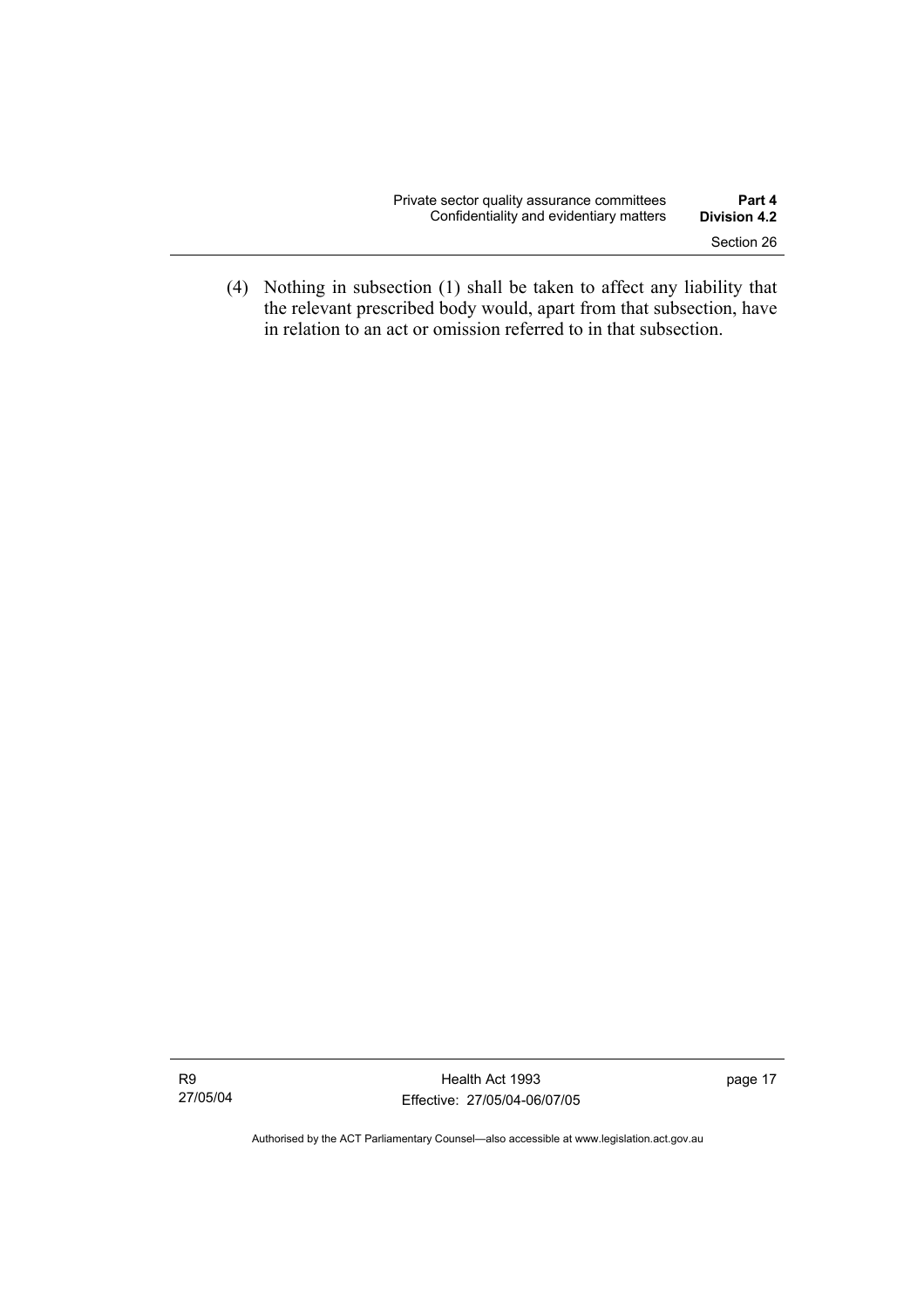| Private sector quality assurance committees | Part 4              |
|---------------------------------------------|---------------------|
| Confidentiality and evidentiary matters     | <b>Division 4.2</b> |
|                                             | Section 26          |

 (4) Nothing in subsection (1) shall be taken to affect any liability that the relevant prescribed body would, apart from that subsection, have in relation to an act or omission referred to in that subsection.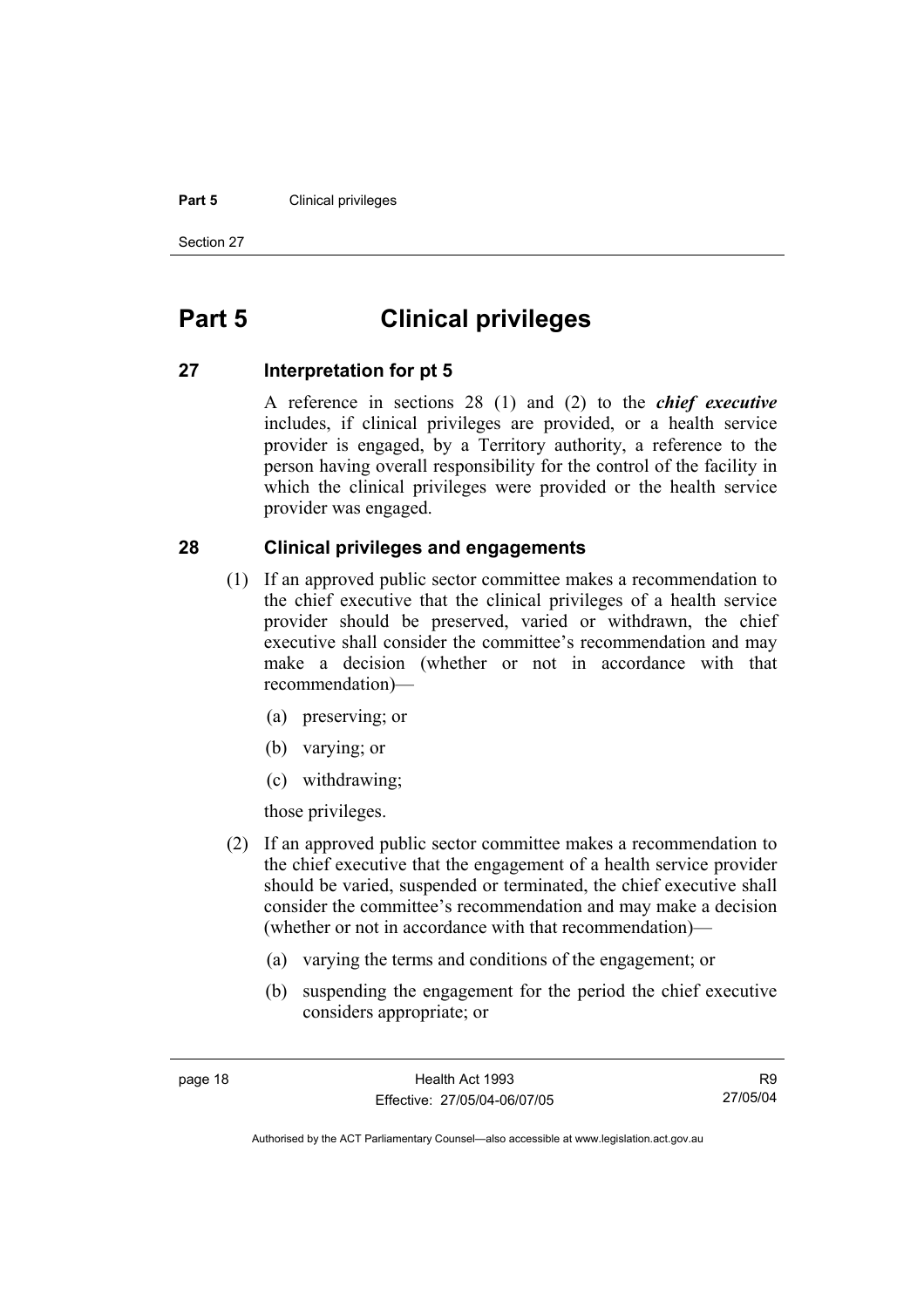#### **Part 5 Clinical privileges**

Section 27

# **Part 5 Clinical privileges**

### **27 Interpretation for pt 5**

A reference in sections 28 (1) and (2) to the *chief executive* includes, if clinical privileges are provided, or a health service provider is engaged, by a Territory authority, a reference to the person having overall responsibility for the control of the facility in which the clinical privileges were provided or the health service provider was engaged.

### **28 Clinical privileges and engagements**

- (1) If an approved public sector committee makes a recommendation to the chief executive that the clinical privileges of a health service provider should be preserved, varied or withdrawn, the chief executive shall consider the committee's recommendation and may make a decision (whether or not in accordance with that recommendation)—
	- (a) preserving; or
	- (b) varying; or
	- (c) withdrawing;

those privileges.

- (2) If an approved public sector committee makes a recommendation to the chief executive that the engagement of a health service provider should be varied, suspended or terminated, the chief executive shall consider the committee's recommendation and may make a decision (whether or not in accordance with that recommendation)—
	- (a) varying the terms and conditions of the engagement; or
	- (b) suspending the engagement for the period the chief executive considers appropriate; or

R9 27/05/04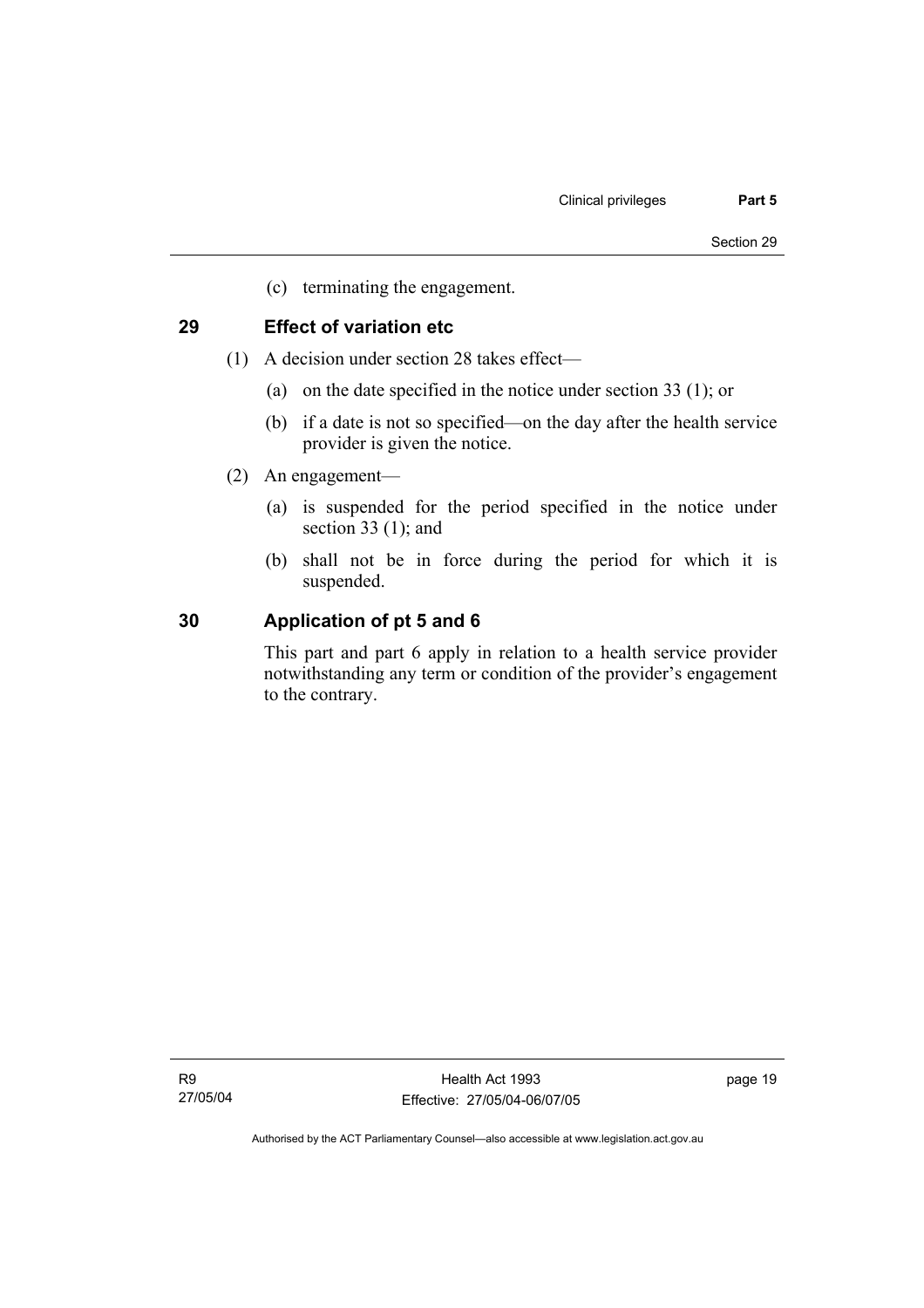(c) terminating the engagement.

# **29 Effect of variation etc**

- (1) A decision under section 28 takes effect—
	- (a) on the date specified in the notice under section 33 (1); or
	- (b) if a date is not so specified—on the day after the health service provider is given the notice.
- (2) An engagement—
	- (a) is suspended for the period specified in the notice under section 33 (1); and
	- (b) shall not be in force during the period for which it is suspended.

## **30 Application of pt 5 and 6**

This part and part 6 apply in relation to a health service provider notwithstanding any term or condition of the provider's engagement to the contrary.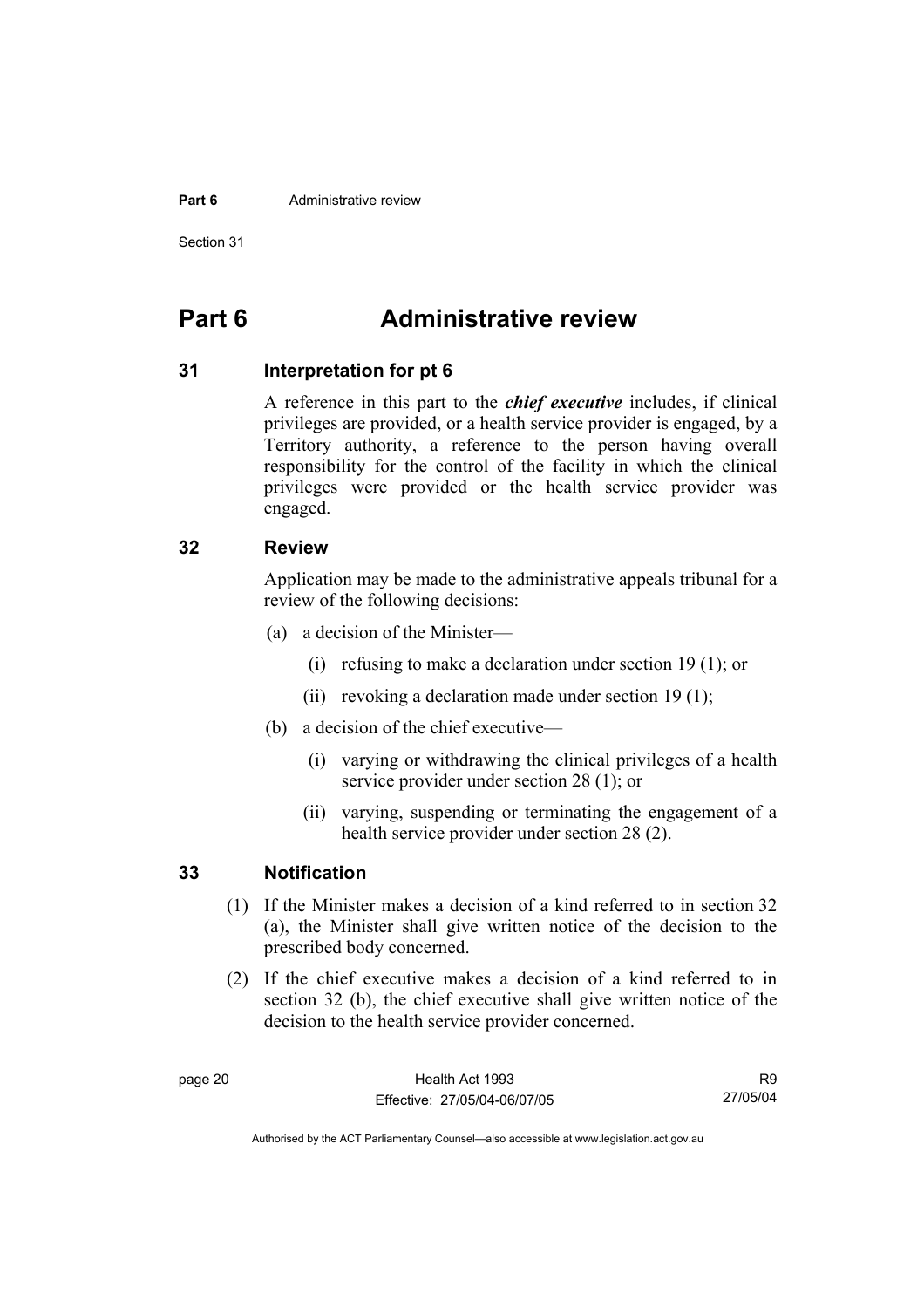#### **Part 6 Administrative review**

Section 31

# **Part 6 Administrative review**

### **31 Interpretation for pt 6**

A reference in this part to the *chief executive* includes, if clinical privileges are provided, or a health service provider is engaged, by a Territory authority, a reference to the person having overall responsibility for the control of the facility in which the clinical privileges were provided or the health service provider was engaged.

### **32 Review**

Application may be made to the administrative appeals tribunal for a review of the following decisions:

- (a) a decision of the Minister—
	- (i) refusing to make a declaration under section 19 (1); or
	- (ii) revoking a declaration made under section 19 (1);
- (b) a decision of the chief executive—
	- (i) varying or withdrawing the clinical privileges of a health service provider under section 28 (1); or
	- (ii) varying, suspending or terminating the engagement of a health service provider under section 28 (2).

### **33 Notification**

- (1) If the Minister makes a decision of a kind referred to in section 32 (a), the Minister shall give written notice of the decision to the prescribed body concerned.
- (2) If the chief executive makes a decision of a kind referred to in section 32 (b), the chief executive shall give written notice of the decision to the health service provider concerned.

R9 27/05/04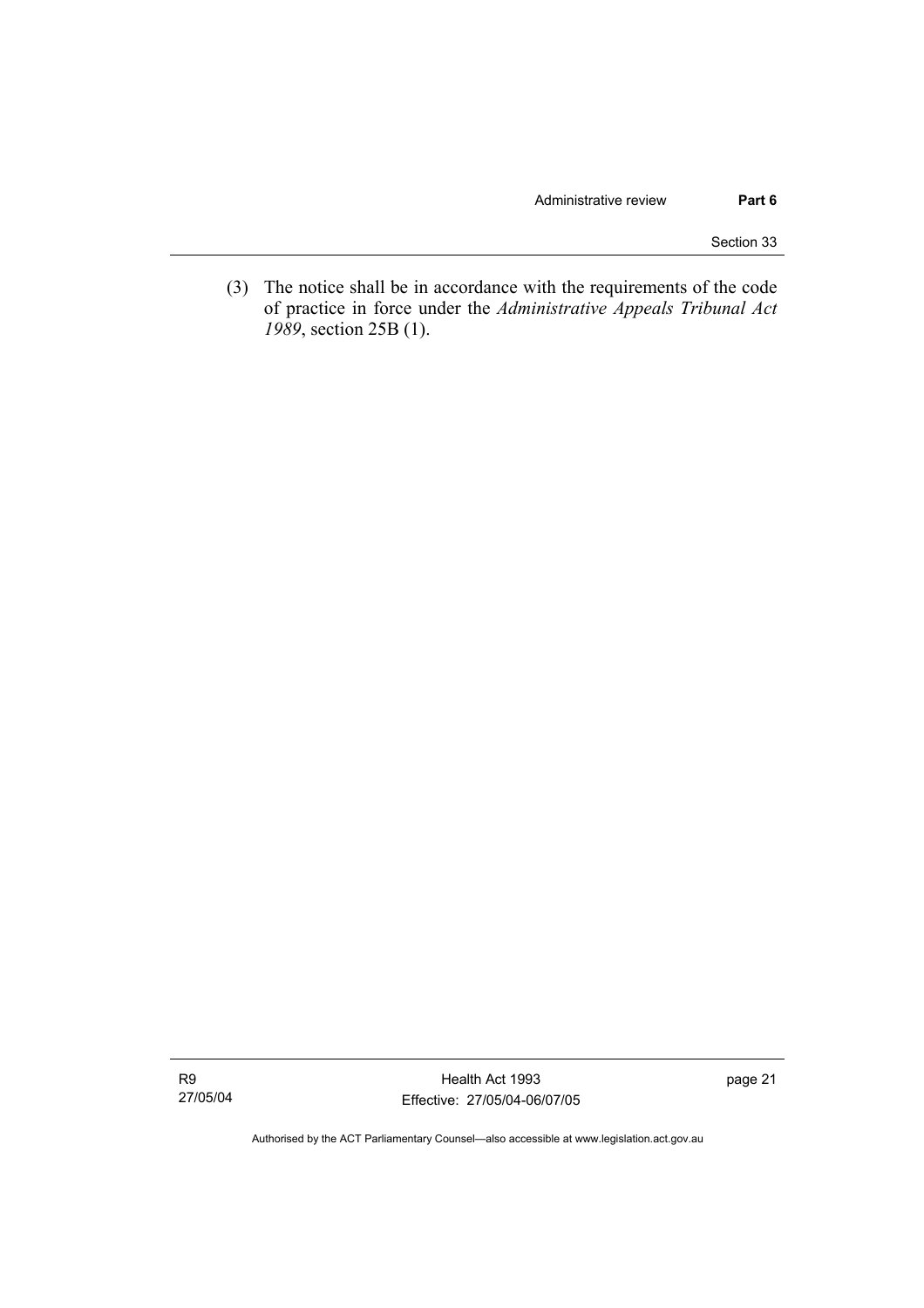Section 33

 (3) The notice shall be in accordance with the requirements of the code of practice in force under the *Administrative Appeals Tribunal Act 1989*, section 25B (1).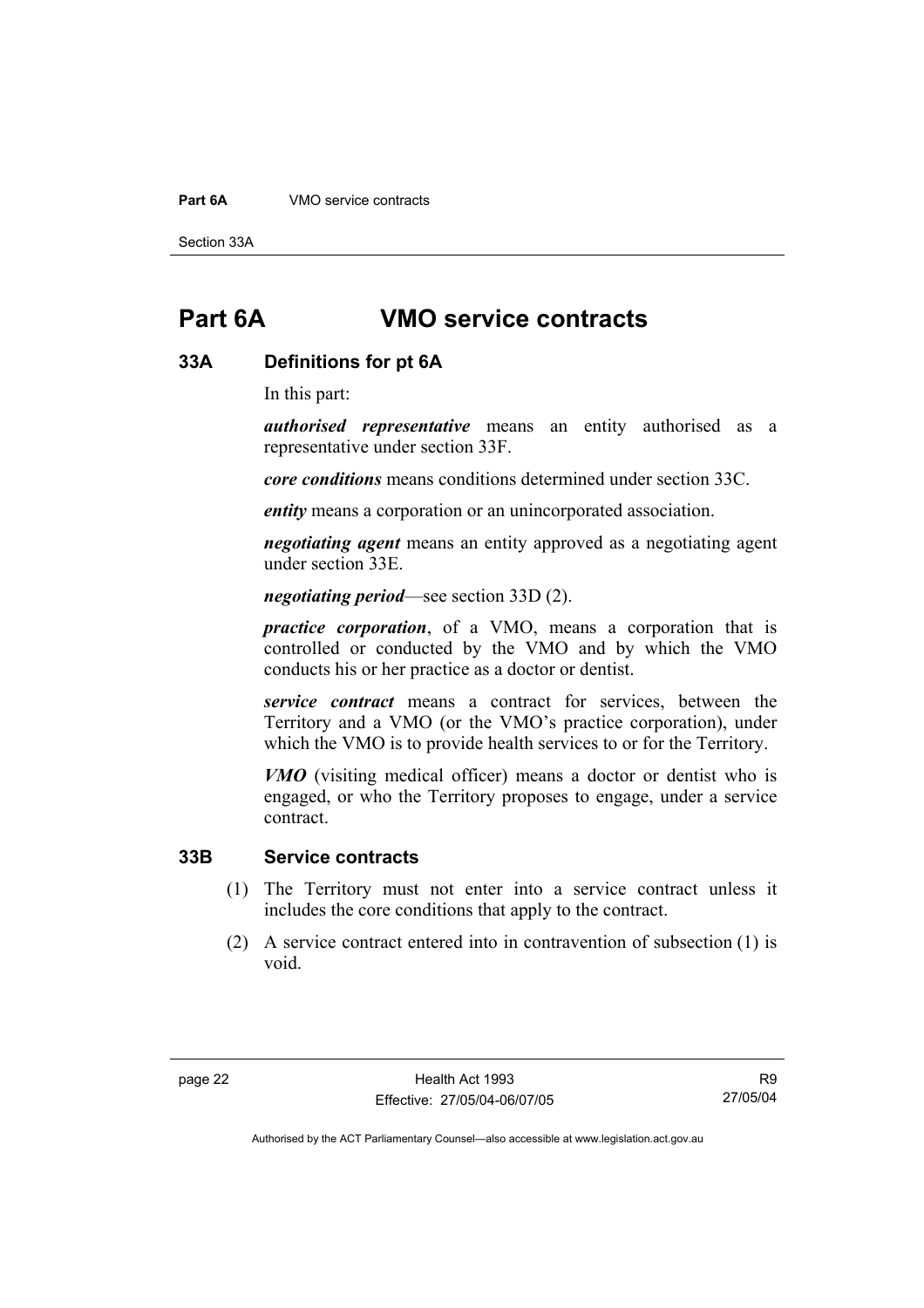#### **Part 6A** VMO service contracts

Section 33A

# **Part 6A VMO service contracts**

#### **33A Definitions for pt 6A**

In this part:

*authorised representative* means an entity authorised as a representative under section 33F.

*core conditions* means conditions determined under section 33C.

*entity* means a corporation or an unincorporated association.

*negotiating agent* means an entity approved as a negotiating agent under section 33E.

*negotiating period*—see section 33D (2).

*practice corporation*, of a VMO, means a corporation that is controlled or conducted by the VMO and by which the VMO conducts his or her practice as a doctor or dentist.

*service contract* means a contract for services, between the Territory and a VMO (or the VMO's practice corporation), under which the VMO is to provide health services to or for the Territory.

*VMO* (visiting medical officer) means a doctor or dentist who is engaged, or who the Territory proposes to engage, under a service contract.

### **33B Service contracts**

- (1) The Territory must not enter into a service contract unless it includes the core conditions that apply to the contract.
- (2) A service contract entered into in contravention of subsection (1) is void.

R9 27/05/04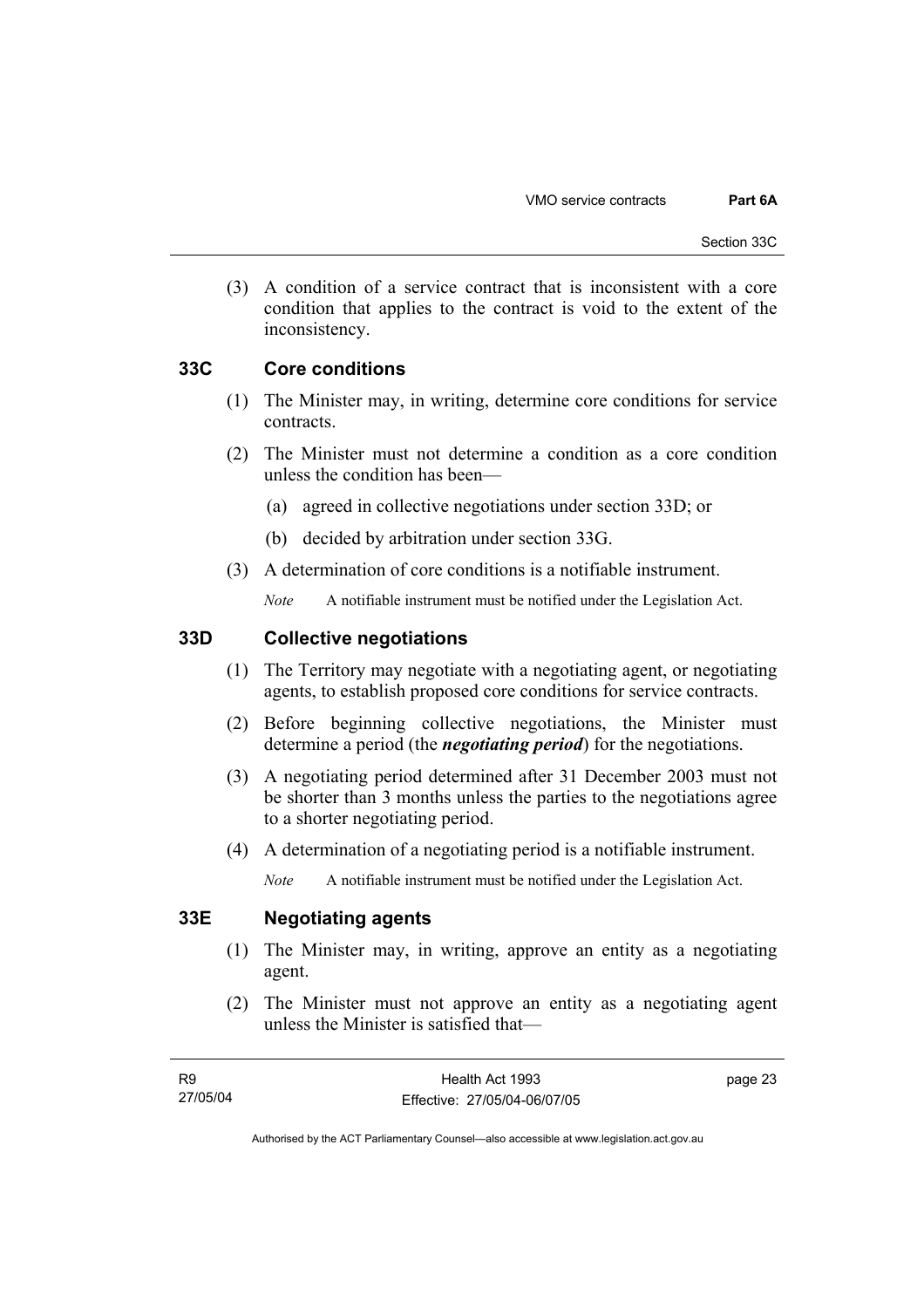(3) A condition of a service contract that is inconsistent with a core condition that applies to the contract is void to the extent of the inconsistency.

### **33C Core conditions**

- (1) The Minister may, in writing, determine core conditions for service contracts.
- (2) The Minister must not determine a condition as a core condition unless the condition has been—
	- (a) agreed in collective negotiations under section 33D; or
	- (b) decided by arbitration under section 33G.
- (3) A determination of core conditions is a notifiable instrument.

*Note* A notifiable instrument must be notified under the Legislation Act.

## **33D Collective negotiations**

- (1) The Territory may negotiate with a negotiating agent, or negotiating agents, to establish proposed core conditions for service contracts.
- (2) Before beginning collective negotiations, the Minister must determine a period (the *negotiating period*) for the negotiations.
- (3) A negotiating period determined after 31 December 2003 must not be shorter than 3 months unless the parties to the negotiations agree to a shorter negotiating period.
- (4) A determination of a negotiating period is a notifiable instrument.

*Note* A notifiable instrument must be notified under the Legislation Act.

## **33E Negotiating agents**

- (1) The Minister may, in writing, approve an entity as a negotiating agent.
- (2) The Minister must not approve an entity as a negotiating agent unless the Minister is satisfied that—

page 23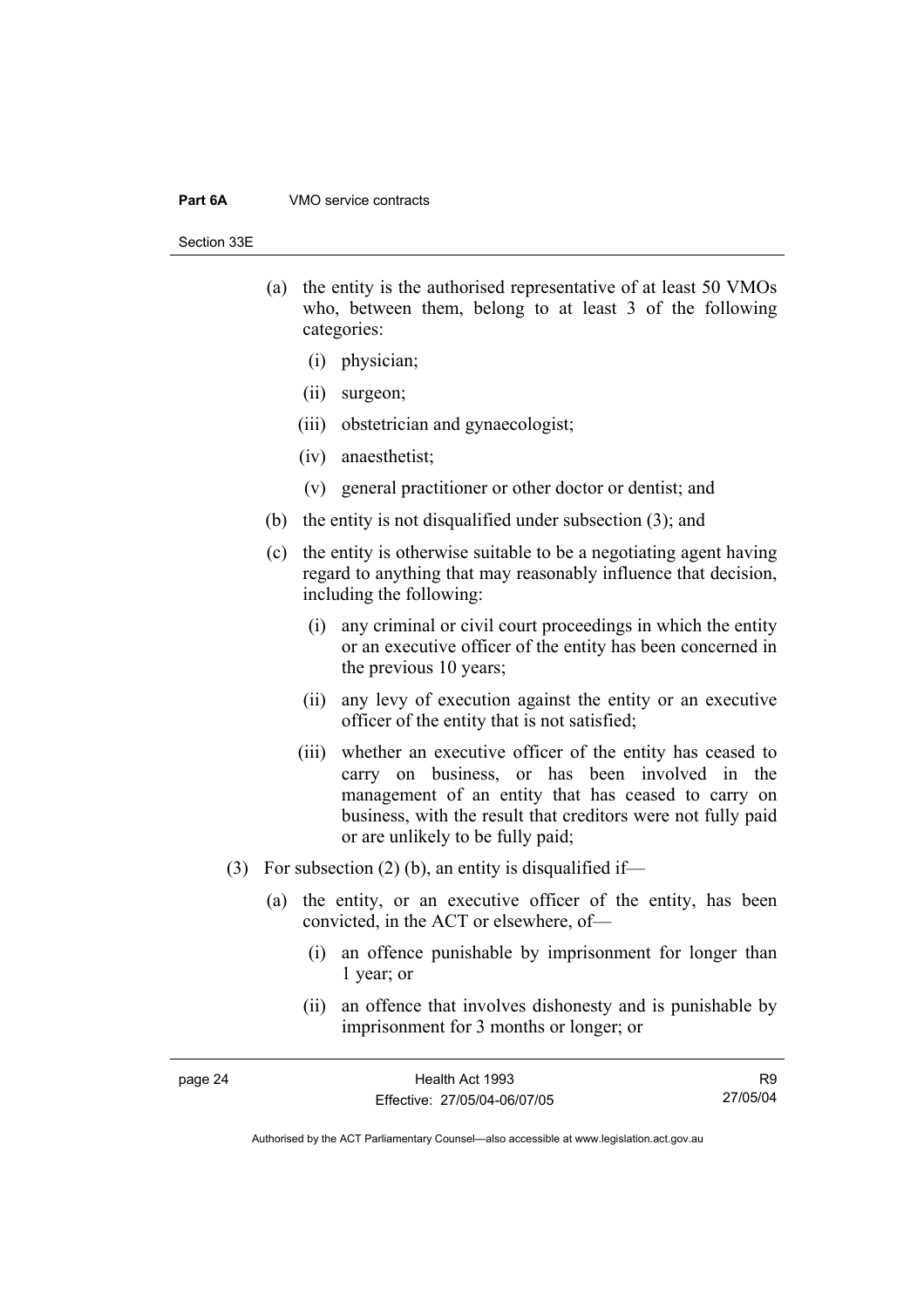#### **Part 6A** VMO service contracts

Section 33E

- (a) the entity is the authorised representative of at least 50 VMOs who, between them, belong to at least 3 of the following categories:
	- (i) physician;
	- (ii) surgeon;
	- (iii) obstetrician and gynaecologist;
	- (iv) anaesthetist;
	- (v) general practitioner or other doctor or dentist; and
- (b) the entity is not disqualified under subsection (3); and
- (c) the entity is otherwise suitable to be a negotiating agent having regard to anything that may reasonably influence that decision, including the following:
	- (i) any criminal or civil court proceedings in which the entity or an executive officer of the entity has been concerned in the previous 10 years;
	- (ii) any levy of execution against the entity or an executive officer of the entity that is not satisfied;
	- (iii) whether an executive officer of the entity has ceased to carry on business, or has been involved in the management of an entity that has ceased to carry on business, with the result that creditors were not fully paid or are unlikely to be fully paid;
- (3) For subsection (2) (b), an entity is disqualified if-
	- (a) the entity, or an executive officer of the entity, has been convicted, in the ACT or elsewhere, of—
		- (i) an offence punishable by imprisonment for longer than 1 year; or
		- (ii) an offence that involves dishonesty and is punishable by imprisonment for 3 months or longer; or

R9 27/05/04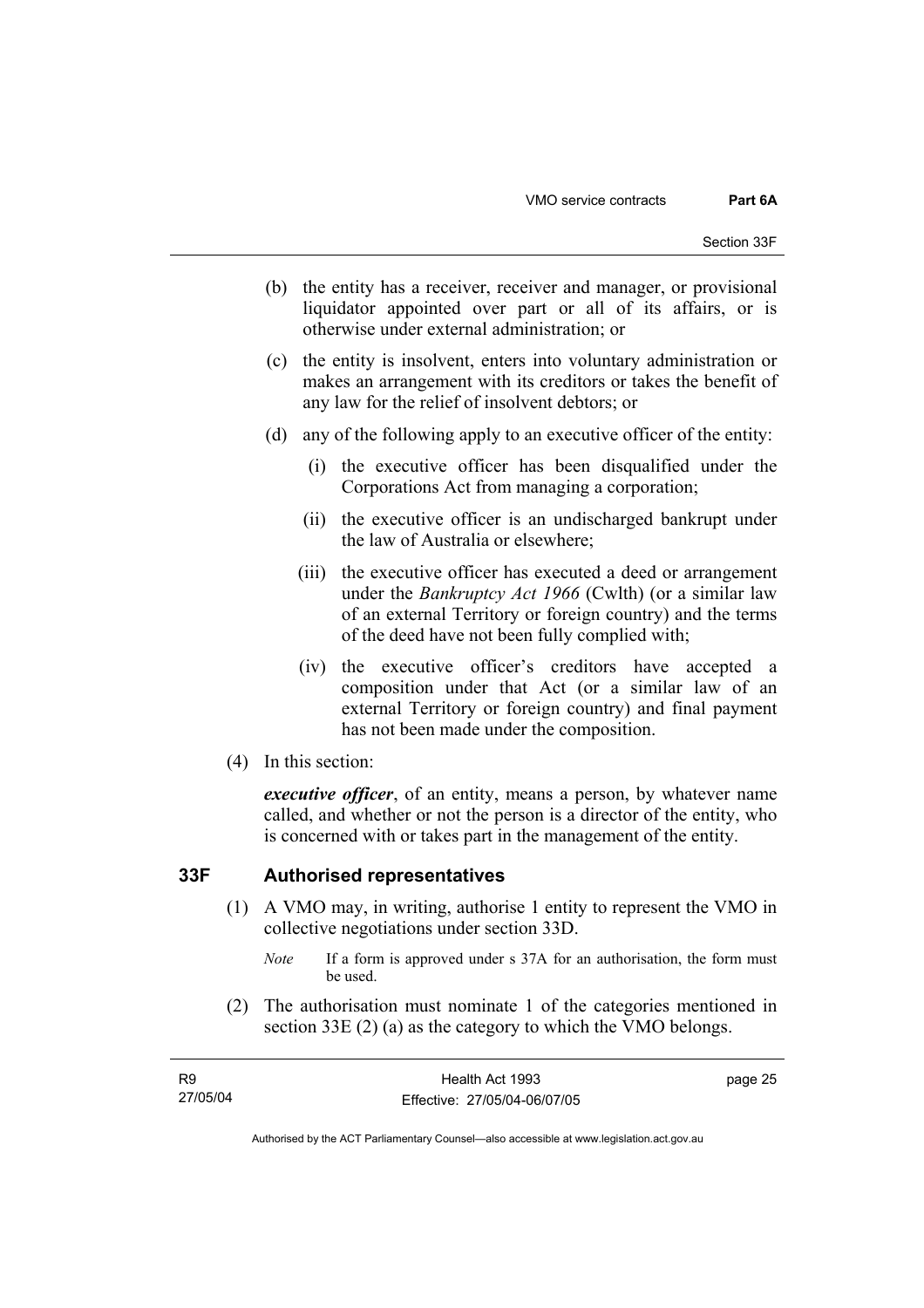- (b) the entity has a receiver, receiver and manager, or provisional liquidator appointed over part or all of its affairs, or is otherwise under external administration; or
- (c) the entity is insolvent, enters into voluntary administration or makes an arrangement with its creditors or takes the benefit of any law for the relief of insolvent debtors; or
- (d) any of the following apply to an executive officer of the entity:
	- (i) the executive officer has been disqualified under the Corporations Act from managing a corporation;
	- (ii) the executive officer is an undischarged bankrupt under the law of Australia or elsewhere;
	- (iii) the executive officer has executed a deed or arrangement under the *Bankruptcy Act 1966* (Cwlth) (or a similar law of an external Territory or foreign country) and the terms of the deed have not been fully complied with;
	- (iv) the executive officer's creditors have accepted a composition under that Act (or a similar law of an external Territory or foreign country) and final payment has not been made under the composition.
- (4) In this section:

*executive officer*, of an entity, means a person, by whatever name called, and whether or not the person is a director of the entity, who is concerned with or takes part in the management of the entity.

### **33F Authorised representatives**

- (1) A VMO may, in writing, authorise 1 entity to represent the VMO in collective negotiations under section 33D.
	- *Note* If a form is approved under s 37A for an authorisation, the form must be used.
- (2) The authorisation must nominate 1 of the categories mentioned in section 33E (2) (a) as the category to which the VMO belongs.

| R9       | Health Act 1993              | page 25 |
|----------|------------------------------|---------|
| 27/05/04 | Effective: 27/05/04-06/07/05 |         |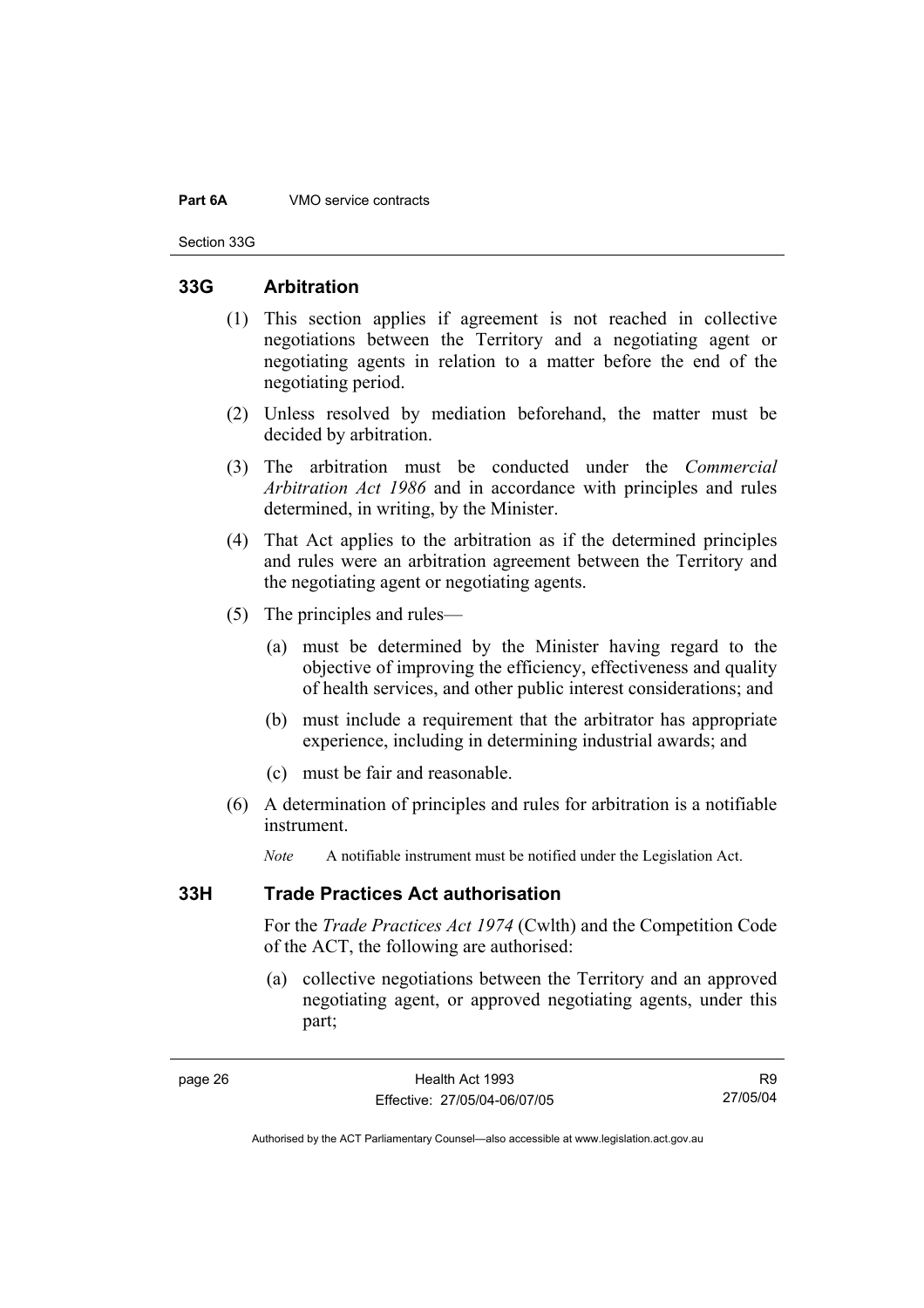#### **Part 6A** VMO service contracts

Section 33G

### **33G Arbitration**

- (1) This section applies if agreement is not reached in collective negotiations between the Territory and a negotiating agent or negotiating agents in relation to a matter before the end of the negotiating period.
- (2) Unless resolved by mediation beforehand, the matter must be decided by arbitration.
- (3) The arbitration must be conducted under the *Commercial Arbitration Act 1986* and in accordance with principles and rules determined, in writing, by the Minister.
- (4) That Act applies to the arbitration as if the determined principles and rules were an arbitration agreement between the Territory and the negotiating agent or negotiating agents.
- (5) The principles and rules—
	- (a) must be determined by the Minister having regard to the objective of improving the efficiency, effectiveness and quality of health services, and other public interest considerations; and
	- (b) must include a requirement that the arbitrator has appropriate experience, including in determining industrial awards; and
	- (c) must be fair and reasonable.
- (6) A determination of principles and rules for arbitration is a notifiable instrument.

*Note* A notifiable instrument must be notified under the Legislation Act.

### **33H Trade Practices Act authorisation**

For the *Trade Practices Act 1974* (Cwlth) and the Competition Code of the ACT, the following are authorised:

 (a) collective negotiations between the Territory and an approved negotiating agent, or approved negotiating agents, under this part;

R9 27/05/04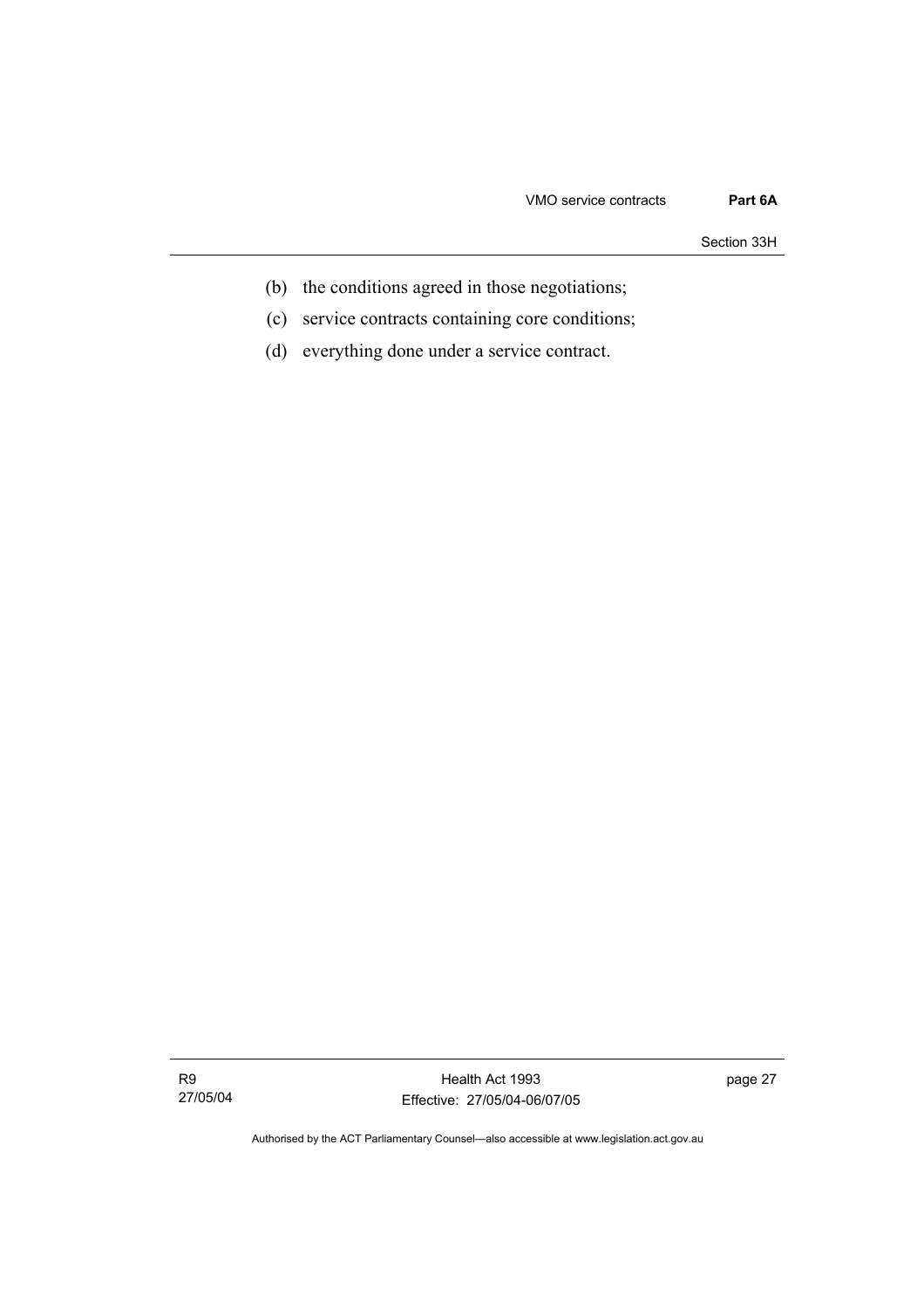Section 33H

- (b) the conditions agreed in those negotiations;
- (c) service contracts containing core conditions;
- (d) everything done under a service contract.

R9 27/05/04

Health Act 1993 Effective: 27/05/04-06/07/05 page 27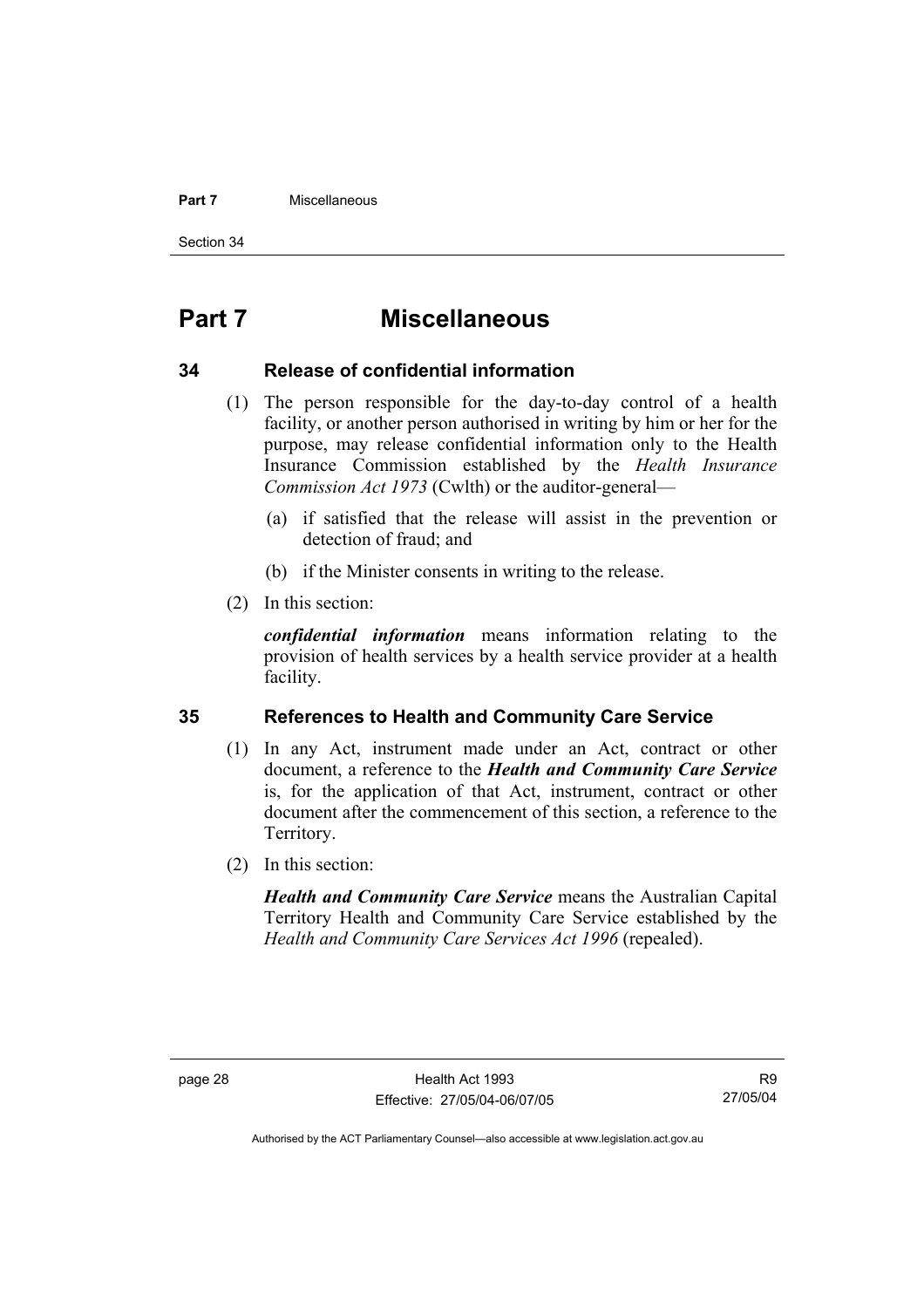#### **Part 7** Miscellaneous

Section 34

# **Part 7 Miscellaneous**

#### **34 Release of confidential information**

- (1) The person responsible for the day-to-day control of a health facility, or another person authorised in writing by him or her for the purpose, may release confidential information only to the Health Insurance Commission established by the *Health Insurance Commission Act 1973* (Cwlth) or the auditor-general—
	- (a) if satisfied that the release will assist in the prevention or detection of fraud; and
	- (b) if the Minister consents in writing to the release.
- (2) In this section:

*confidential information* means information relating to the provision of health services by a health service provider at a health facility.

### **35 References to Health and Community Care Service**

- (1) In any Act, instrument made under an Act, contract or other document, a reference to the *Health and Community Care Service* is, for the application of that Act, instrument, contract or other document after the commencement of this section, a reference to the Territory.
- (2) In this section:

*Health and Community Care Service* means the Australian Capital Territory Health and Community Care Service established by the *Health and Community Care Services Act 1996* (repealed).

R9 27/05/04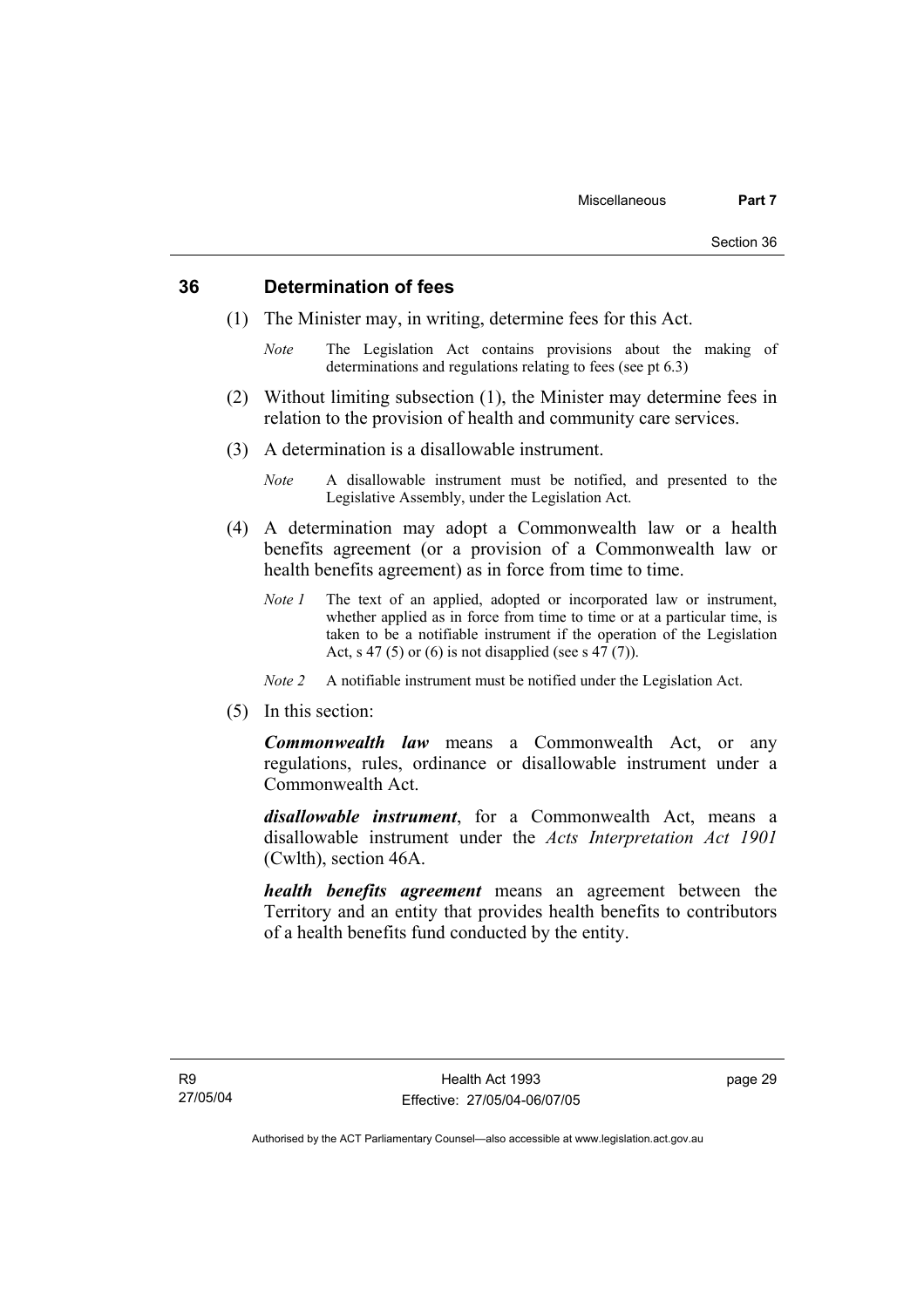### **36 Determination of fees**

- (1) The Minister may, in writing, determine fees for this Act.
	- *Note* The Legislation Act contains provisions about the making of determinations and regulations relating to fees (see pt 6.3)
- (2) Without limiting subsection (1), the Minister may determine fees in relation to the provision of health and community care services.
- (3) A determination is a disallowable instrument.
	- *Note* A disallowable instrument must be notified, and presented to the Legislative Assembly, under the Legislation Act.
- (4) A determination may adopt a Commonwealth law or a health benefits agreement (or a provision of a Commonwealth law or health benefits agreement) as in force from time to time.
	- *Note 1* The text of an applied, adopted or incorporated law or instrument, whether applied as in force from time to time or at a particular time, is taken to be a notifiable instrument if the operation of the Legislation Act, s 47 (5) or (6) is not disapplied (see s  $47(7)$ ).
	- *Note 2* A notifiable instrument must be notified under the Legislation Act.
- (5) In this section:

*Commonwealth law* means a Commonwealth Act, or any regulations, rules, ordinance or disallowable instrument under a Commonwealth Act.

*disallowable instrument*, for a Commonwealth Act, means a disallowable instrument under the *Acts Interpretation Act 1901* (Cwlth), section 46A.

*health benefits agreement* means an agreement between the Territory and an entity that provides health benefits to contributors of a health benefits fund conducted by the entity.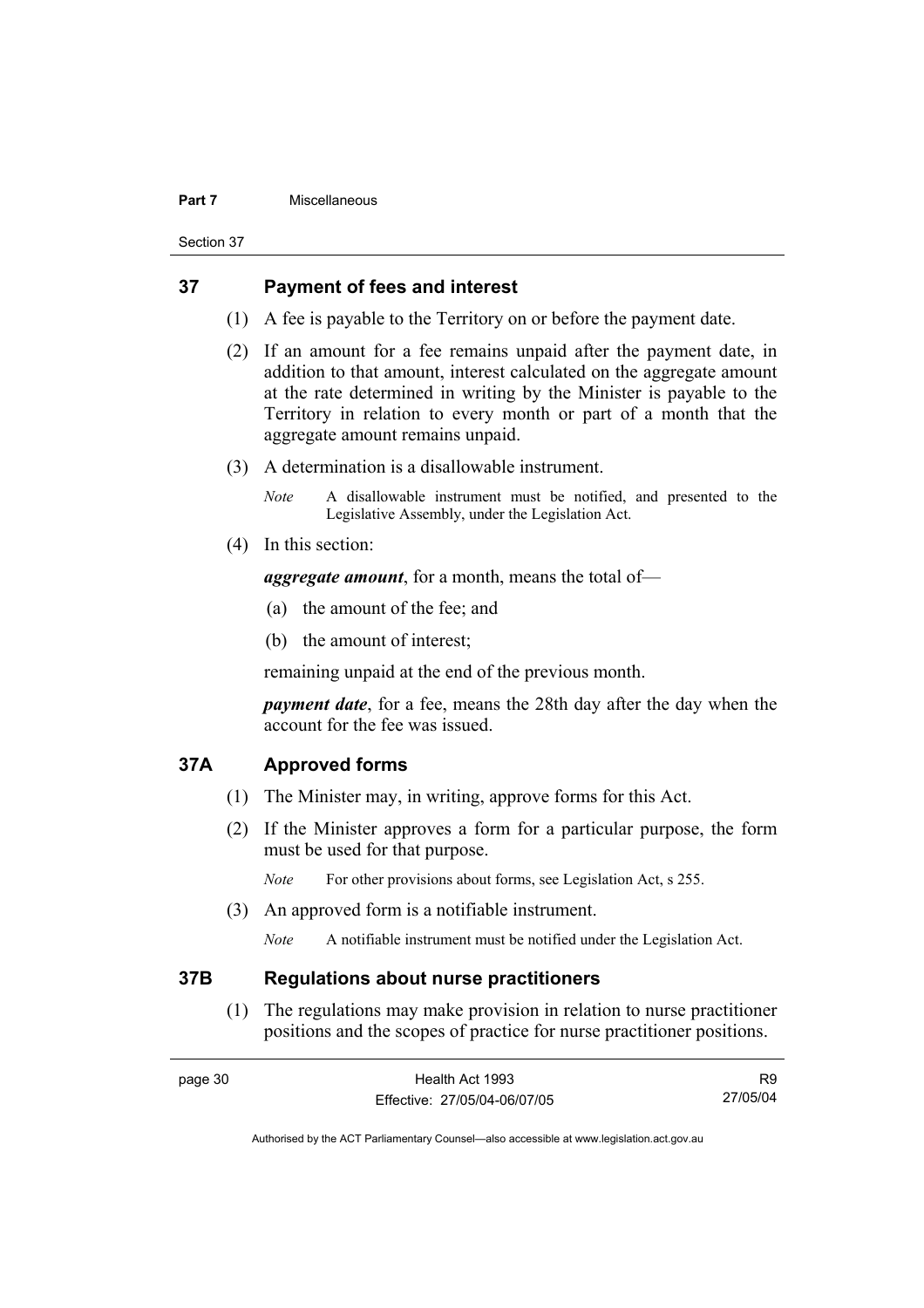#### **Part 7** Miscellaneous

Section 37

# **37 Payment of fees and interest**

- (1) A fee is payable to the Territory on or before the payment date.
- (2) If an amount for a fee remains unpaid after the payment date, in addition to that amount, interest calculated on the aggregate amount at the rate determined in writing by the Minister is payable to the Territory in relation to every month or part of a month that the aggregate amount remains unpaid.
- (3) A determination is a disallowable instrument.

*Note* A disallowable instrument must be notified, and presented to the Legislative Assembly, under the Legislation Act.

(4) In this section:

*aggregate amount*, for a month, means the total of—

- (a) the amount of the fee; and
- (b) the amount of interest;

remaining unpaid at the end of the previous month.

*payment date*, for a fee, means the 28th day after the day when the account for the fee was issued.

#### **37A Approved forms**

- (1) The Minister may, in writing, approve forms for this Act.
- (2) If the Minister approves a form for a particular purpose, the form must be used for that purpose.

*Note* For other provisions about forms, see Legislation Act, s 255.

(3) An approved form is a notifiable instrument.

*Note* A notifiable instrument must be notified under the Legislation Act.

#### **37B Regulations about nurse practitioners**

 (1) The regulations may make provision in relation to nurse practitioner positions and the scopes of practice for nurse practitioner positions.

| page 30. | Health Act 1993              | R <sub>9</sub> |
|----------|------------------------------|----------------|
|          | Effective: 27/05/04-06/07/05 | 27/05/04       |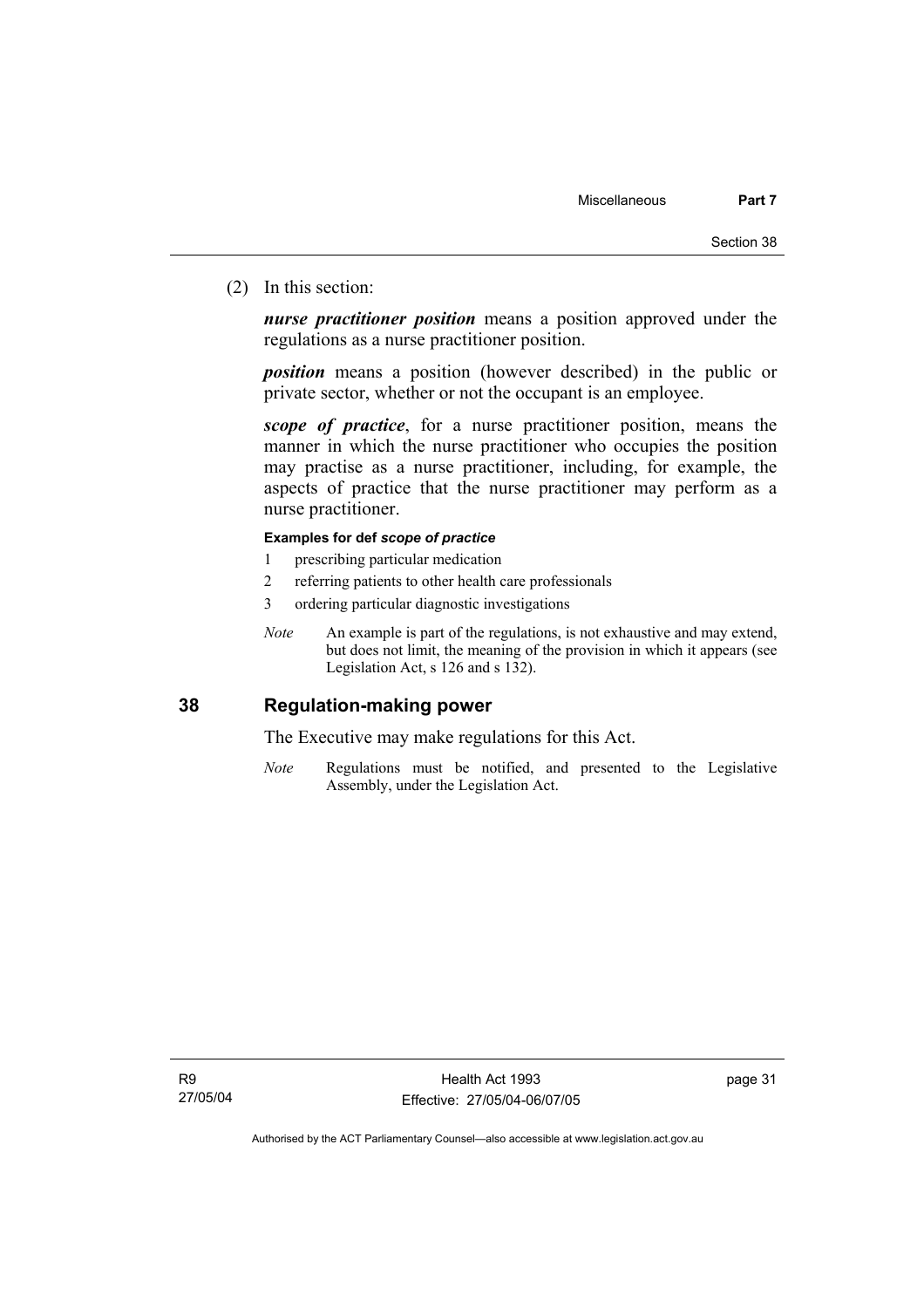(2) In this section:

*nurse practitioner position* means a position approved under the regulations as a nurse practitioner position.

*position* means a position (however described) in the public or private sector, whether or not the occupant is an employee.

*scope of practice*, for a nurse practitioner position, means the manner in which the nurse practitioner who occupies the position may practise as a nurse practitioner, including, for example, the aspects of practice that the nurse practitioner may perform as a nurse practitioner.

#### **Examples for def** *scope of practice*

- 1 prescribing particular medication
- 2 referring patients to other health care professionals
- 3 ordering particular diagnostic investigations
- *Note* An example is part of the regulations, is not exhaustive and may extend, but does not limit, the meaning of the provision in which it appears (see Legislation Act, s 126 and s 132).

# **38 Regulation-making power**

The Executive may make regulations for this Act.

*Note* Regulations must be notified, and presented to the Legislative Assembly, under the Legislation Act.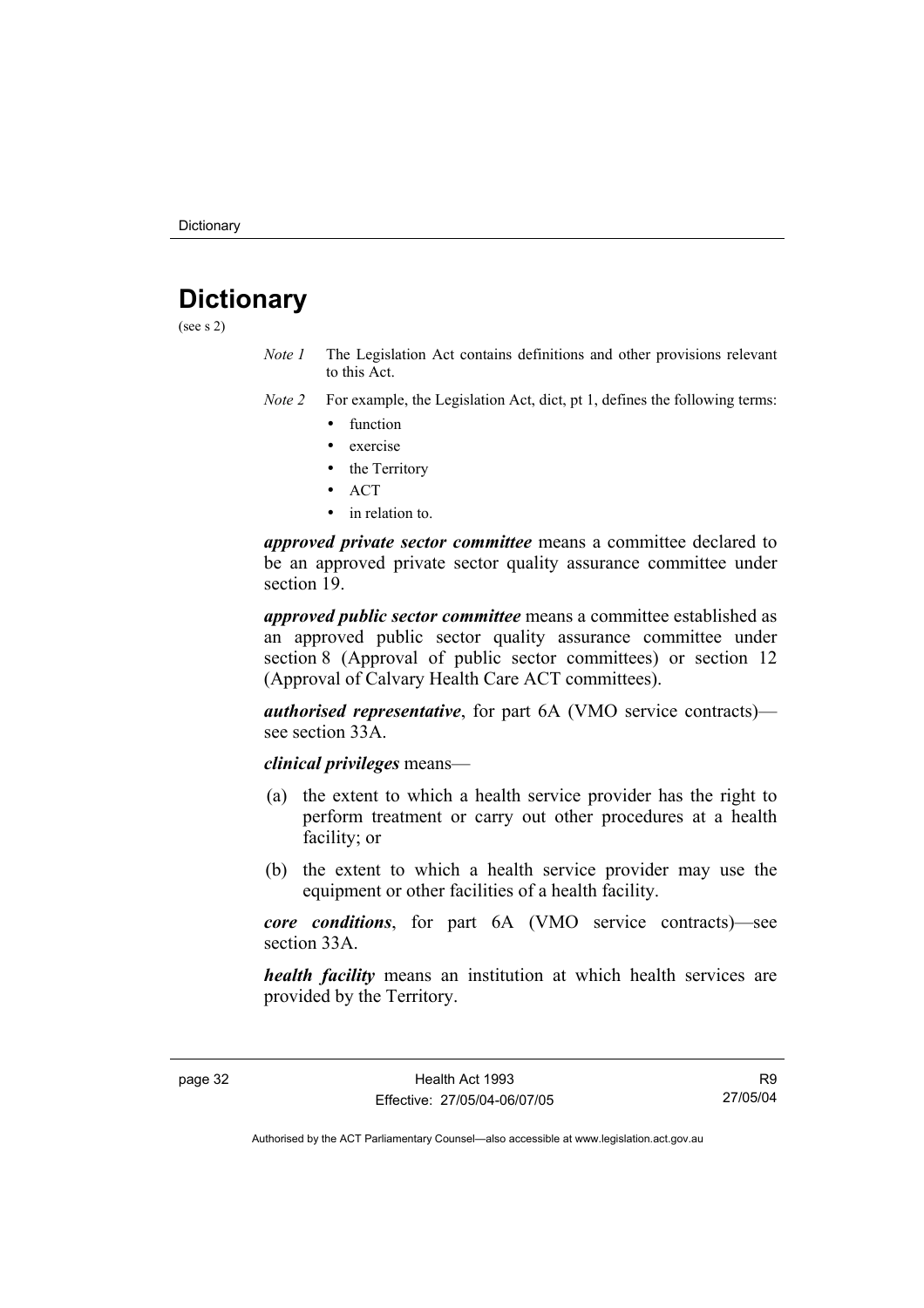# **Dictionary**

(see s 2)

- *Note 1* The Legislation Act contains definitions and other provisions relevant to this Act.
- *Note 2* For example, the Legislation Act, dict, pt 1, defines the following terms:
	- function
	- exercise
	- the Territory
	- ACT
	- in relation to.

*approved private sector committee* means a committee declared to be an approved private sector quality assurance committee under section 19.

*approved public sector committee* means a committee established as an approved public sector quality assurance committee under section 8 (Approval of public sector committees) or section 12 (Approval of Calvary Health Care ACT committees).

*authorised representative*, for part 6A (VMO service contracts) see section 33A

#### *clinical privileges* means—

- (a) the extent to which a health service provider has the right to perform treatment or carry out other procedures at a health facility; or
- (b) the extent to which a health service provider may use the equipment or other facilities of a health facility.

*core conditions*, for part 6A (VMO service contracts)—see section 33A.

*health facility* means an institution at which health services are provided by the Territory.

R9 27/05/04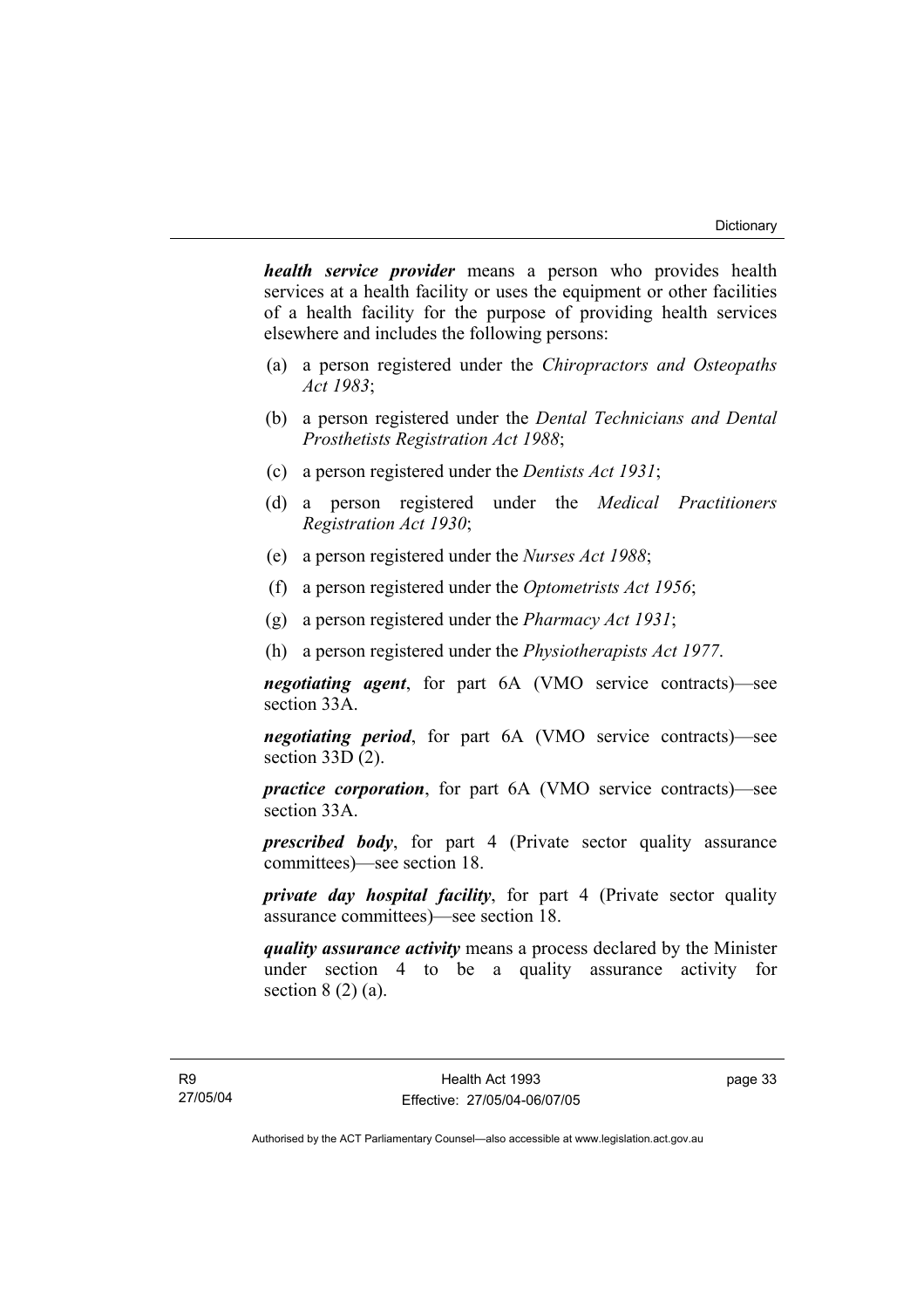*health service provider* means a person who provides health services at a health facility or uses the equipment or other facilities of a health facility for the purpose of providing health services elsewhere and includes the following persons:

- (a) a person registered under the *Chiropractors and Osteopaths Act 1983*;
- (b) a person registered under the *Dental Technicians and Dental Prosthetists Registration Act 1988*;
- (c) a person registered under the *Dentists Act 1931*;
- (d) a person registered under the *Medical Practitioners Registration Act 1930*;
- (e) a person registered under the *Nurses Act 1988*;
- (f) a person registered under the *Optometrists Act 1956*;
- (g) a person registered under the *Pharmacy Act 1931*;
- (h) a person registered under the *Physiotherapists Act 1977*.

*negotiating agent*, for part 6A (VMO service contracts)—see section 33A.

*negotiating period*, for part 6A (VMO service contracts)—see section 33D (2).

*practice corporation*, for part 6A (VMO service contracts)—see section 33A.

*prescribed body*, for part 4 (Private sector quality assurance committees)—see section 18.

*private day hospital facility*, for part 4 (Private sector quality assurance committees)—see section 18.

*quality assurance activity* means a process declared by the Minister under section 4 to be a quality assurance activity for section  $8(2)(a)$ .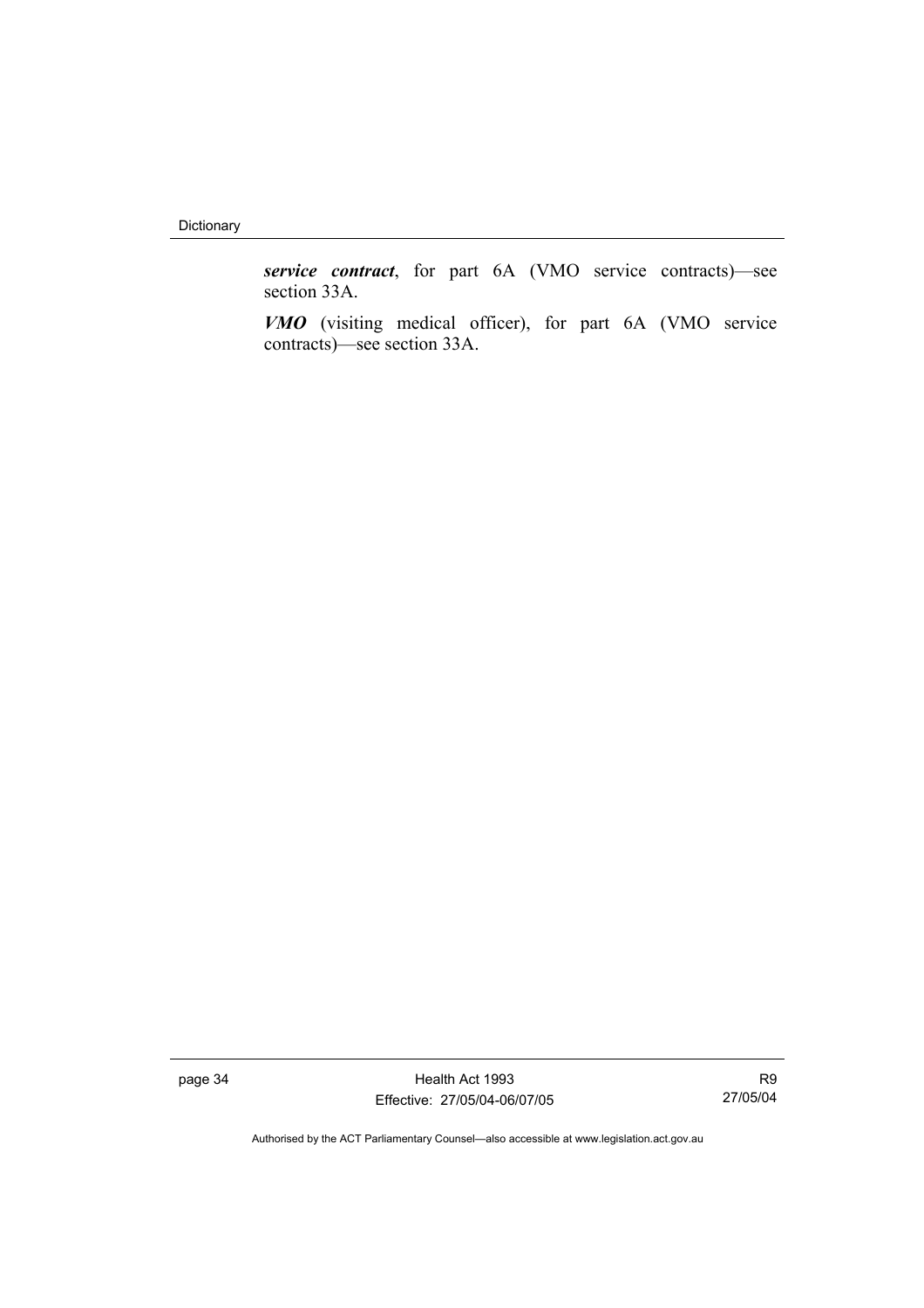Dictionary

*service contract*, for part 6A (VMO service contracts)—see section 33A.

*VMO* (visiting medical officer), for part 6A (VMO service contracts)—see section 33A.

page 34 Health Act 1993 Effective: 27/05/04-06/07/05

R9 27/05/04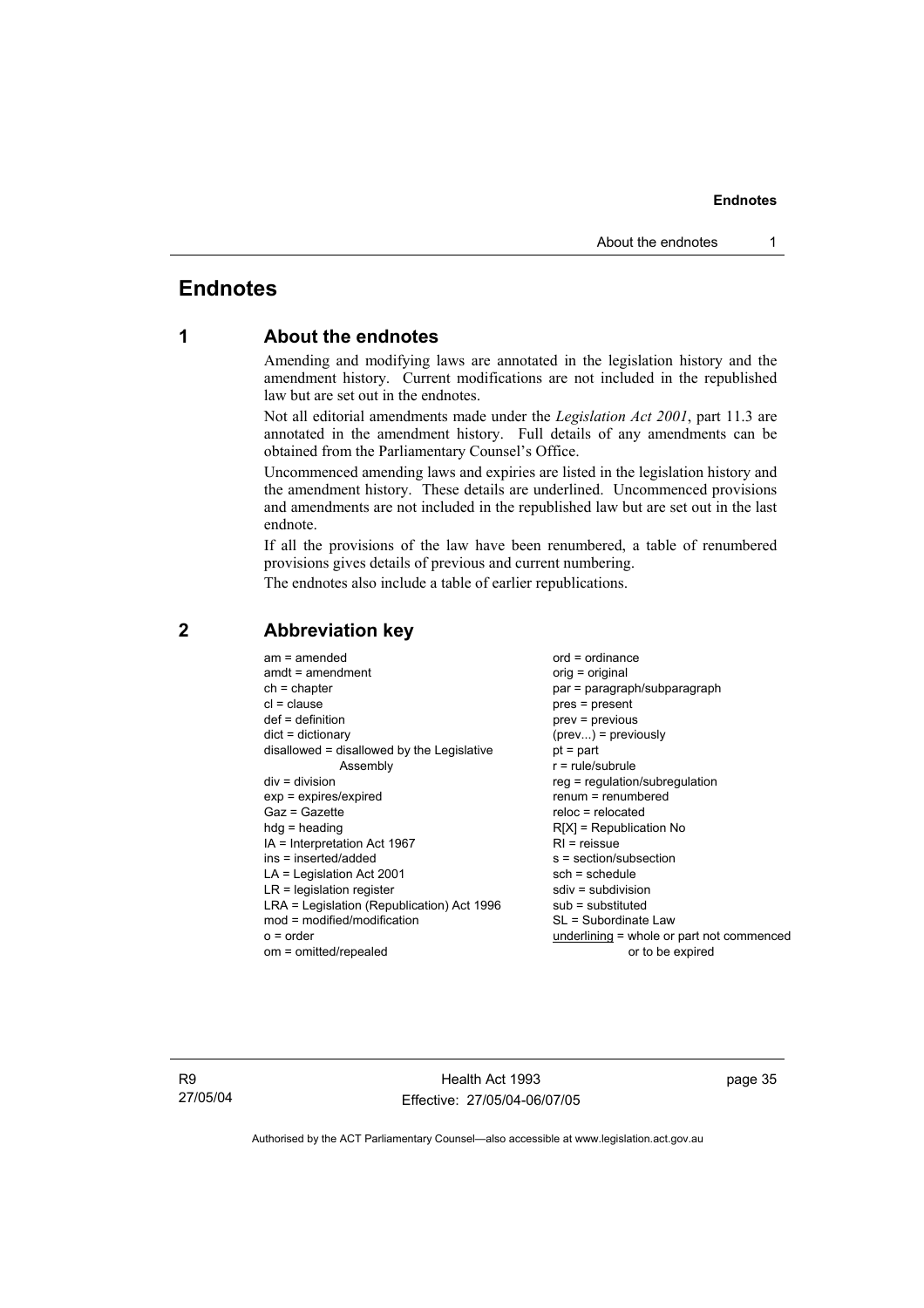# **Endnotes**

## **1 About the endnotes**

Amending and modifying laws are annotated in the legislation history and the amendment history. Current modifications are not included in the republished law but are set out in the endnotes.

Not all editorial amendments made under the *Legislation Act 2001*, part 11.3 are annotated in the amendment history. Full details of any amendments can be obtained from the Parliamentary Counsel's Office.

Uncommenced amending laws and expiries are listed in the legislation history and the amendment history. These details are underlined. Uncommenced provisions and amendments are not included in the republished law but are set out in the last endnote.

If all the provisions of the law have been renumbered, a table of renumbered provisions gives details of previous and current numbering.

The endnotes also include a table of earlier republications.

| $am = amended$                             | $ord = ordinance$                         |
|--------------------------------------------|-------------------------------------------|
| $amdt = amendment$                         | orig = original                           |
| $ch = chapter$                             | par = paragraph/subparagraph              |
| $cl = clause$                              | $pres = present$                          |
| $def = definition$                         | $prev = previous$                         |
| $dict = dictionary$                        | $(\text{prev}) = \text{previously}$       |
| disallowed = disallowed by the Legislative | $pt = part$                               |
| Assembly                                   | $r = rule/subrule$                        |
| $div = division$                           | reg = regulation/subregulation            |
| $exp = expires/expired$                    | $renum = renumbered$                      |
| Gaz = Gazette                              | $reloc = relocated$                       |
| $h dq =$ heading                           | $R[X]$ = Republication No                 |
| $IA = Interpretation Act 1967$             | $RI = reissue$                            |
| ins = inserted/added                       | $s = section/subsection$                  |
| $LA =$ Legislation Act 2001                | $sch = schedule$                          |
| $LR =$ legislation register                | $sdiv = subdivision$                      |
| LRA = Legislation (Republication) Act 1996 | $sub =$ substituted                       |
| $mod = modified/modification$              | SL = Subordinate Law                      |
| $o = order$                                | underlining = whole or part not commenced |
| om = omitted/repealed                      | or to be expired                          |
|                                            |                                           |

### **2 Abbreviation key**

R9 27/05/04

Health Act 1993 Effective: 27/05/04-06/07/05 page 35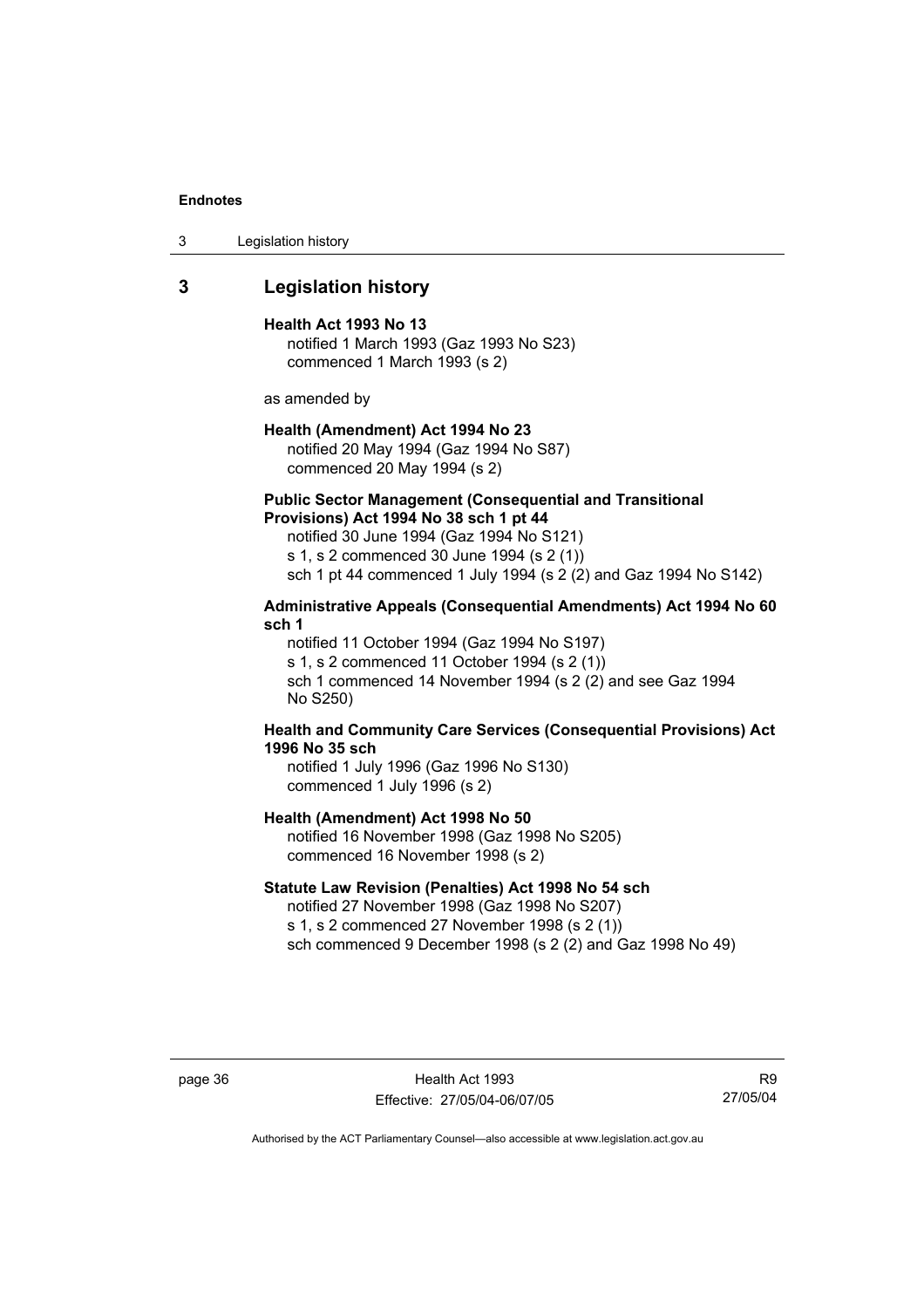3 Legislation history

### **3 Legislation history**

#### **Health Act 1993 No 13**

notified 1 March 1993 (Gaz 1993 No S23) commenced 1 March 1993 (s 2)

as amended by

#### **Health (Amendment) Act 1994 No 23**

notified 20 May 1994 (Gaz 1994 No S87) commenced 20 May 1994 (s 2)

#### **Public Sector Management (Consequential and Transitional Provisions) Act 1994 No 38 sch 1 pt 44**

notified 30 June 1994 (Gaz 1994 No S121) s 1, s 2 commenced 30 June 1994 (s 2 (1)) sch 1 pt 44 commenced 1 July 1994 (s 2 (2) and Gaz 1994 No S142)

#### **Administrative Appeals (Consequential Amendments) Act 1994 No 60 sch 1**

notified 11 October 1994 (Gaz 1994 No S197) s 1, s 2 commenced 11 October 1994 (s 2 (1))

sch 1 commenced 14 November 1994 (s 2 (2) and see Gaz 1994 No S250)

#### **Health and Community Care Services (Consequential Provisions) Act 1996 No 35 sch**

notified 1 July 1996 (Gaz 1996 No S130) commenced 1 July 1996 (s 2)

#### **Health (Amendment) Act 1998 No 50**

notified 16 November 1998 (Gaz 1998 No S205) commenced 16 November 1998 (s 2)

#### **Statute Law Revision (Penalties) Act 1998 No 54 sch**

notified 27 November 1998 (Gaz 1998 No S207) s 1, s 2 commenced 27 November 1998 (s 2 (1)) sch commenced 9 December 1998 (s 2 (2) and Gaz 1998 No 49)

page 36 Health Act 1993 Effective: 27/05/04-06/07/05

R9 27/05/04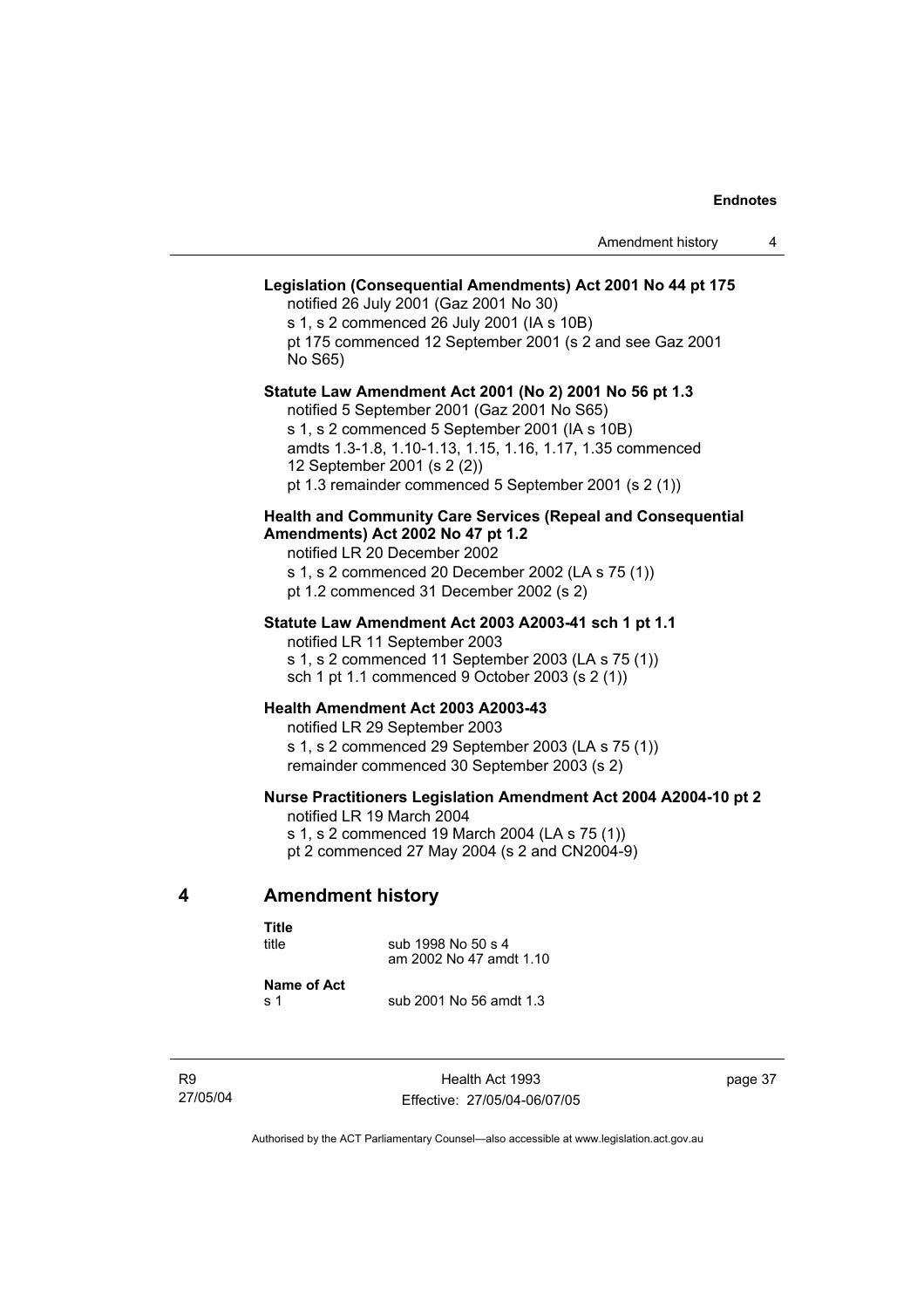|   | Legislation (Consequential Amendments) Act 2001 No 44 pt 175<br>notified 26 July 2001 (Gaz 2001 No 30)<br>s 1, s 2 commenced 26 July 2001 (IA s 10B)<br>pt 175 commenced 12 September 2001 (s 2 and see Gaz 2001<br>No S65)                                                                                    |
|---|----------------------------------------------------------------------------------------------------------------------------------------------------------------------------------------------------------------------------------------------------------------------------------------------------------------|
|   | Statute Law Amendment Act 2001 (No 2) 2001 No 56 pt 1.3<br>notified 5 September 2001 (Gaz 2001 No S65)<br>s 1, s 2 commenced 5 September 2001 (IA s 10B)<br>amdts 1.3-1.8, 1.10-1.13, 1.15, 1.16, 1.17, 1.35 commenced<br>12 September 2001 (s 2 (2))<br>pt 1.3 remainder commenced 5 September 2001 (s 2 (1)) |
|   | <b>Health and Community Care Services (Repeal and Consequential</b><br>Amendments) Act 2002 No 47 pt 1.2<br>notified LR 20 December 2002<br>s 1, s 2 commenced 20 December 2002 (LA s 75 (1))<br>pt 1.2 commenced 31 December 2002 (s 2)                                                                       |
|   | Statute Law Amendment Act 2003 A2003-41 sch 1 pt 1.1<br>notified LR 11 September 2003<br>s 1, s 2 commenced 11 September 2003 (LA s 75 (1))<br>sch 1 pt 1.1 commenced 9 October 2003 (s 2 (1))                                                                                                                 |
|   | Health Amendment Act 2003 A2003-43<br>notified LR 29 September 2003<br>s 1, s 2 commenced 29 September 2003 (LA s 75 (1))<br>remainder commenced 30 September 2003 (s 2)                                                                                                                                       |
|   | Nurse Practitioners Legislation Amendment Act 2004 A2004-10 pt 2<br>notified LR 19 March 2004<br>s 1, s 2 commenced 19 March 2004 (LA s 75 (1))<br>pt 2 commenced 27 May 2004 (s 2 and CN2004-9)                                                                                                               |
| 4 | <b>Amendment history</b>                                                                                                                                                                                                                                                                                       |
|   |                                                                                                                                                                                                                                                                                                                |

| Title       |                         |
|-------------|-------------------------|
| title       | sub 1998 No 50 s 4      |
|             | am 2002 No 47 amdt 1.10 |
| Name of Act |                         |

**Name of Act**  sub 2001 No 56 amdt 1.3

R9 27/05/04 page 37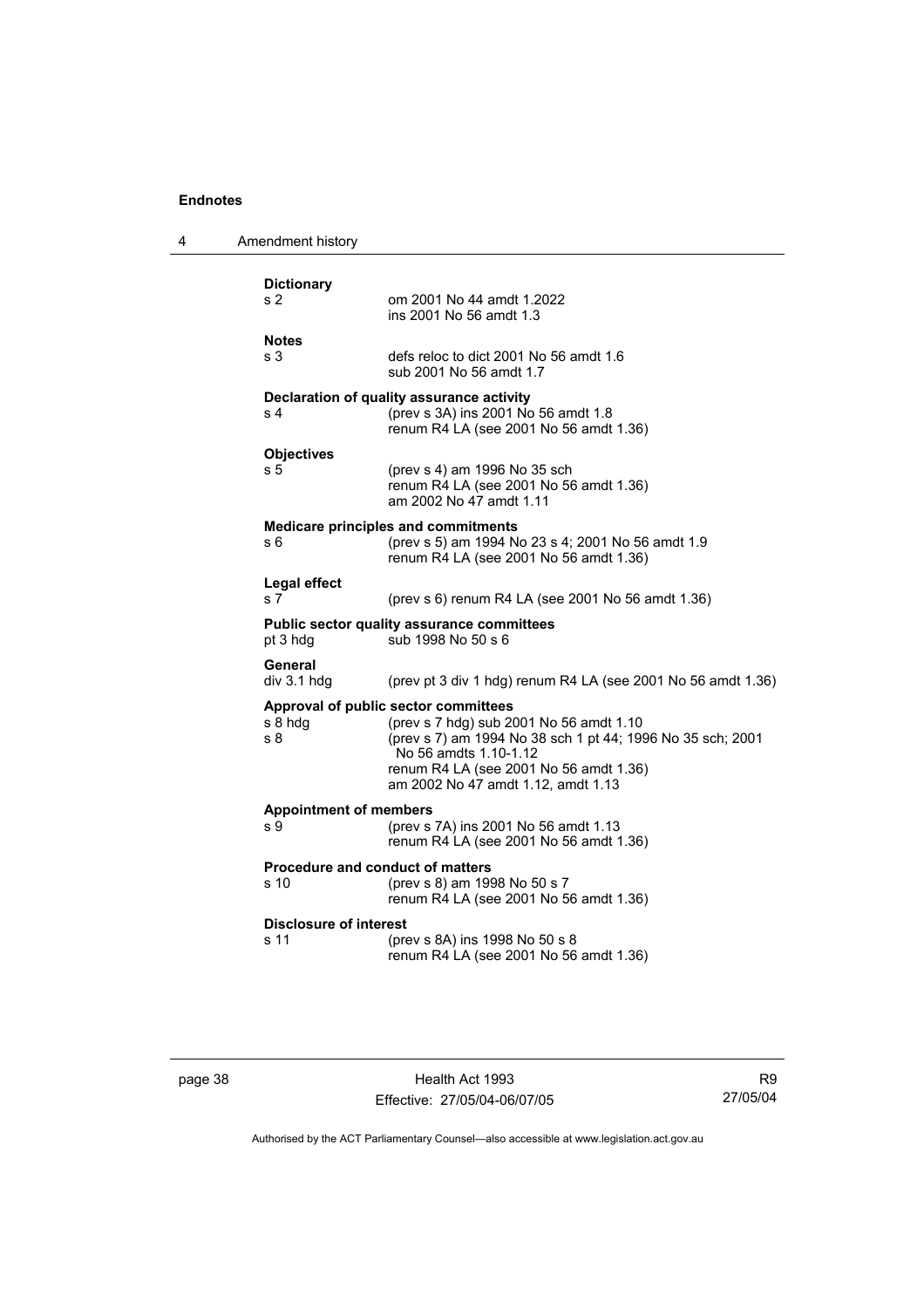| 4 | Amendment history                                                                                                      |                                                                                                                                                                                                                                                        |
|---|------------------------------------------------------------------------------------------------------------------------|--------------------------------------------------------------------------------------------------------------------------------------------------------------------------------------------------------------------------------------------------------|
|   | <b>Dictionary</b><br>s 2                                                                                               | om 2001 No 44 amdt 1.2022<br>ins 2001 No 56 amdt 1.3                                                                                                                                                                                                   |
|   | <b>Notes</b><br>s 3                                                                                                    | defs reloc to dict 2001 No 56 amdt 1.6<br>sub 2001 No 56 amdt 1.7                                                                                                                                                                                      |
|   | s <sub>4</sub>                                                                                                         | Declaration of quality assurance activity<br>(prev s 3A) ins 2001 No 56 amdt 1.8<br>renum R4 LA (see 2001 No 56 amdt 1.36)                                                                                                                             |
|   | <b>Objectives</b><br>s 5                                                                                               | (prev s 4) am 1996 No 35 sch<br>renum R4 LA (see 2001 No 56 amdt 1.36)<br>am 2002 No 47 amdt 1.11                                                                                                                                                      |
|   | s 6                                                                                                                    | <b>Medicare principles and commitments</b><br>(prev s 5) am 1994 No 23 s 4; 2001 No 56 amdt 1.9<br>renum R4 LA (see 2001 No 56 amdt 1.36)                                                                                                              |
|   | Legal effect<br>s 7                                                                                                    | (prev s 6) renum R4 LA (see 2001 No 56 amdt 1.36)                                                                                                                                                                                                      |
|   | Public sector quality assurance committees<br>pt 3 hdg<br>sub 1998 No 50 s 6                                           |                                                                                                                                                                                                                                                        |
|   | General<br>div 3.1 hdg                                                                                                 | (prev pt 3 div 1 hdg) renum R4 LA (see 2001 No 56 amdt 1.36)                                                                                                                                                                                           |
|   | s 8 hdg<br>s <sub>8</sub>                                                                                              | Approval of public sector committees<br>(prev s 7 hdg) sub 2001 No 56 amdt 1.10<br>(prev s 7) am 1994 No 38 sch 1 pt 44; 1996 No 35 sch; 2001<br>No 56 amdts 1.10-1.12<br>renum R4 LA (see 2001 No 56 amdt 1.36)<br>am 2002 No 47 amdt 1.12, amdt 1.13 |
|   | <b>Appointment of members</b><br>(prev s 7A) ins 2001 No 56 amdt 1.13<br>s 9<br>renum R4 LA (see 2001 No 56 amdt 1.36) |                                                                                                                                                                                                                                                        |
|   | <b>Procedure and conduct of matters</b><br>s 10                                                                        | (prev s 8) am 1998 No 50 s 7<br>renum R4 LA (see 2001 No 56 amdt 1.36)                                                                                                                                                                                 |
|   | <b>Disclosure of interest</b><br>s 11                                                                                  | (prev s 8A) ins 1998 No 50 s 8<br>renum R4 LA (see 2001 No 56 amdt 1.36)                                                                                                                                                                               |

page 38 Health Act 1993 Effective: 27/05/04-06/07/05

R9 27/05/04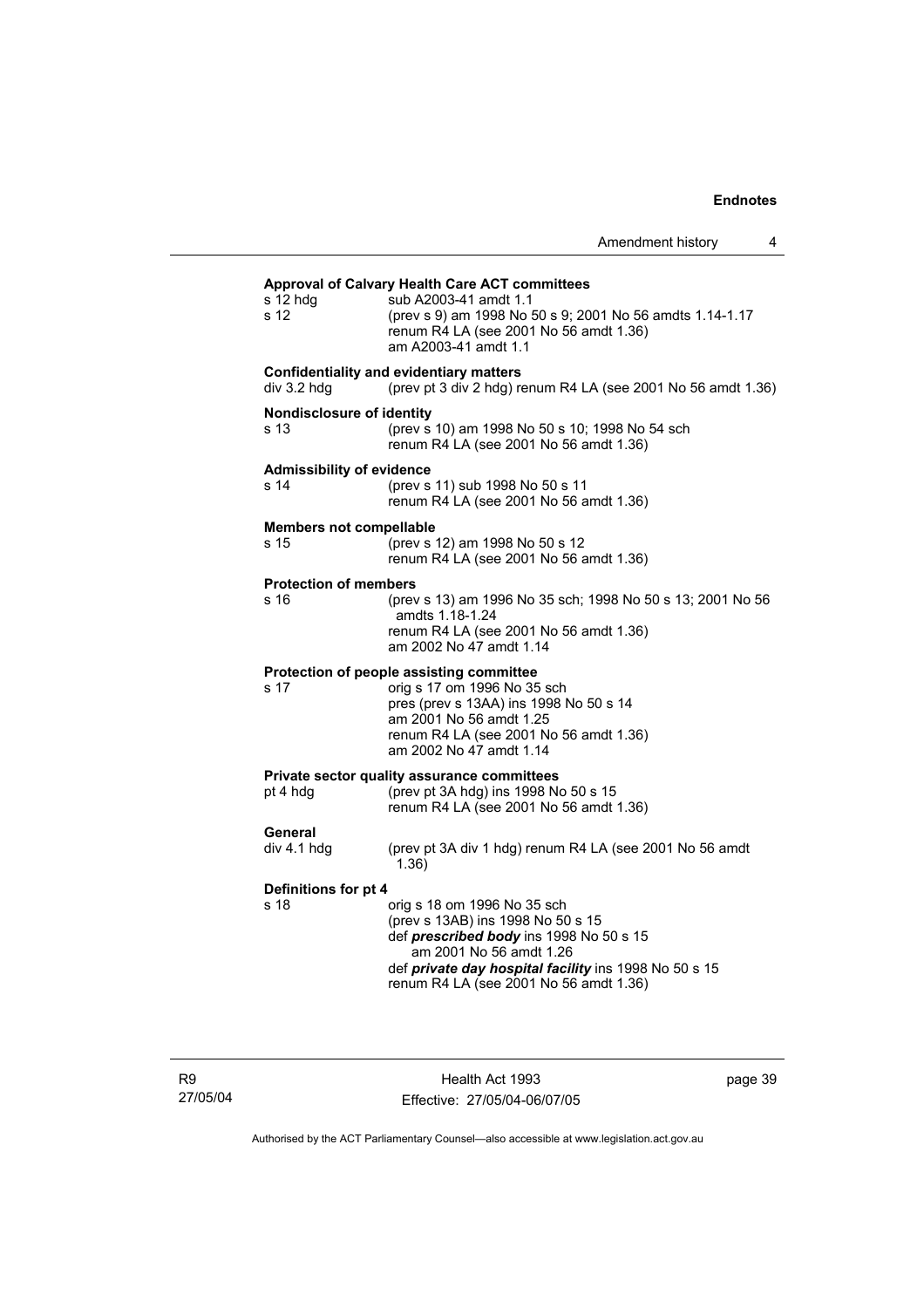#### **Approval of Calvary Health Care ACT committees** s 12 hdg sub A2003-41 amdt 1.1<br>s 12 (nrev s 9) am 1998 No s 12 (prev s 9) am 1998 No 50 s 9; 2001 No 56 amdts 1.14-1.17 renum R4 LA (see 2001 No 56 amdt 1.36) am A2003-41 amdt 1.1 **Confidentiality and evidentiary matters**<br>div 3.2 hdg (prev pt 3 div 2 hdg) re (prev pt 3 div 2 hdg) renum R4 LA (see 2001 No 56 amdt 1.36) **Nondisclosure of identity** s 13 (prev s 10) am 1998 No 50 s 10; 1998 No 54 sch renum R4 LA (see 2001 No 56 amdt 1.36) **Admissibility of evidence** s 14 (prev s 11) sub 1998 No 50 s 11 renum R4 LA (see 2001 No 56 amdt 1.36) **Members not compellable** s 15 (prev s 12) am 1998 No 50 s 12 renum R4 LA (see 2001 No 56 amdt 1.36) **Protection of members** s 16 (prev s 13) am 1996 No 35 sch; 1998 No 50 s 13; 2001 No 56 amdts 1.18-1.24 renum R4 LA (see 2001 No 56 amdt 1.36) am 2002 No 47 amdt 1.14 **Protection of people assisting committee** s 17 orig s 17 om 1996 No 35 sch pres (prev s 13AA) ins 1998 No 50 s 14 am 2001 No 56 amdt 1.25 renum R4 LA (see 2001 No 56 amdt 1.36) am 2002 No 47 amdt 1.14 **Private sector quality assurance committees** pt 4 hdg (prev pt 3A hdg) ins 1998 No 50 s 15 renum R4 LA (see 2001 No 56 amdt 1.36) General<br>div 4.1 hdg (prev pt 3A div 1 hdg) renum R4 LA (see 2001 No 56 amdt 1.36) **Definitions for pt 4** s 18 orig s 18 om 1996 No 35 sch (prev s 13AB) ins 1998 No 50 s 15 def *prescribed body* ins 1998 No 50 s 15 am 2001 No 56 amdt 1.26 def *private day hospital facility* ins 1998 No 50 s 15 renum R4 LA (see 2001 No 56 amdt 1.36)

R9 27/05/04

Health Act 1993 Effective: 27/05/04-06/07/05 page 39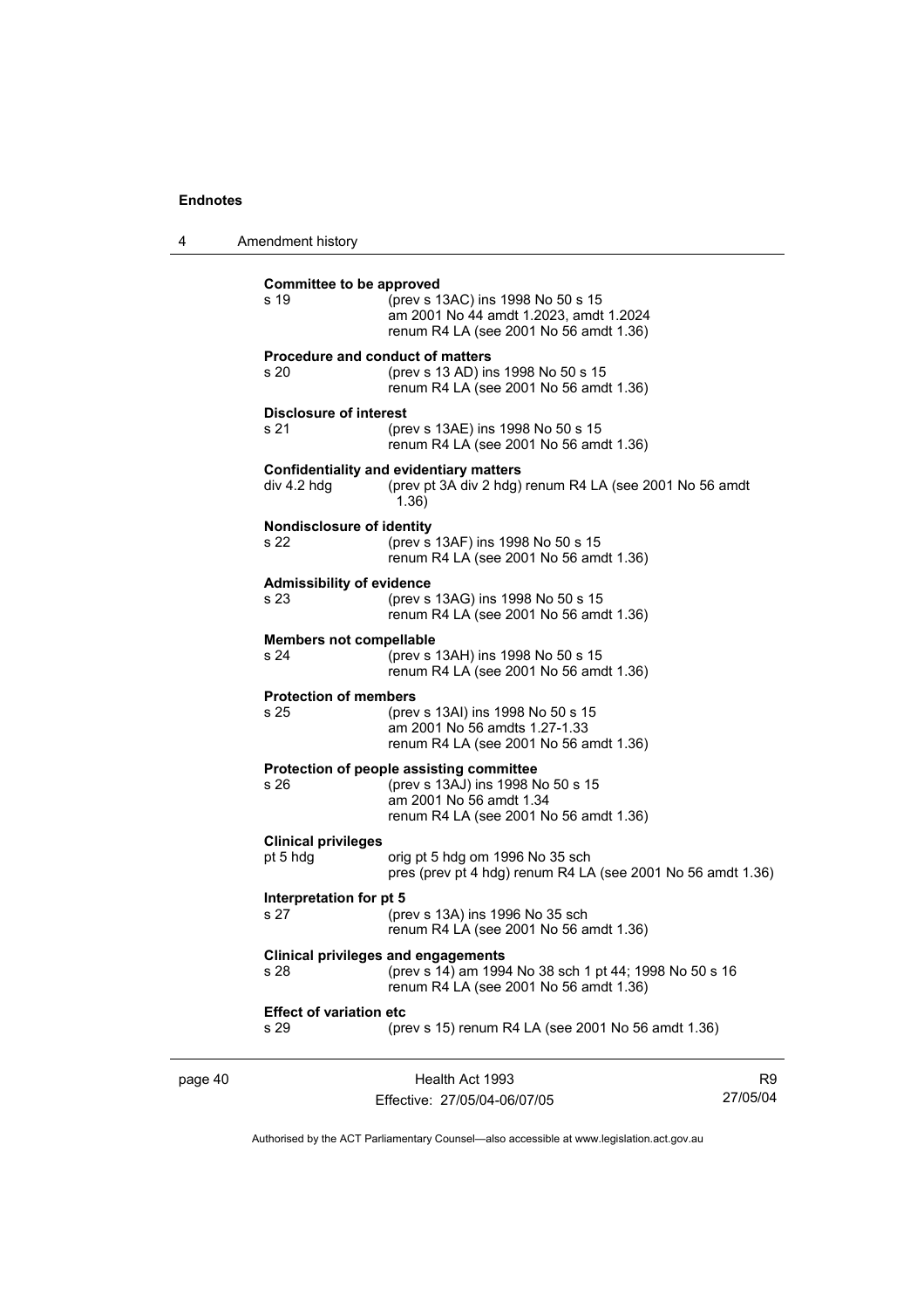4 Amendment history

| page 40 |                                          | Health Act 1993                                                                                                                                    | R <sub>9</sub> |
|---------|------------------------------------------|----------------------------------------------------------------------------------------------------------------------------------------------------|----------------|
|         | <b>Effect of variation etc</b><br>s 29   | (prev s 15) renum R4 LA (see 2001 No 56 amdt 1.36)                                                                                                 |                |
|         | s 28                                     | <b>Clinical privileges and engagements</b><br>(prev s 14) am 1994 No 38 sch 1 pt 44; 1998 No 50 s 16<br>renum R4 LA (see 2001 No 56 amdt 1.36)     |                |
|         | Interpretation for pt 5<br>s 27          | (prev s 13A) ins 1996 No 35 sch<br>renum R4 LA (see 2001 No 56 amdt 1.36)                                                                          |                |
|         | <b>Clinical privileges</b><br>pt 5 hdg   | orig pt 5 hdg om 1996 No 35 sch<br>pres (prev pt 4 hdg) renum R4 LA (see 2001 No 56 amdt 1.36)                                                     |                |
|         | s 26                                     | Protection of people assisting committee<br>(prev s 13AJ) ins 1998 No 50 s 15<br>am 2001 No 56 amdt 1.34<br>renum R4 LA (see 2001 No 56 amdt 1.36) |                |
|         | <b>Protection of members</b><br>s 25     | (prev s 13AI) ins 1998 No 50 s 15<br>am 2001 No 56 amdts 1.27-1.33<br>renum R4 LA (see 2001 No 56 amdt 1.36)                                       |                |
|         | <b>Members not compellable</b><br>s 24   | (prev s 13AH) ins 1998 No 50 s 15<br>renum R4 LA (see 2001 No 56 amdt 1.36)                                                                        |                |
|         | <b>Admissibility of evidence</b><br>s 23 | (prev s 13AG) ins 1998 No 50 s 15<br>renum R4 LA (see 2001 No 56 amdt 1.36)                                                                        |                |
|         | <b>Nondisclosure of identity</b><br>s 22 | (prev s 13AF) ins 1998 No 50 s 15<br>renum R4 LA (see 2001 No 56 amdt 1.36)                                                                        |                |
|         | div 4.2 hdg                              | <b>Confidentiality and evidentiary matters</b><br>(prev pt 3A div 2 hdg) renum R4 LA (see 2001 No 56 amdt<br>1.36)                                 |                |
|         | <b>Disclosure of interest</b><br>s 21    | (prev s 13AE) ins 1998 No 50 s 15<br>renum R4 LA (see 2001 No 56 amdt 1.36)                                                                        |                |
|         | s 20                                     | <b>Procedure and conduct of matters</b><br>(prev s 13 AD) ins 1998 No 50 s 15<br>renum R4 LA (see 2001 No 56 amdt 1.36)                            |                |
|         | Committee to be approved<br>s 19         | (prev s 13AC) ins 1998 No 50 s 15<br>am 2001 No 44 amdt 1.2023, amdt 1.2024<br>renum R4 LA (see 2001 No 56 amdt 1.36)                              |                |

Effective: 27/05/04-06/07/05

Authorised by the ACT Parliamentary Counsel—also accessible at www.legislation.act.gov.au

27/05/04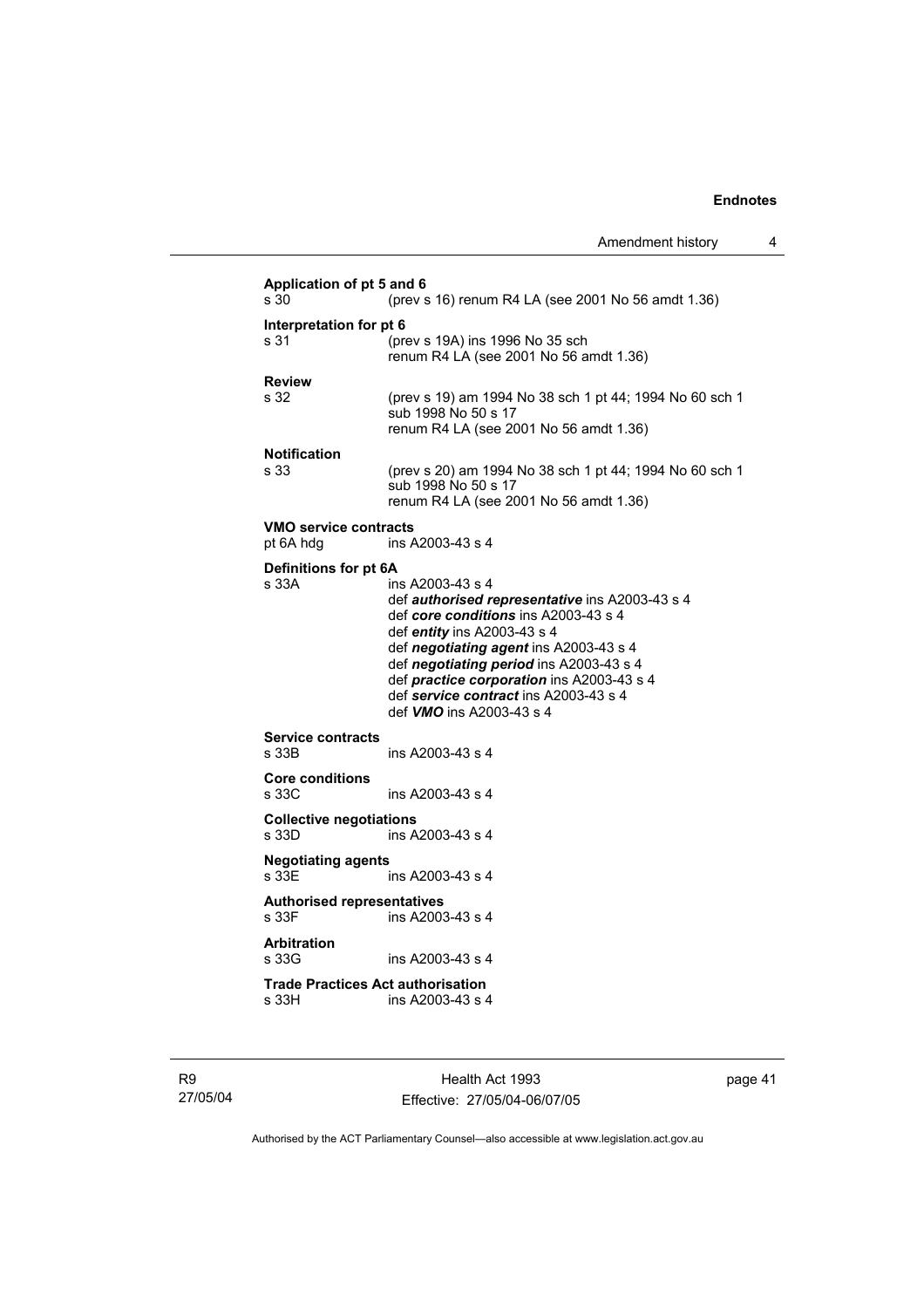```
Application of pt 5 and 6 
s 30 (prev s 16) renum R4 LA (see 2001 No 56 amdt 1.36) 
Interpretation for pt 6
s 31 (prev s 19A) ins 1996 No 35 sch 
                   renum R4 LA (see 2001 No 56 amdt 1.36) 
Review<br>s 32
                  (prev s 19) am 1994 No 38 sch 1 pt 44; 1994 No 60 sch 1
                   sub 1998 No 50 s 17 
                   renum R4 LA (see 2001 No 56 amdt 1.36) 
Notification
s 33 (prev s 20) am 1994 No 38 sch 1 pt 44; 1994 No 60 sch 1 
                   sub 1998 No 50 s 17 
                   renum R4 LA (see 2001 No 56 amdt 1.36) 
VMO service contracts 
pt 6A hdg ins A2003-43 s 4 
Definitions for pt 6A<br>s 33A in
                  ins A2003-43 s 4
                   def authorised representative ins A2003-43 s 4 
                   def core conditions ins A2003-43 s 4 
                   def entity ins A2003-43 s 4 
                   def negotiating agent ins A2003-43 s 4 
                   def negotiating period ins A2003-43 s 4 
                   def practice corporation ins A2003-43 s 4 
                   def service contract ins A2003-43 s 4 
                   def VMO ins A2003-43 s 4 
Service contracts 
s 33B ins A2003-43 s 4 
Core conditions 
                  ins A2003-43 s 4
Collective negotiations 
s 33D ins A2003-43 s 4 
Negotiating agents 
                  ins A2003-43 s 4
Authorised representatives 
s 33F ins A2003-43 s 4 
Arbitration 
                  ins A2003-43 s 4
Trade Practices Act authorisation 
                  ins A2003-43 s 4
```
R9 27/05/04

Health Act 1993 Effective: 27/05/04-06/07/05 page 41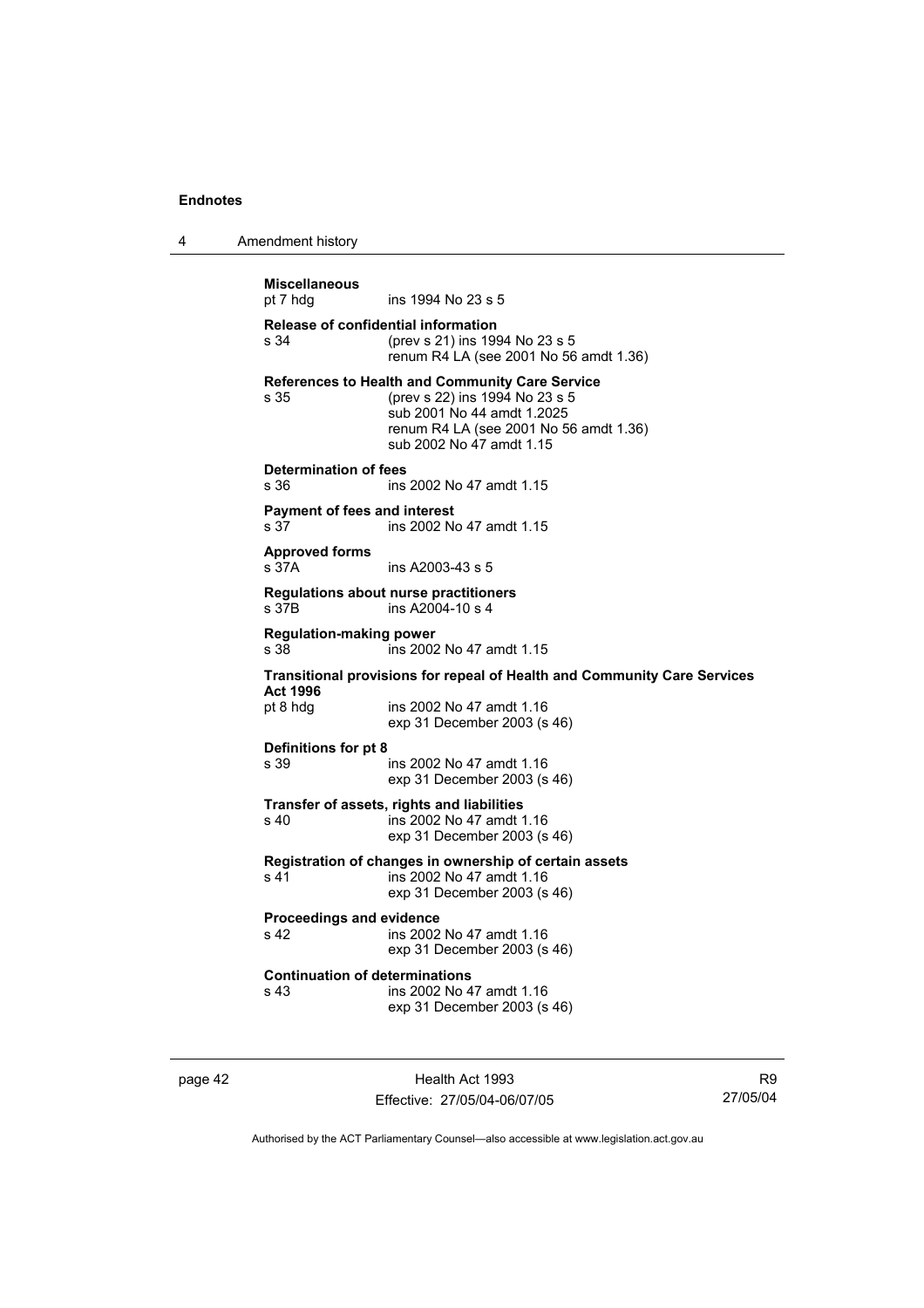| 4 | Amendment history |
|---|-------------------|
|---|-------------------|

```
Miscellaneous
                  ins 1994 No 23 s 5
Release of confidential information
s 34 (prev s 21) ins 1994 No 23 s 5 
                   renum R4 LA (see 2001 No 56 amdt 1.36) 
References to Health and Community Care Service<br>s 35 (prev s 22) ins 1994 No 23 s 5
                  s 35 (prev s 22) ins 1994 No 23 s 5 
                   sub 2001 No 44 amdt 1.2025 
                   renum R4 LA (see 2001 No 56 amdt 1.36) 
                   sub 2002 No 47 amdt 1.15 
Determination of fees 
s 36 ins 2002 No 47 amdt 1.15 
Payment of fees and interest 
s 37 ins 2002 No 47 amdt 1.15
Approved forms 
                  ins A2003-43 s 5
Regulations about nurse practitioners 
s 37B ins A2004-10 s 4 
Regulation-making power 
s 38 ins 2002 No 47 amdt 1.15 
Transitional provisions for repeal of Health and Community Care Services 
Act 1996
                  ins 2002 No 47 amdt 1.16
                   exp 31 December 2003 (s 46) 
Definitions for pt 8 
s 39 ins 2002 No 47 amdt 1.16 
                   exp 31 December 2003 (s 46) 
Transfer of assets, rights and liabilities 
s 40 ins 2002 No 47 amdt 1.16 
                   exp 31 December 2003 (s 46) 
Registration of changes in ownership of certain assets 
                  ins 2002 No 47 amdt 1.16
                   exp 31 December 2003 (s 46) 
Proceedings and evidence 
                  ins 2002 No 47 amdt 1.16
                   exp 31 December 2003 (s 46) 
Continuation of determinations 
s 43 ins 2002 No 47 amdt 1.16 
                   exp 31 December 2003 (s 46)
```
page 42 Health Act 1993 Effective: 27/05/04-06/07/05

R9 27/05/04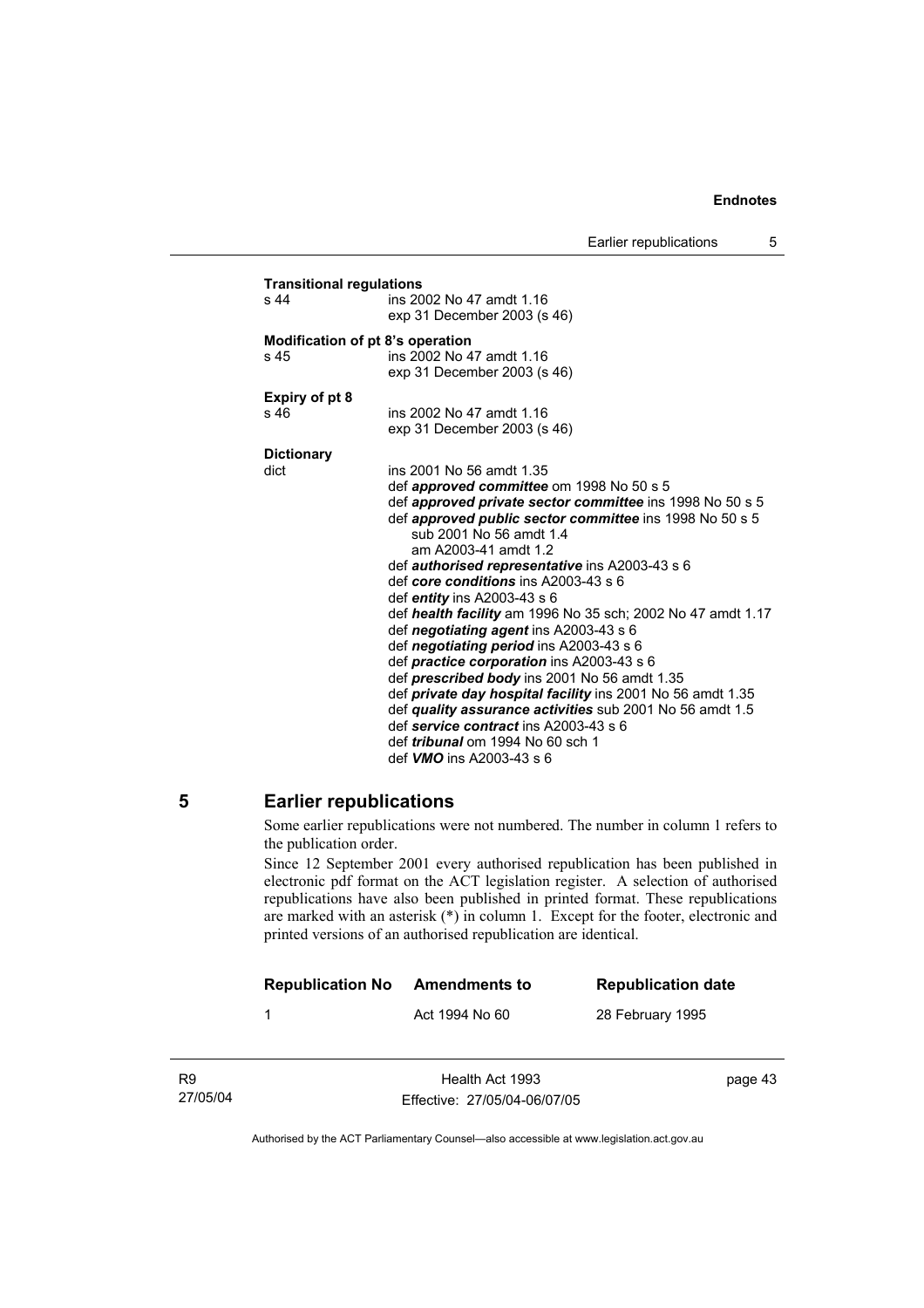Earlier republications 5

| <b>Transitional regulations</b><br>s 44 | ins 2002 No 47 amdt 1.16                                     |
|-----------------------------------------|--------------------------------------------------------------|
|                                         | exp 31 December 2003 (s 46)                                  |
|                                         |                                                              |
| s 45                                    | Modification of pt 8's operation<br>ins 2002 No 47 amdt 1.16 |
|                                         | exp 31 December 2003 (s 46)                                  |
|                                         |                                                              |
| <b>Expiry of pt 8</b>                   |                                                              |
| s 46                                    | ins 2002 No 47 amdt 1.16                                     |
|                                         | exp 31 December 2003 (s 46)                                  |
| <b>Dictionary</b>                       |                                                              |
| dict                                    | ins 2001 No 56 amdt 1.35                                     |
|                                         | def <i>approved committee</i> om 1998 No 50 s 5              |
|                                         | def approved private sector committee ins 1998 No 50 s 5     |
|                                         | def approved public sector committee ins 1998 No 50 s 5      |
|                                         | sub 2001 No 56 amdt 1.4<br>am A2003-41 amdt 1.2              |
|                                         | def authorised representative ins A2003-43 s 6               |
|                                         | def core conditions ins A2003-43 s 6                         |
|                                         | def <i>entity</i> ins A2003-43 s 6                           |
|                                         | def health facility am 1996 No 35 sch; 2002 No 47 amdt 1.17  |
|                                         | def negotiating agent ins A2003-43 s 6                       |
|                                         | def negotiating period ins A2003-43 s 6                      |
|                                         | def practice corporation ins A2003-43 s 6                    |
|                                         | def prescribed body ins 2001 No 56 amdt 1.35                 |
|                                         | def private day hospital facility ins 2001 No 56 amdt 1.35   |
|                                         | def quality assurance activities sub 2001 No 56 amdt 1.5     |
|                                         | def service contract ins A2003-43 s 6                        |
|                                         | def <i>tribunal</i> om 1994 No 60 sch 1                      |
|                                         | def <i>VMO</i> ins A2003-43 s 6                              |

## **5 Earlier republications**

Some earlier republications were not numbered. The number in column 1 refers to the publication order.

Since 12 September 2001 every authorised republication has been published in electronic pdf format on the ACT legislation register. A selection of authorised republications have also been published in printed format. These republications are marked with an asterisk (\*) in column 1. Except for the footer, electronic and printed versions of an authorised republication are identical.

|                            | <b>Republication No</b> | Amendments to                                   | <b>Republication date</b> |
|----------------------------|-------------------------|-------------------------------------------------|---------------------------|
|                            |                         | Act 1994 No 60                                  | 28 February 1995          |
|                            |                         |                                                 |                           |
| R <sub>9</sub><br>27/05/04 |                         | Health Act 1993<br>Effective: 27/05/04-06/07/05 | page 43                   |